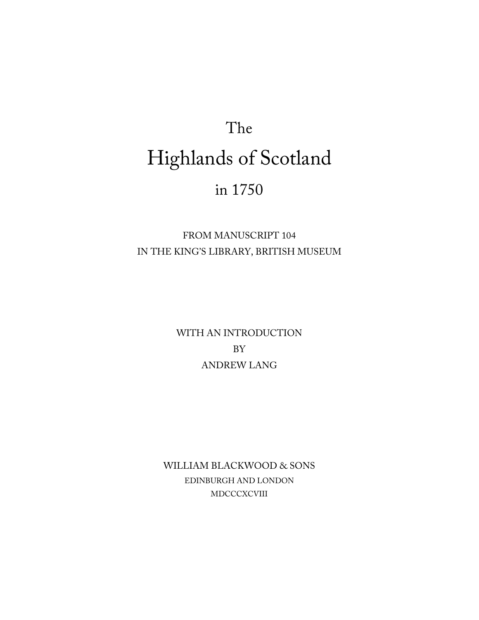# The Highlands of Scotland in 1750

FROM MANUSCRIPT 104 IN THE KING'S LIBRARY, BRITISH MUSEUM

> WITH AN INTRODUCTION BY ANDREW LANG

WILLIAM BLACKWOOD & SONS EDINBURGH AND LONDON MDCCCXCVIII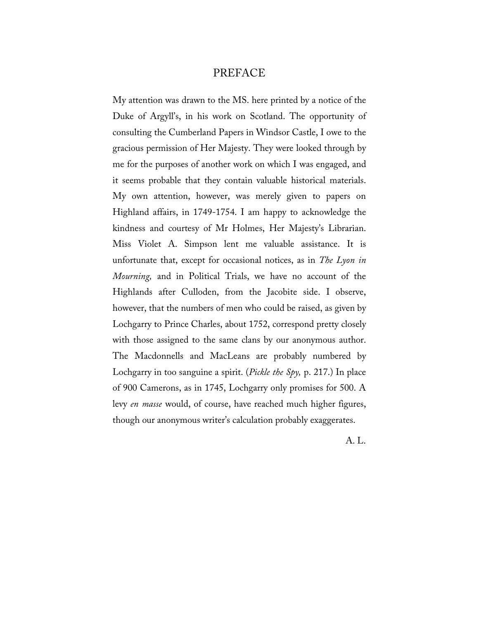## PREFACE

My attention was drawn to the MS. here printed by a notice of the Duke of Argyll's, in his work on Scotland. The opportunity of consulting the Cumberland Papers in Windsor Castle, I owe to the gracious permission of Her Majesty. They were looked through by me for the purposes of another work on which I was engaged, and it seems probable that they contain valuable historical materials. My own attention, however, was merely given to papers on Highland affairs, in 1749-1754. I am happy to acknowledge the kindness and courtesy of Mr Holmes, Her Majesty's Librarian. Miss Violet A. Simpson lent me valuable assistance. It is unfortunate that, except for occasional notices, as in *The Lyon in Mourning,* and in Political Trials, we have no account of the Highlands after Culloden, from the Jacobite side. I observe, however, that the numbers of men who could be raised, as given by Lochgarry to Prince Charles, about 1752, correspond pretty closely with those assigned to the same clans by our anonymous author. The Macdonnells and MacLeans are probably numbered by Lochgarry in too sanguine a spirit. (*Pickle the Spy,* p. 217.) In place of 900 Camerons, as in 1745, Lochgarry only promises for 500. A levy *en masse* would, of course, have reached much higher figures, though our anonymous writer's calculation probably exaggerates.

A. L.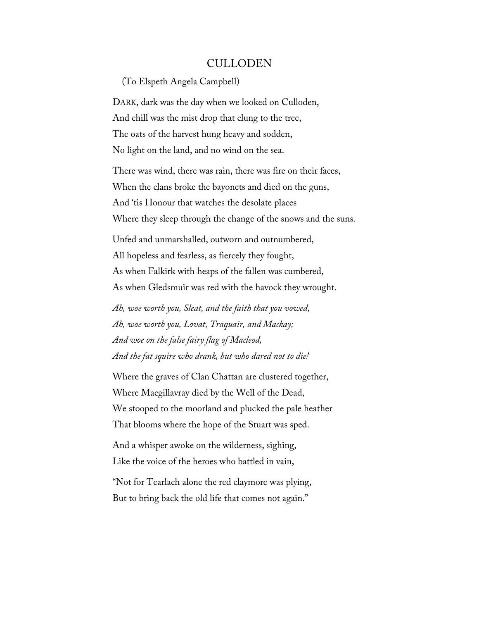### CULLODEN

(To Elspeth Angela Campbell)

DARK, dark was the day when we looked on Culloden, And chill was the mist drop that clung to the tree, The oats of the harvest hung heavy and sodden, No light on the land, and no wind on the sea.

There was wind, there was rain, there was fire on their faces, When the clans broke the bayonets and died on the guns, And 'tis Honour that watches the desolate places Where they sleep through the change of the snows and the suns.

Unfed and unmarshalled, outworn and outnumbered, All hopeless and fearless, as fiercely they fought, As when Falkirk with heaps of the fallen was cumbered, As when Gledsmuir was red with the havock they wrought.

*Ah, woe worth you, Sleat, and the faith that you vowed, Ah, woe worth you, Lovat, Traquair, and Mackay; And woe on the false fairy flag of Macleod, And the fat squire who drank, but who dared not to die!*

Where the graves of Clan Chattan are clustered together, Where Macgillavray died by the Well of the Dead, We stooped to the moorland and plucked the pale heather That blooms where the hope of the Stuart was sped.

And a whisper awoke on the wilderness, sighing, Like the voice of the heroes who battled in vain,

"Not for Tearlach alone the red claymore was plying, But to bring back the old life that comes not again."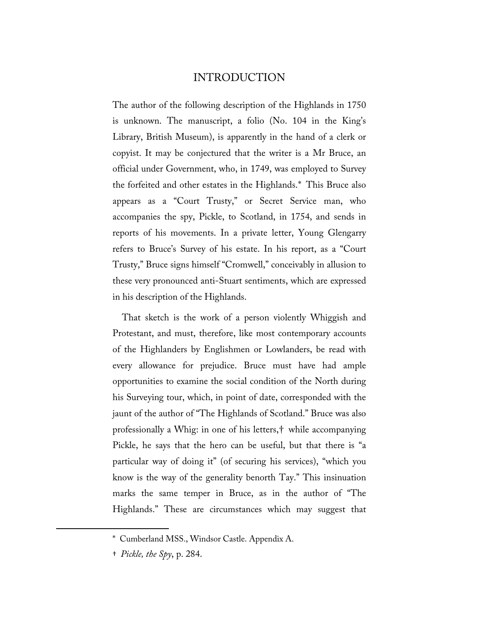# INTRODUCTION

The author of the following description of the Highlands in 1750 is unknown. The manuscript, a folio (No. 104 in the King's Library, British Museum), is apparently in the hand of a clerk or copyist. It may be conjectured that the writer is a Mr Bruce, an official under Government, who, in 1749, was employed to Survey the forfeited and other estates in the Highlands.[\\*](#page-3-0) This Bruce also appears as a "Court Trusty," or Secret Service man, who accompanies the spy, Pickle, to Scotland, in 1754, and sends in reports of his movements. In a private letter, Young Glengarry refers to Bruce's Survey of his estate. In his report, as a "Court Trusty," Bruce signs himself "Cromwell," conceivably in allusion to these very pronounced anti-Stuart sentiments, which are expressed in his description of the Highlands.

That sketch is the work of a person violently Whiggish and Protestant, and must, therefore, like most contemporary accounts of the Highlanders by Englishmen or Lowlanders, be read with every allowance for prejudice. Bruce must have had ample opportunities to examine the social condition of the North during his Surveying tour, which, in point of date, corresponded with the jaunt of the author of "The Highlands of Scotland." Bruce was also professionally a Whig: in one of his letters,[†](#page-3-1) while accompanying Pickle, he says that the hero can be useful, but that there is "a particular way of doing it" (of securing his services), "which you know is the way of the generality benorth Tay." This insinuation marks the same temper in Bruce, as in the author of "The Highlands." These are circumstances which may suggest that

<span id="page-3-1"></span><span id="page-3-0"></span> $\overline{\phantom{a}}$ 

<sup>\*</sup> Cumberland MSS., Windsor Castle. Appendix A.

<sup>†</sup> *Pickle, the Spy*, p. 284.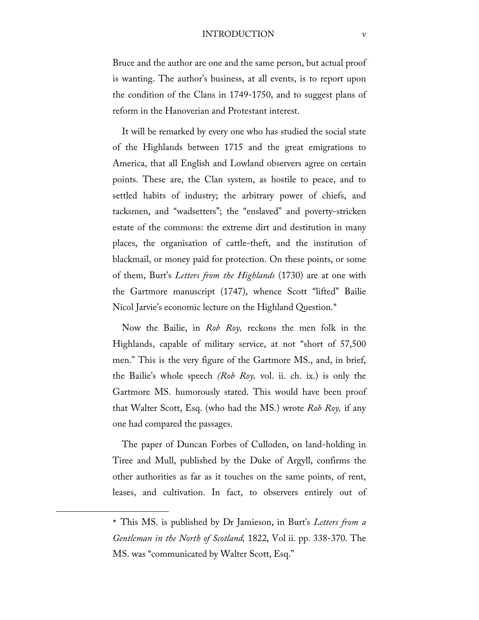#### INTRODUCTION v

Bruce and the author are one and the same person, but actual proof is wanting. The author's business, at all events, is to report upon the condition of the Clans in 1749-1750, and to suggest plans of reform in the Hanoverian and Protestant interest.

It will be remarked by every one who has studied the social state of the Highlands between 1715 and the great emigrations to America, that all English and Lowland observers agree on certain points. These are, the Clan system, as hostile to peace, and to settled habits of industry; the arbitrary power of chiefs, and tacksmen, and "wadsetters"; the "enslaved" and poverty-stricken estate of the commons: the extreme dirt and destitution in many places, the organisation of cattle-theft, and the institution of blackmail, or money paid for protection. On these points, or some of them, Burt's *Letters from the Highlands* (1730) are at one with the Gartmore manuscript (1747), whence Scott "lifted" Bailie Nicol Jarvie's economic lecture on the Highland Question.[\\*](#page-4-0)

Now the Bailie, in *Rob Roy,* reckons the men folk in the Highlands, capable of military service, at not "short of 57,500 men." This is the very figure of the Gartmore MS., and, in brief, the Bailie's whole speech *(Rob Roy,* vol. ii. ch. ix.) is only the Gartmore MS. humorously stated. This would have been proof that Walter Scott, Esq. (who had the MS.) wrote *Rob Roy,* if any one had compared the passages.

The paper of Duncan Forbes of Culloden, on land-holding in Tiree and Mull, published by the Duke of Argyll, confirms the other authorities as far as it touches on the same points, of rent, leases, and cultivation. In fact, to observers entirely out of

<span id="page-4-0"></span> $\overline{\phantom{a}}$ 

<sup>\*</sup> This MS. is published by Dr Jamieson, in Burt's *Letters from a Gentleman in the North of Scotland,* 1822, Vol ii. pp. 338-370. The MS. was "communicated by Walter Scott, Esq."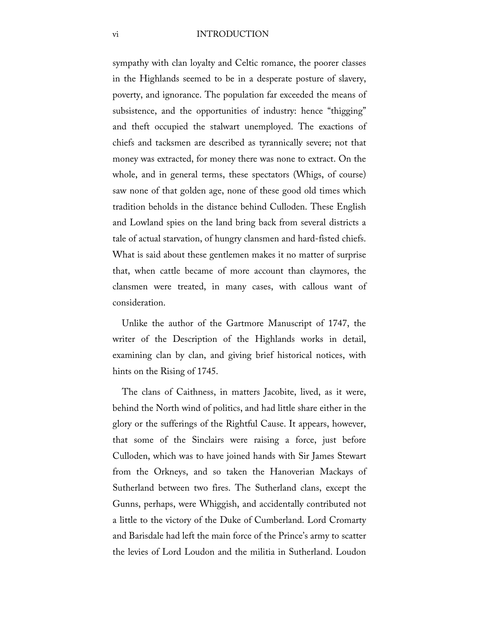#### vi INTRODUCTION

sympathy with clan loyalty and Celtic romance, the poorer classes in the Highlands seemed to be in a desperate posture of slavery, poverty, and ignorance. The population far exceeded the means of subsistence, and the opportunities of industry: hence "thigging" and theft occupied the stalwart unemployed. The exactions of chiefs and tacksmen are described as tyrannically severe; not that money was extracted, for money there was none to extract. On the whole, and in general terms, these spectators (Whigs, of course) saw none of that golden age, none of these good old times which tradition beholds in the distance behind Culloden. These English and Lowland spies on the land bring back from several districts a tale of actual starvation, of hungry clansmen and hard-fisted chiefs. What is said about these gentlemen makes it no matter of surprise that, when cattle became of more account than claymores, the clansmen were treated, in many cases, with callous want of consideration.

Unlike the author of the Gartmore Manuscript of 1747, the writer of the Description of the Highlands works in detail, examining clan by clan, and giving brief historical notices, with hints on the Rising of 1745.

The clans of Caithness, in matters Jacobite, lived, as it were, behind the North wind of politics, and had little share either in the glory or the sufferings of the Rightful Cause. It appears, however, that some of the Sinclairs were raising a force, just before Culloden, which was to have joined hands with Sir James Stewart from the Orkneys, and so taken the Hanoverian Mackays of Sutherland between two fires. The Sutherland clans, except the Gunns, perhaps, were Whiggish, and accidentally contributed not a little to the victory of the Duke of Cumberland. Lord Cromarty and Barisdale had left the main force of the Prince's army to scatter the levies of Lord Loudon and the militia in Sutherland. Loudon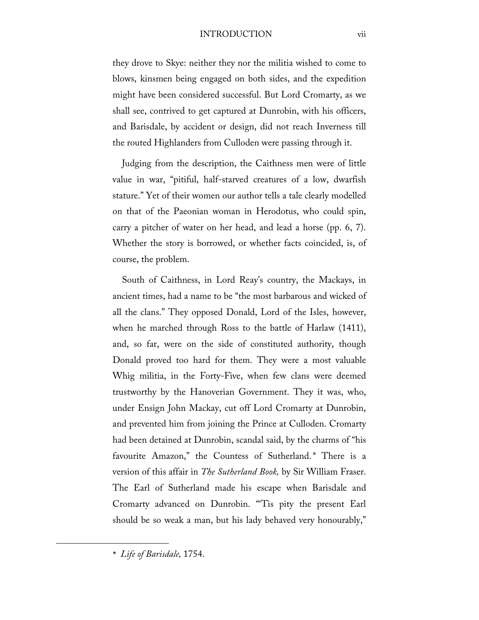#### INTRODUCTION vii

they drove to Skye: neither they nor the militia wished to come to blows, kinsmen being engaged on both sides, and the expedition might have been considered successful. But Lord Cromarty, as we shall see, contrived to get captured at Dunrobin, with his officers, and Barisdale, by accident or design, did not reach Inverness till the routed Highlanders from Culloden were passing through it.

Judging from the description, the Caithness men were of little value in war, "pitiful, half-starved creatures of a low, dwarfish stature." Yet of their women our author tells a tale clearly modelled on that of the Paeonian woman in Herodotus, who could spin, carry a pitcher of water on her head, and lead a horse (pp. 6, 7). Whether the story is borrowed, or whether facts coincided, is, of course, the problem.

South of Caithness, in Lord Reay's country, the Mackays, in ancient times, had a name to be "the most barbarous and wicked of all the clans." They opposed Donald, Lord of the Isles, however, when he marched through Ross to the battle of Harlaw (1411), and, so far, were on the side of constituted authority, though Donald proved too hard for them. They were a most valuable Whig militia, in the Forty-Five, when few clans were deemed trustworthy by the Hanoverian Government. They it was, who, under Ensign John Mackay, cut off Lord Cromarty at Dunrobin, and prevented him from joining the Prince at Culloden. Cromarty had been detained at Dunrobin, scandal said, by the charms of "his favourite Amazon," the Countess of Sutherland.[\\*](#page-6-0) There is a version of this affair in *The Sutherland Book,* by Sir William Fraser. The Earl of Sutherland made his escape when Barisdale and Cromarty advanced on Dunrobin. "'Tis pity the present Earl should be so weak a man, but his lady behaved very honourably,"

\* *Life of Barisdale,* 1754.

<span id="page-6-0"></span>l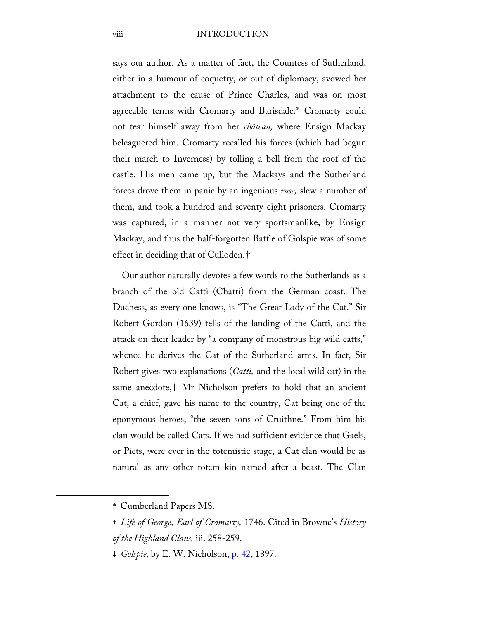viii INTRODUCTION

says our author. As a matter of fact, the Countess of Sutherland, either in a humour of coquetry, or out of diplomacy, avowed her attachment to the cause of Prince Charles, and was on most agreeable terms with Cromarty and Barisdale.[\\*](#page-7-0) Cromarty could not tear himself away from her *château,* where Ensign Mackay beleaguered him. Cromarty recalled his forces (which had begun their march to Inverness) by tolling a bell from the roof of the castle. His men came up, but the Mackays and the Sutherland forces drove them in panic by an ingenious *ruse,* slew a number of them, and took a hundred and seventy-eight prisoners. Cromarty was captured, in a manner not very sportsmanlike, by Ensign Mackay, and thus the half-forgotten Battle of Golspie was of some effect in deciding that of Culloden.[†](#page-7-1)

Our author naturally devotes a few words to the Sutherlands as a branch of the old Catti (Chatti) from the German coast. The Duchess, as every one knows, is "The Great Lady of the Cat." Sir Robert Gordon (1639) tells of the landing of the Catti, and the attack on their leader by "a company of monstrous big wild catts," whence he derives the Cat of the Sutherland arms. In fact, Sir Robert gives two explanations (*Catti,* and the local wild cat) in the same anecdote,[‡](#page-7-2) Mr Nicholson prefers to hold that an ancient Cat, a chief, gave his name to the country, Cat being one of the eponymous heroes, "the seven sons of Cruithne." From him his clan would be called Cats. If we had sufficient evidence that Gaels, or Picts, were ever in the totemistic stage, a Cat clan would be as natural as any other totem kin named after a beast. The Clan

<span id="page-7-2"></span><span id="page-7-1"></span><span id="page-7-0"></span> $\overline{\phantom{a}}$ 

<sup>\*</sup> Cumberland Papers MS.

<sup>†</sup> *Life of George, Earl of Cromarty,* 1746. Cited in Browne's *History of the Highland Clans,* iii. 258-259.

<sup>‡</sup> *Golspie,* by E. W. Nicholson, [p. 42,](http://books.google.com/books?id=Qg7aAAAAMAAJ&dq=Golspie%20Nicholson&pg=PA42#v=onepage&q&f=false) 1897.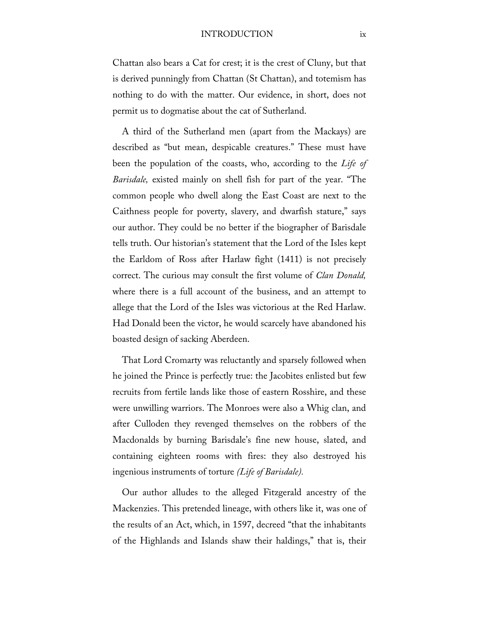#### INTRODUCTION ix

Chattan also bears a Cat for crest; it is the crest of Cluny, but that is derived punningly from Chattan (St Chattan), and totemism has nothing to do with the matter. Our evidence, in short, does not permit us to dogmatise about the cat of Sutherland.

A third of the Sutherland men (apart from the Mackays) are described as "but mean, despicable creatures." These must have been the population of the coasts, who, according to the *Life of Barisdale,* existed mainly on shell fish for part of the year. "The common people who dwell along the East Coast are next to the Caithness people for poverty, slavery, and dwarfish stature," says our author. They could be no better if the biographer of Barisdale tells truth. Our historian's statement that the Lord of the Isles kept the Earldom of Ross after Harlaw fight (1411) is not precisely correct. The curious may consult the first volume of *Clan Donald,*  where there is a full account of the business, and an attempt to allege that the Lord of the Isles was victorious at the Red Harlaw. Had Donald been the victor, he would scarcely have abandoned his boasted design of sacking Aberdeen.

That Lord Cromarty was reluctantly and sparsely followed when he joined the Prince is perfectly true: the Jacobites enlisted but few recruits from fertile lands like those of eastern Rosshire, and these were unwilling warriors. The Monroes were also a Whig clan, and after Culloden they revenged themselves on the robbers of the Macdonalds by burning Barisdale's fine new house, slated, and containing eighteen rooms with fires: they also destroyed his ingenious instruments of torture *(Life of Barisdale).*

Our author alludes to the alleged Fitzgerald ancestry of the Mackenzies. This pretended lineage, with others like it, was one of the results of an Act, which, in 1597, decreed "that the inhabitants of the Highlands and Islands shaw their haldings," that is, their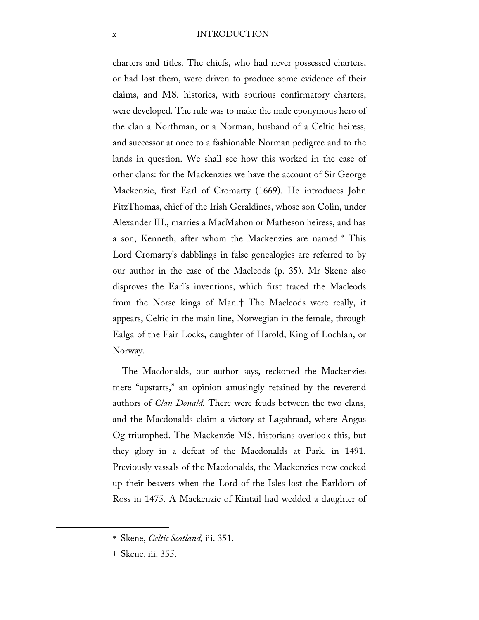#### x INTRODUCTION

charters and titles. The chiefs, who had never possessed charters, or had lost them, were driven to produce some evidence of their claims, and MS. histories, with spurious confirmatory charters, were developed. The rule was to make the male eponymous hero of the clan a Northman, or a Norman, husband of a Celtic heiress, and successor at once to a fashionable Norman pedigree and to the lands in question. We shall see how this worked in the case of other clans: for the Mackenzies we have the account of Sir George Mackenzie, first Earl of Cromarty (1669). He introduces John FitzThomas, chief of the Irish Geraldines, whose son Colin, under Alexander III., marries a MacMahon or Matheson heiress, and has a son, Kenneth, after whom the Mackenzies are named.[\\*](#page-9-0) This Lord Cromarty's dabblings in false genealogies are referred to by our author in the case of the Macleods (p. 35). Mr Skene also disproves the Earl's inventions, which first traced the Macleods from the Norse kings of Man.[†](#page-9-1) The Macleods were really, it appears, Celtic in the main line, Norwegian in the female, through Ealga of the Fair Locks, daughter of Harold, King of Lochlan, or Norway.

The Macdonalds, our author says, reckoned the Mackenzies mere "upstarts," an opinion amusingly retained by the reverend authors of *Clan Donald.* There were feuds between the two clans, and the Macdonalds claim a victory at Lagabraad, where Angus Og triumphed. The Mackenzie MS. historians overlook this, but they glory in a defeat of the Macdonalds at Park, in 1491. Previously vassals of the Macdonalds, the Mackenzies now cocked up their beavers when the Lord of the Isles lost the Earldom of Ross in 1475. A Mackenzie of Kintail had wedded a daughter of

<span id="page-9-1"></span><span id="page-9-0"></span> $\overline{\phantom{a}}$ 

<sup>\*</sup> Skene, *Celtic Scotland,* iii. 351.

<sup>†</sup> Skene, iii. 355.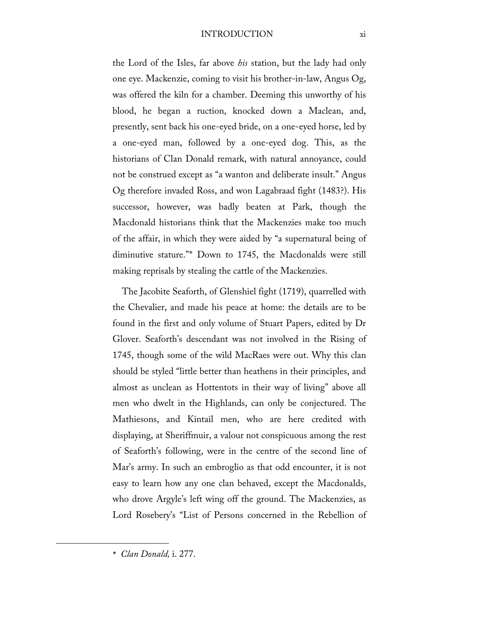#### INTRODUCTION xi

the Lord of the Isles, far above *his* station, but the lady had only one eye. Mackenzie, coming to visit his brother-in-law, Angus Og, was offered the kiln for a chamber. Deeming this unworthy of his blood, he began a ruction, knocked down a Maclean, and, presently, sent back his one-eyed bride, on a one-eyed horse, led by a one-eyed man, followed by a one-eyed dog. This, as the historians of Clan Donald remark, with natural annoyance, could not be construed except as "a wanton and deliberate insult." Angus Og therefore invaded Ross, and won Lagabraad fight (1483?). His successor, however, was badly beaten at Park, though the Macdonald historians think that the Mackenzies make too much of the affair, in which they were aided by "a supernatural being of diminutive stature."[\\*](#page-10-0) Down to 1745, the Macdonalds were still making reprisals by stealing the cattle of the Mackenzies.

The Jacobite Seaforth, of Glenshiel fight (1719), quarrelled with the Chevalier, and made his peace at home: the details are to be found in the first and only volume of Stuart Papers, edited by Dr Glover. Seaforth's descendant was not involved in the Rising of 1745, though some of the wild MacRaes were out. Why this clan should be styled "little better than heathens in their principles, and almost as unclean as Hottentots in their way of living" above all men who dwelt in the Highlands, can only be conjectured. The Mathiesons, and Kintail men, who are here credited with displaying, at Sheriffmuir, a valour not conspicuous among the rest of Seaforth's following, were in the centre of the second line of Mar's army. In such an embroglio as that odd encounter, it is not easy to learn how any one clan behaved, except the Macdonalds, who drove Argyle's left wing off the ground. The Mackenzies, as Lord Rosebery's "List of Persons concerned in the Rebellion of

<span id="page-10-0"></span>l

<sup>\*</sup> *Clan Donald,* i. 277.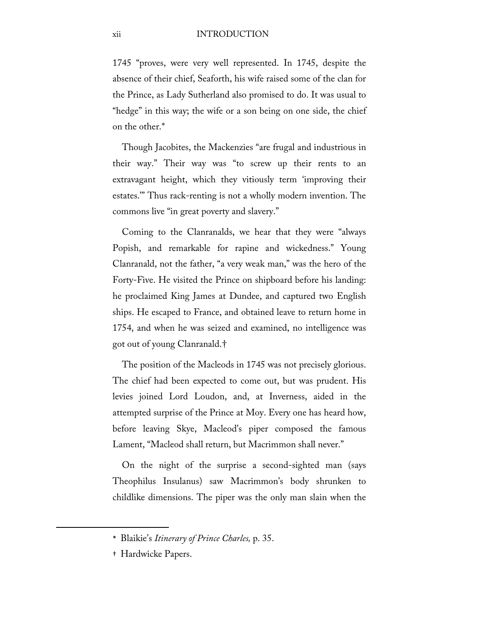1745 "proves, were very well represented. In 1745, despite the absence of their chief, Seaforth, his wife raised some of the clan for the Prince, as Lady Sutherland also promised to do. It was usual to "hedge" in this way; the wife or a son being on one side, the chief on the other.[\\*](#page-11-0)

Though Jacobites, the Mackenzies "are frugal and industrious in their way." Their way was "to screw up their rents to an extravagant height, which they vitiously term 'improving their estates.'" Thus rack-renting is not a wholly modern invention. The commons live "in great poverty and slavery."

Coming to the Clanranalds, we hear that they were "always Popish, and remarkable for rapine and wickedness." Young Clanranald, not the father, "a very weak man," was the hero of the Forty-Five. He visited the Prince on shipboard before his landing: he proclaimed King James at Dundee, and captured two English ships. He escaped to France, and obtained leave to return home in 1754, and when he was seized and examined, no intelligence was got out of young Clanranald.[†](#page-11-1)

The position of the Macleods in 1745 was not precisely glorious. The chief had been expected to come out, but was prudent. His levies joined Lord Loudon, and, at Inverness, aided in the attempted surprise of the Prince at Moy. Every one has heard how, before leaving Skye, Macleod's piper composed the famous Lament, "Macleod shall return, but Macrimmon shall never."

On the night of the surprise a second-sighted man (says Theophilus Insulanus) saw Macrimmon's body shrunken to childlike dimensions. The piper was the only man slain when the

<span id="page-11-1"></span><span id="page-11-0"></span> $\overline{\phantom{a}}$ 

<sup>\*</sup> Blaikie's *Itinerary of Prince Charles,* p. 35.

<sup>†</sup> Hardwicke Papers.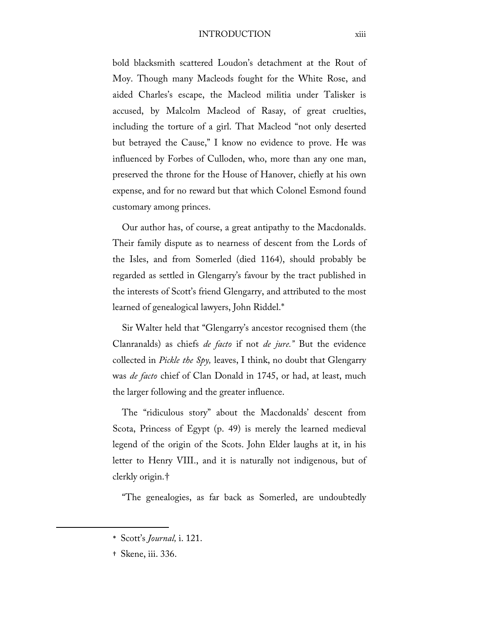#### INTRODUCTION xiii

bold blacksmith scattered Loudon's detachment at the Rout of Moy. Though many Macleods fought for the White Rose, and aided Charles's escape, the Macleod militia under Talisker is accused, by Malcolm Macleod of Rasay, of great cruelties, including the torture of a girl. That Macleod "not only deserted but betrayed the Cause," I know no evidence to prove. He was influenced by Forbes of Culloden, who, more than any one man, preserved the throne for the House of Hanover, chiefly at his own expense, and for no reward but that which Colonel Esmond found customary among princes.

Our author has, of course, a great antipathy to the Macdonalds. Their family dispute as to nearness of descent from the Lords of the Isles, and from Somerled (died 1164), should probably be regarded as settled in Glengarry's favour by the tract published in the interests of Scott's friend Glengarry, and attributed to the most learned of genealogical lawyers, John Riddel.[\\*](#page-12-0)

Sir Walter held that "Glengarry's ancestor recognised them (the Clanranalds) as chiefs *de facto* if not *de jure."* But the evidence collected in *Pickle the Spy,* leaves, I think, no doubt that Glengarry was *de facto* chief of Clan Donald in 1745, or had, at least, much the larger following and the greater influence.

The "ridiculous story" about the Macdonalds' descent from Scota, Princess of Egypt (p. 49) is merely the learned medieval legend of the origin of the Scots. John Elder laughs at it, in his letter to Henry VIII., and it is naturally not indigenous, but of clerkly origin.[†](#page-12-1)

"The genealogies, as far back as Somerled, are undoubtedly

† Skene, iii. 336.

<span id="page-12-1"></span><span id="page-12-0"></span> $\overline{\phantom{a}}$ 

<sup>\*</sup> Scott's *Journal,* i. 121.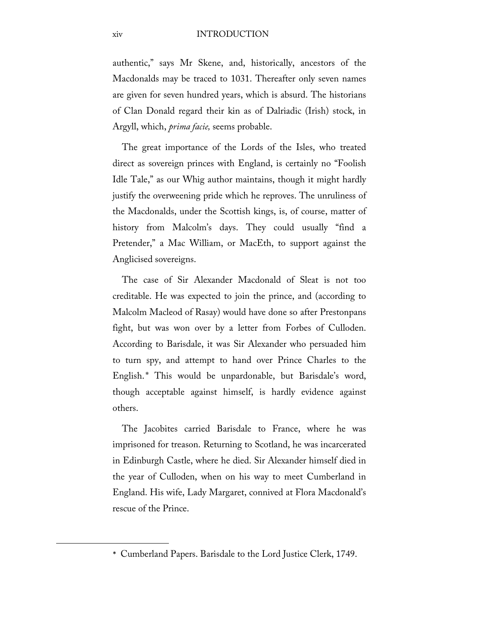authentic," says Mr Skene, and, historically, ancestors of the Macdonalds may be traced to 1031. Thereafter only seven names are given for seven hundred years, which is absurd. The historians of Clan Donald regard their kin as of Dalriadic (Irish) stock, in Argyll, which, *prima facie,* seems probable.

The great importance of the Lords of the Isles, who treated direct as sovereign princes with England, is certainly no "Foolish Idle Tale," as our Whig author maintains, though it might hardly justify the overweening pride which he reproves. The unruliness of the Macdonalds, under the Scottish kings, is, of course, matter of history from Malcolm's days. They could usually "find a Pretender," a Mac William, or MacEth, to support against the Anglicised sovereigns.

The case of Sir Alexander Macdonald of Sleat is not too creditable. He was expected to join the prince, and (according to Malcolm Macleod of Rasay) would have done so after Prestonpans fight, but was won over by a letter from Forbes of Culloden. According to Barisdale, it was Sir Alexander who persuaded him to turn spy, and attempt to hand over Prince Charles to the English.[\\*](#page-13-0) This would be unpardonable, but Barisdale's word, though acceptable against himself, is hardly evidence against others.

The Jacobites carried Barisdale to France, where he was imprisoned for treason. Returning to Scotland, he was incarcerated in Edinburgh Castle, where he died. Sir Alexander himself died in the year of Culloden, when on his way to meet Cumberland in England. His wife, Lady Margaret, connived at Flora Macdonald's rescue of the Prince.

<span id="page-13-0"></span>l

<sup>\*</sup> Cumberland Papers. Barisdale to the Lord Justice Clerk, 1749.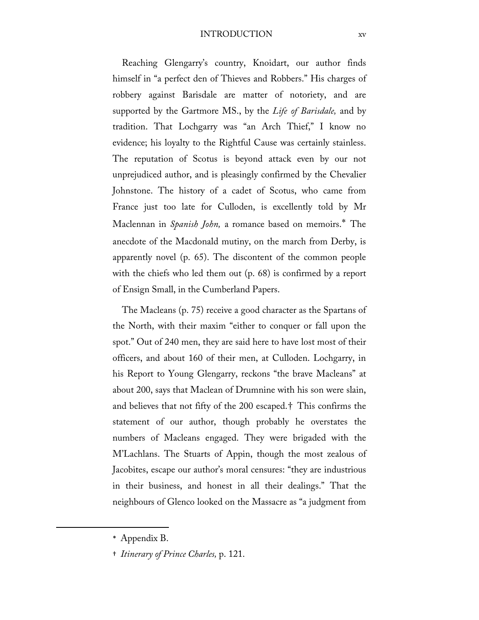#### INTRODUCTION xv

Reaching Glengarry's country, Knoidart, our author finds himself in "a perfect den of Thieves and Robbers." His charges of robbery against Barisdale are matter of notoriety, and are supported by the Gartmore MS., by the *Life of Barisdale,* and by tradition. That Lochgarry was "an Arch Thief," I know no evidence; his loyalty to the Rightful Cause was certainly stainless. The reputation of Scotus is beyond attack even by our not unprejudiced author, and is pleasingly confirmed by the Chevalier Johnstone. The history of a cadet of Scotus, who came from France just too late for Culloden, is excellently told by Mr Maclennan in *Spanish John,* a romance based on memoirs.[\\*](#page-14-0) The anecdote of the Macdonald mutiny, on the march from Derby, is apparently novel (p. 65). The discontent of the common people with the chiefs who led them out (p. 68) is confirmed by a report of Ensign Small, in the Cumberland Papers.

The Macleans (p. 75) receive a good character as the Spartans of the North, with their maxim "either to conquer or fall upon the spot." Out of 240 men, they are said here to have lost most of their officers, and about 160 of their men, at Culloden. Lochgarry, in his Report to Young Glengarry, reckons "the brave Macleans" at about 200, says that Maclean of Drumnine with his son were slain, and believes that not fifty of the 200 escaped.[†](#page-14-1) This confirms the statement of our author, though probably he overstates the numbers of Macleans engaged. They were brigaded with the M'Lachlans. The Stuarts of Appin, though the most zealous of Jacobites, escape our author's moral censures: "they are industrious in their business, and honest in all their dealings." That the neighbours of Glenco looked on the Massacre as "a judgment from

<span id="page-14-1"></span><span id="page-14-0"></span> $\overline{\phantom{a}}$ 

† *Itinerary of Prince Charles,* p. 121.

<sup>\*</sup> Appendix B.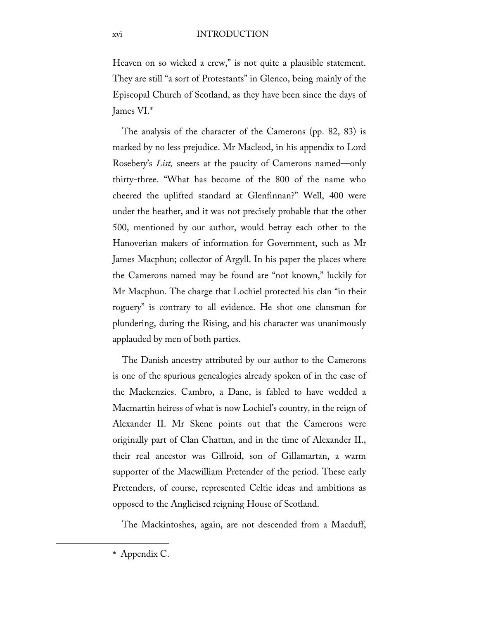Heaven on so wicked a crew," is not quite a plausible statement. They are still "a sort of Protestants" in Glenco, being mainly of the Episcopal Church of Scotland, as they have been since the days of James VI.[\\*](#page-15-0)

The analysis of the character of the Camerons (pp. 82, 83) is marked by no less prejudice. Mr Macleod, in his appendix to Lord Rosebery's *List,* sneers at the paucity of Camerons named—only thirty-three. "What has become of the 800 of the name who cheered the uplifted standard at Glenfinnan?" Well, 400 were under the heather, and it was not precisely probable that the other 500, mentioned by our author, would betray each other to the Hanoverian makers of information for Government, such as Mr James Macphun; collector of Argyll. In his paper the places where the Camerons named may be found are "not known," luckily for Mr Macphun. The charge that Lochiel protected his clan "in their roguery" is contrary to all evidence. He shot one clansman for plundering, during the Rising, and his character was unanimously applauded by men of both parties.

The Danish ancestry attributed by our author to the Camerons is one of the spurious genealogies already spoken of in the case of the Mackenzies. Cambro, a Dane, is fabled to have wedded a Macmartin heiress of what is now Lochiel's country, in the reign of Alexander II. Mr Skene points out that the Camerons were originally part of Clan Chattan, and in the time of Alexander II., their real ancestor was Gillroid, son of Gillamartan, a warm supporter of the Macwilliam Pretender of the period. These early Pretenders, of course, represented Celtic ideas and ambitions as opposed to the Anglicised reigning House of Scotland.

The Mackintoshes, again, are not descended from a Macduff,

<span id="page-15-0"></span>l

<sup>\*</sup> Appendix C.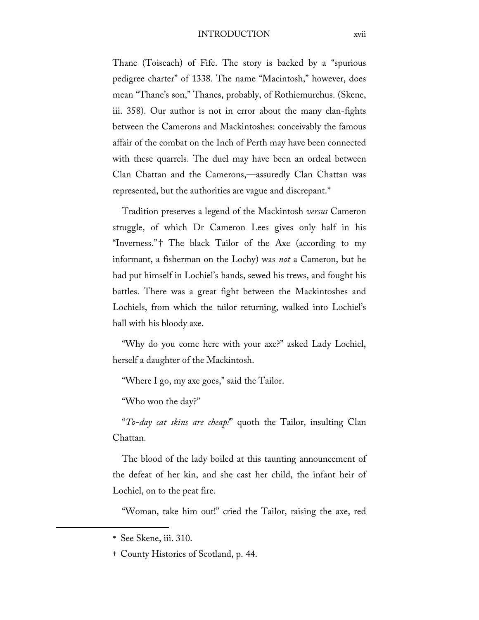#### INTRODUCTION xvii

Thane (Toiseach) of Fife. The story is backed by a "spurious pedigree charter" of 1338. The name "Macintosh," however, does mean "Thane's son," Thanes, probably, of Rothiemurchus. (Skene, iii. 358). Our author is not in error about the many clan-fights between the Camerons and Mackintoshes: conceivably the famous affair of the combat on the Inch of Perth may have been connected with these quarrels. The duel may have been an ordeal between Clan Chattan and the Camerons,—assuredly Clan Chattan was represented, but the authorities are vague and discrepant.[\\*](#page-16-0)

Tradition preserves a legend of the Mackintosh *versus* Cameron struggle, of which Dr Cameron Lees gives only half in his "Inverness."[†](#page-16-1) The black Tailor of the Axe (according to my informant, a fisherman on the Lochy) was *not* a Cameron, but he had put himself in Lochiel's hands, sewed his trews, and fought his battles. There was a great fight between the Mackintoshes and Lochiels, from which the tailor returning, walked into Lochiel's hall with his bloody axe.

"Why do you come here with your axe?" asked Lady Lochiel, herself a daughter of the Mackintosh.

"Where I go, my axe goes," said the Tailor.

"Who won the day?"

"*To-day cat skins are cheap!*" quoth the Tailor, insulting Clan Chattan.

The blood of the lady boiled at this taunting announcement of the defeat of her kin, and she cast her child, the infant heir of Lochiel, on to the peat fire.

"Woman, take him out!" cried the Tailor, raising the axe, red

<span id="page-16-1"></span><span id="page-16-0"></span> $\overline{\phantom{a}}$ 

† County Histories of Scotland, p. 44.

<sup>\*</sup> See Skene, iii. 310.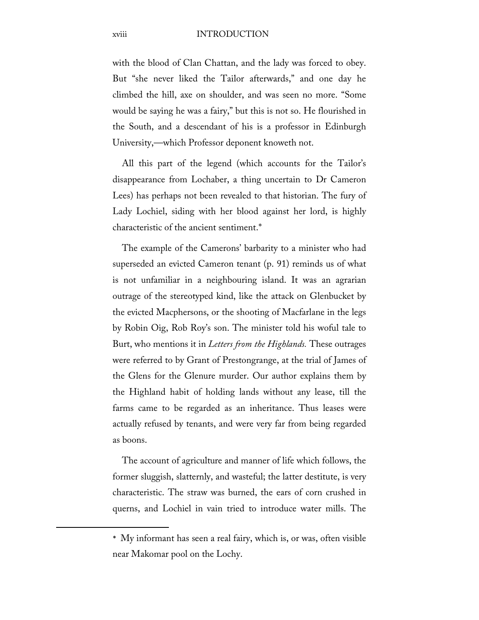with the blood of Clan Chattan, and the lady was forced to obey. But "she never liked the Tailor afterwards," and one day he climbed the hill, axe on shoulder, and was seen no more. "Some would be saying he was a fairy," but this is not so. He flourished in the South, and a descendant of his is a professor in Edinburgh University,—which Professor deponent knoweth not.

All this part of the legend (which accounts for the Tailor's disappearance from Lochaber, a thing uncertain to Dr Cameron Lees) has perhaps not been revealed to that historian. The fury of Lady Lochiel, siding with her blood against her lord, is highly characteristic of the ancient sentiment.[\\*](#page-17-0)

The example of the Camerons' barbarity to a minister who had superseded an evicted Cameron tenant (p. 91) reminds us of what is not unfamiliar in a neighbouring island. It was an agrarian outrage of the stereotyped kind, like the attack on Glenbucket by the evicted Macphersons, or the shooting of Macfarlane in the legs by Robin Oig, Rob Roy's son. The minister told his woful tale to Burt, who mentions it in *Letters from the Highlands.* These outrages were referred to by Grant of Prestongrange, at the trial of James of the Glens for the Glenure murder. Our author explains them by the Highland habit of holding lands without any lease, till the farms came to be regarded as an inheritance. Thus leases were actually refused by tenants, and were very far from being regarded as boons.

The account of agriculture and manner of life which follows, the former sluggish, slatternly, and wasteful; the latter destitute, is very characteristic. The straw was burned, the ears of corn crushed in querns, and Lochiel in vain tried to introduce water mills. The

<span id="page-17-0"></span> $\overline{\phantom{a}}$ 

<sup>\*</sup> My informant has seen a real fairy, which is, or was, often visible near Makomar pool on the Lochy.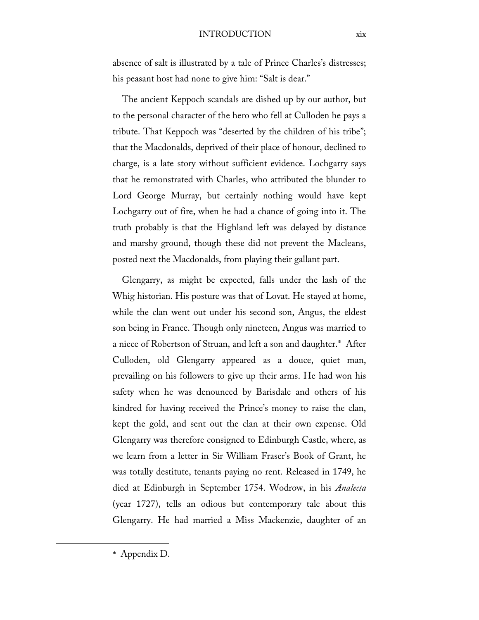#### INTRODUCTION xix

absence of salt is illustrated by a tale of Prince Charles's distresses; his peasant host had none to give him: "Salt is dear."

The ancient Keppoch scandals are dished up by our author, but to the personal character of the hero who fell at Culloden he pays a tribute. That Keppoch was "deserted by the children of his tribe"; that the Macdonalds, deprived of their place of honour, declined to charge, is a late story without sufficient evidence. Lochgarry says that he remonstrated with Charles, who attributed the blunder to Lord George Murray, but certainly nothing would have kept Lochgarry out of fire, when he had a chance of going into it. The truth probably is that the Highland left was delayed by distance and marshy ground, though these did not prevent the Macleans, posted next the Macdonalds, from playing their gallant part.

Glengarry, as might be expected, falls under the lash of the Whig historian. His posture was that of Lovat. He stayed at home, while the clan went out under his second son, Angus, the eldest son being in France. Though only nineteen, Angus was married to a niece of Robertson of Struan, and left a son and daughter.[\\*](#page-18-0) After Culloden, old Glengarry appeared as a douce, quiet man, prevailing on his followers to give up their arms. He had won his safety when he was denounced by Barisdale and others of his kindred for having received the Prince's money to raise the clan, kept the gold, and sent out the clan at their own expense. Old Glengarry was therefore consigned to Edinburgh Castle, where, as we learn from a letter in Sir William Fraser's Book of Grant, he was totally destitute, tenants paying no rent. Released in 1749, he died at Edinburgh in September 1754. Wodrow, in his *Analecta*  (year 1727), tells an odious but contemporary tale about this Glengarry. He had married a Miss Mackenzie, daughter of an

\* Appendix D.

<span id="page-18-0"></span>l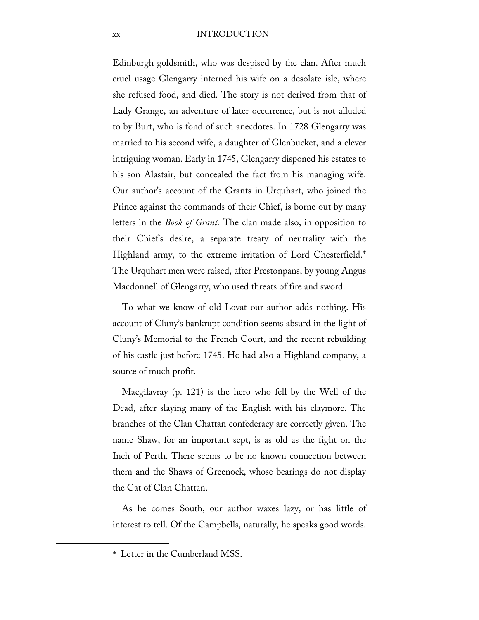#### xx INTRODUCTION

Edinburgh goldsmith, who was despised by the clan. After much cruel usage Glengarry interned his wife on a desolate isle, where she refused food, and died. The story is not derived from that of Lady Grange, an adventure of later occurrence, but is not alluded to by Burt, who is fond of such anecdotes. In 1728 Glengarry was married to his second wife, a daughter of Glenbucket, and a clever intriguing woman. Early in 1745, Glengarry disponed his estates to his son Alastair, but concealed the fact from his managing wife. Our author's account of the Grants in Urquhart, who joined the Prince against the commands of their Chief, is borne out by many letters in the *Book of Grant.* The clan made also, in opposition to their Chief's desire, a separate treaty of neutrality with the Highland army, to the extreme irritation of Lord Chesterfield.[\\*](#page-19-0) The Urquhart men were raised, after Prestonpans, by young Angus Macdonnell of Glengarry, who used threats of fire and sword.

To what we know of old Lovat our author adds nothing. His account of Cluny's bankrupt condition seems absurd in the light of Cluny's Memorial to the French Court, and the recent rebuilding of his castle just before 1745. He had also a Highland company, a source of much profit.

Macgilavray (p. 121) is the hero who fell by the Well of the Dead, after slaying many of the English with his claymore. The branches of the Clan Chattan confederacy are correctly given. The name Shaw, for an important sept, is as old as the fight on the Inch of Perth. There seems to be no known connection between them and the Shaws of Greenock, whose bearings do not display the Cat of Clan Chattan.

As he comes South, our author waxes lazy, or has little of interest to tell. Of the Campbells, naturally, he speaks good words.

<span id="page-19-0"></span>l

<sup>\*</sup> Letter in the Cumberland MSS.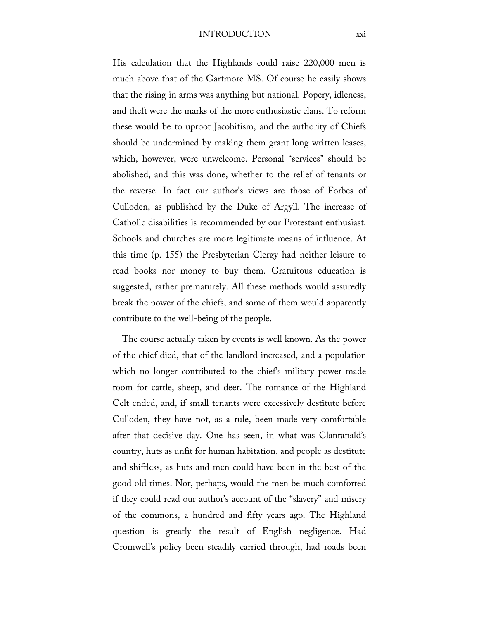#### INTRODUCTION xxi

His calculation that the Highlands could raise 220,000 men is much above that of the Gartmore MS. Of course he easily shows that the rising in arms was anything but national. Popery, idleness, and theft were the marks of the more enthusiastic clans. To reform these would be to uproot Jacobitism, and the authority of Chiefs should be undermined by making them grant long written leases, which, however, were unwelcome. Personal "services" should be abolished, and this was done, whether to the relief of tenants or the reverse. In fact our author's views are those of Forbes of Culloden, as published by the Duke of Argyll. The increase of Catholic disabilities is recommended by our Protestant enthusiast. Schools and churches are more legitimate means of influence. At this time (p. 155) the Presbyterian Clergy had neither leisure to read books nor money to buy them. Gratuitous education is suggested, rather prematurely. All these methods would assuredly break the power of the chiefs, and some of them would apparently contribute to the well-being of the people.

The course actually taken by events is well known. As the power of the chief died, that of the landlord increased, and a population which no longer contributed to the chief's military power made room for cattle, sheep, and deer. The romance of the Highland Celt ended, and, if small tenants were excessively destitute before Culloden, they have not, as a rule, been made very comfortable after that decisive day. One has seen, in what was Clanranald's country, huts as unfit for human habitation, and people as destitute and shiftless, as huts and men could have been in the best of the good old times. Nor, perhaps, would the men be much comforted if they could read our author's account of the "slavery" and misery of the commons, a hundred and fifty years ago. The Highland question is greatly the result of English negligence. Had Cromwell's policy been steadily carried through, had roads been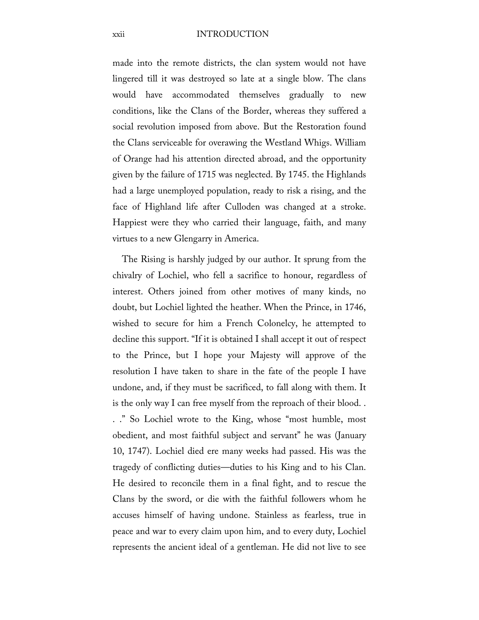#### xxii INTRODUCTION

made into the remote districts, the clan system would not have lingered till it was destroyed so late at a single blow. The clans would have accommodated themselves gradually to new conditions, like the Clans of the Border, whereas they suffered a social revolution imposed from above. But the Restoration found the Clans serviceable for overawing the Westland Whigs. William of Orange had his attention directed abroad, and the opportunity given by the failure of 1715 was neglected. By 1745. the Highlands had a large unemployed population, ready to risk a rising, and the face of Highland life after Culloden was changed at a stroke. Happiest were they who carried their language, faith, and many virtues to a new Glengarry in America.

The Rising is harshly judged by our author. It sprung from the chivalry of Lochiel, who fell a sacrifice to honour, regardless of interest. Others joined from other motives of many kinds, no doubt, but Lochiel lighted the heather. When the Prince, in 1746, wished to secure for him a French Colonelcy, he attempted to decline this support. "If it is obtained I shall accept it out of respect to the Prince, but I hope your Majesty will approve of the resolution I have taken to share in the fate of the people I have undone, and, if they must be sacrificed, to fall along with them. It is the only way I can free myself from the reproach of their blood. . . ." So Lochiel wrote to the King, whose "most humble, most obedient, and most faithful subject and servant" he was (January 10, 1747). Lochiel died ere many weeks had passed. His was the tragedy of conflicting duties—duties to his King and to his Clan. He desired to reconcile them in a final fight, and to rescue the Clans by the sword, or die with the faithful followers whom he accuses himself of having undone. Stainless as fearless, true in peace and war to every claim upon him, and to every duty, Lochiel represents the ancient ideal of a gentleman. He did not live to see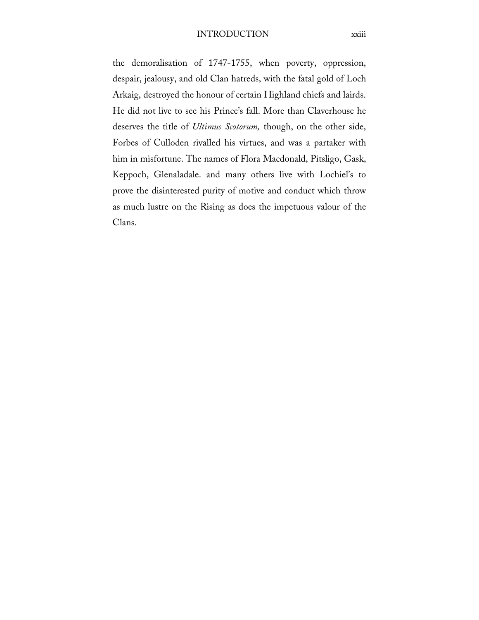the demoralisation of 1747-1755, when poverty, oppression, despair, jealousy, and old Clan hatreds, with the fatal gold of Loch Arkaig, destroyed the honour of certain Highland chiefs and lairds. He did not live to see his Prince's fall. More than Claverhouse he deserves the title of *Ultimus Scotorum,* though, on the other side, Forbes of Culloden rivalled his virtues, and was a partaker with him in misfortune. The names of Flora Macdonald, Pitsligo, Gask, Keppoch, Glenaladale. and many others live with Lochiel's to prove the disinterested purity of motive and conduct which throw as much lustre on the Rising as does the impetuous valour of the Clans.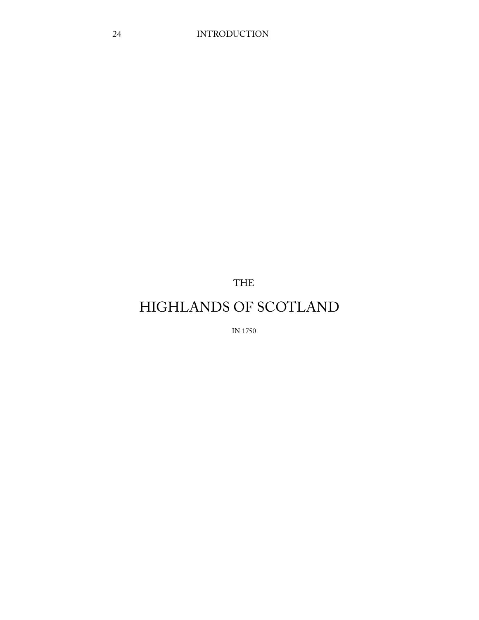THE

# HIGHLANDS OF SCOTLAND

IN 1750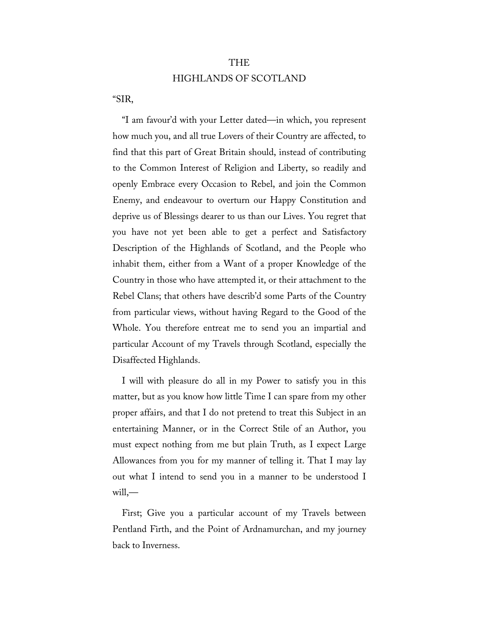# THE HIGHLANDS OF SCOTLAND

"SIR,

"I am favour'd with your Letter dated—in which, you represent how much you, and all true Lovers of their Country are affected, to find that this part of Great Britain should, instead of contributing to the Common Interest of Religion and Liberty, so readily and openly Embrace every Occasion to Rebel, and join the Common Enemy, and endeavour to overturn our Happy Constitution and deprive us of Blessings dearer to us than our Lives. You regret that you have not yet been able to get a perfect and Satisfactory Description of the Highlands of Scotland, and the People who inhabit them, either from a Want of a proper Knowledge of the Country in those who have attempted it, or their attachment to the Rebel Clans; that others have describ'd some Parts of the Country from particular views, without having Regard to the Good of the Whole. You therefore entreat me to send you an impartial and particular Account of my Travels through Scotland, especially the Disaffected Highlands.

I will with pleasure do all in my Power to satisfy you in this matter, but as you know how little Time I can spare from my other proper affairs, and that I do not pretend to treat this Subject in an entertaining Manner, or in the Correct Stile of an Author, you must expect nothing from me but plain Truth, as I expect Large Allowances from you for my manner of telling it. That I may lay out what I intend to send you in a manner to be understood I will,—

First; Give you a particular account of my Travels between Pentland Firth, and the Point of Ardnamurchan, and my journey back to Inverness.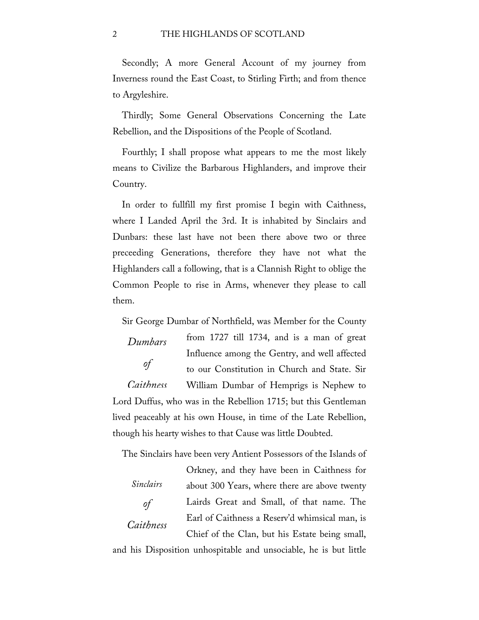#### 2 THE HIGHLANDS OF SCOTLAND

Secondly; A more General Account of my journey from Inverness round the East Coast, to Stirling Firth; and from thence to Argyleshire.

Thirdly; Some General Observations Concerning the Late Rebellion, and the Dispositions of the People of Scotland.

Fourthly; I shall propose what appears to me the most likely means to Civilize the Barbarous Highlanders, and improve their Country.

In order to fullfill my first promise I begin with Caithness, where I Landed April the 3rd. It is inhabited by Sinclairs and Dunbars: these last have not been there above two or three preceeding Generations, therefore they have not what the Highlanders call a following, that is a Clannish Right to oblige the Common People to rise in Arms, whenever they please to call them.

Sir George Dumbar of Northfield, was Member for the County

*Dumbars of Caithness* from 1727 till 1734, and is a man of great Influence among the Gentry, and well affected to our Constitution in Church and State. Sir William Dumbar of Hemprigs is Nephew to Lord Duffus, who was in the Rebellion 1715; but this Gentleman lived peaceably at his own House, in time of the Late Rebellion, though his hearty wishes to that Cause was little Doubted.

The Sinclairs have been very Antient Possessors of the Islands of

*Sinclairs of Caithness* Orkney, and they have been in Caithness for about 300 Years, where there are above twenty Lairds Great and Small, of that name. The Earl of Caithness a Reserv'd whimsical man, is Chief of the Clan, but his Estate being small,

and his Disposition unhospitable and unsociable, he is but little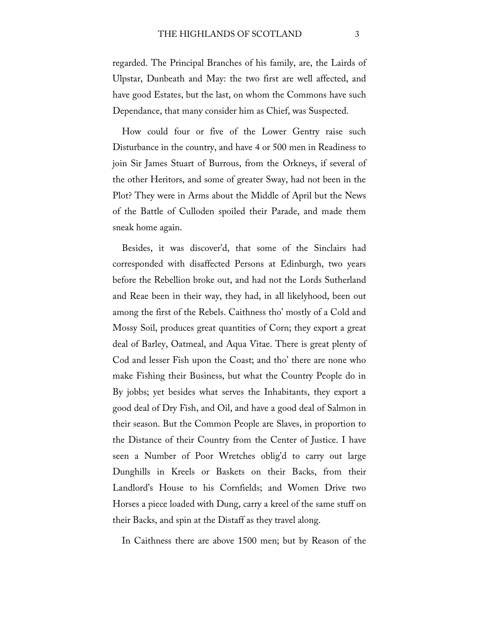regarded. The Principal Branches of his family, are, the Lairds of Ulpstar, Dunbeath and May: the two first are well affected, and have good Estates, but the last, on whom the Commons have such Dependance, that many consider him as Chief, was Suspected.

How could four or five of the Lower Gentry raise such Disturbance in the country, and have 4 or 500 men in Readiness to join Sir James Stuart of Burrous, from the Orkneys, if several of the other Heritors, and some of greater Sway, had not been in the Plot? They were in Arms about the Middle of April but the News of the Battle of Culloden spoiled their Parade, and made them sneak home again.

Besides, it was discover'd, that some of the Sinclairs had corresponded with disaffected Persons at Edinburgh, two years before the Rebellion broke out, and had not the Lords Sutherland and Reae been in their way, they had, in all likelyhood, been out among the first of the Rebels. Caithness tho' mostly of a Cold and Mossy Soil, produces great quantities of Corn; they export a great deal of Barley, Oatmeal, and Aqua Vitae. There is great plenty of Cod and lesser Fish upon the Coast; and tho' there are none who make Fishing their Business, but what the Country People do in By jobbs; yet besides what serves the Inhabitants, they export a good deal of Dry Fish, and Oil, and have a good deal of Salmon in their season. But the Common People are Slaves, in proportion to the Distance of their Country from the Center of Justice. I have seen a Number of Poor Wretches oblig'd to carry out large Dunghills in Kreels or Baskets on their Backs, from their Landlord's House to his Cornfields; and Women Drive two Horses a piece loaded with Dung, carry a kreel of the same stuff on their Backs, and spin at the Distaff as they travel along.

In Caithness there are above 1500 men; but by Reason of the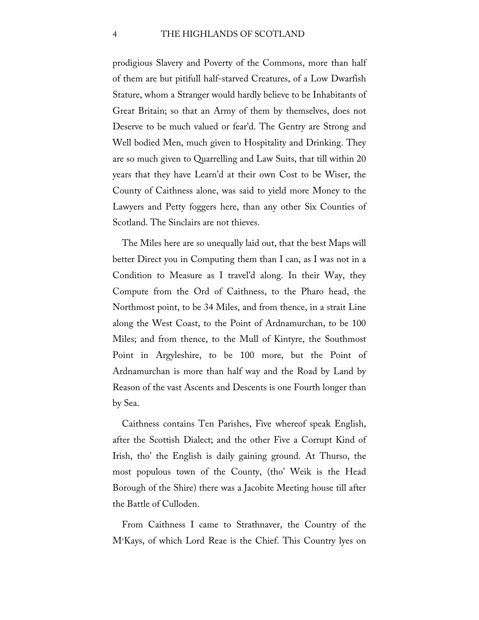prodigious Slavery and Poverty of the Commons, more than half of them are but pitifull half-starved Creatures, of a Low Dwarfish Stature, whom a Stranger would hardly believe to be Inhabitants of Great Britain; so that an Army of them by themselves, does not Deserve to be much valued or fear'd. The Gentry are Strong and Well bodied Men, much given to Hospitality and Drinking. They are so much given to Quarrelling and Law Suits, that till within 20 years that they have Learn'd at their own Cost to be Wiser, the County of Caithness alone, was said to yield more Money to the Lawyers and Petty foggers here, than any other Six Counties of Scotland. The Sinclairs are not thieves.

The Miles here are so unequally laid out, that the best Maps will better Direct you in Computing them than I can, as I was not in a Condition to Measure as I travel'd along. In their Way, they Compute from the Ord of Caithness, to the Pharo head, the Northmost point, to be 34 Miles, and from thence, in a strait Line along the West Coast, to the Point of Ardnamurchan, to be 100 Miles; and from thence, to the Mull of Kintyre, the Southmost Point in Argyleshire, to be 100 more, but the Point of Ardnamurchan is more than half way and the Road by Land by Reason of the vast Ascents and Descents is one Fourth longer than by Sea.

Caithness contains Ten Parishes, Five whereof speak English, after the Scottish Dialect; and the other Five a Corrupt Kind of Irish, tho' the English is daily gaining ground. At Thurso, the most populous town of the County, (tho' Weik is the Head Borough of the Shire) there was a Jacobite Meeting house till after the Battle of Culloden.

From Caithness I came to Strathnaver, the Country of the Mc Kays, of which Lord Reae is the Chief. This Country lyes on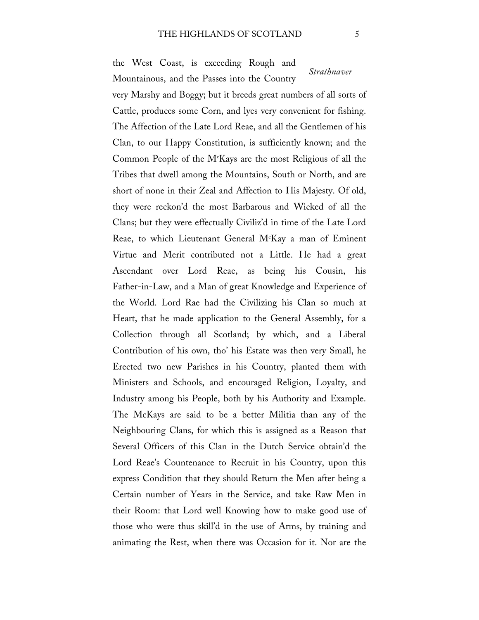the West Coast, is exceeding Rough and Mountainous, and the Passes into the Country

*Strathnaver*

very Marshy and Boggy; but it breeds great numbers of all sorts of Cattle, produces some Corn, and lyes very convenient for fishing. The Affection of the Late Lord Reae, and all the Gentlemen of his Clan, to our Happy Constitution, is sufficiently known; and the Common People of the Mc Kays are the most Religious of all the Tribes that dwell among the Mountains, South or North, and are short of none in their Zeal and Affection to His Majesty. Of old, they were reckon'd the most Barbarous and Wicked of all the Clans; but they were effectually Civiliz'd in time of the Late Lord Reae, to which Lieutenant General M<sup>c</sup>Kay a man of Eminent Virtue and Merit contributed not a Little. He had a great Ascendant over Lord Reae, as being his Cousin, his Father-in-Law, and a Man of great Knowledge and Experience of the World. Lord Rae had the Civilizing his Clan so much at Heart, that he made application to the General Assembly, for a Collection through all Scotland; by which, and a Liberal Contribution of his own, tho' his Estate was then very Small, he Erected two new Parishes in his Country, planted them with Ministers and Schools, and encouraged Religion, Loyalty, and Industry among his People, both by his Authority and Example. The McKays are said to be a better Militia than any of the Neighbouring Clans, for which this is assigned as a Reason that Several Officers of this Clan in the Dutch Service obtain'd the Lord Reae's Countenance to Recruit in his Country, upon this express Condition that they should Return the Men after being a Certain number of Years in the Service, and take Raw Men in their Room: that Lord well Knowing how to make good use of those who were thus skill'd in the use of Arms, by training and animating the Rest, when there was Occasion for it. Nor are the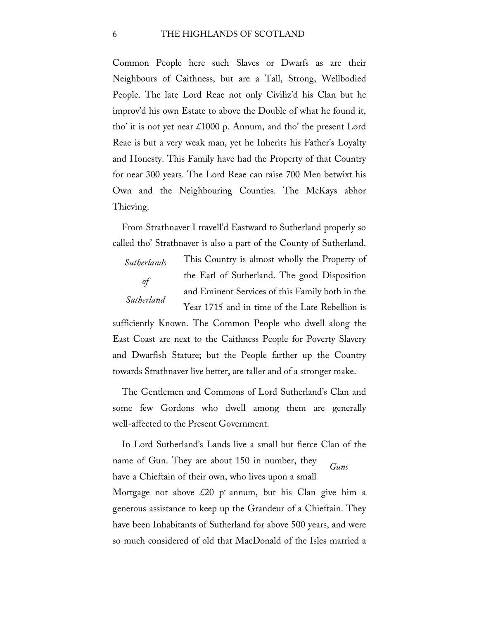Common People here such Slaves or Dwarfs as are their Neighbours of Caithness, but are a Tall, Strong, Wellbodied People. The late Lord Reae not only Civiliz'd his Clan but he improv'd his own Estate to above the Double of what he found it, tho' it is not yet near  $\text{\pounds}1000$  p. Annum, and tho' the present Lord Reae is but a very weak man, yet he Inherits his Father's Loyalty and Honesty. This Family have had the Property of that Country for near 300 years. The Lord Reae can raise 700 Men betwixt his Own and the Neighbouring Counties. The McKays abhor Thieving.

From Strathnaver I travell'd Eastward to Sutherland properly so called tho' Strathnaver is also a part of the County of Sutherland.

*of Sutherland*

*Sutherlands* 

This Country is almost wholly the Property of the Earl of Sutherland. The good Disposition and Eminent Services of this Family both in the Year 1715 and in time of the Late Rebellion is

sufficiently Known. The Common People who dwell along the East Coast are next to the Caithness People for Poverty Slavery and Dwarfish Stature; but the People farther up the Country towards Strathnaver live better, are taller and of a stronger make.

The Gentlemen and Commons of Lord Sutherland's Clan and some few Gordons who dwell among them are generally well-affected to the Present Government.

*Guns* In Lord Sutherland's Lands live a small but fierce Clan of the name of Gun. They are about 150 in number, they have a Chieftain of their own, who lives upon a small Mortgage not above  $\&20$  p<sup>r</sup> annum, but his Clan give him a generous assistance to keep up the Grandeur of a Chieftain. They have been Inhabitants of Sutherland for above 500 years, and were so much considered of old that MacDonald of the Isles married a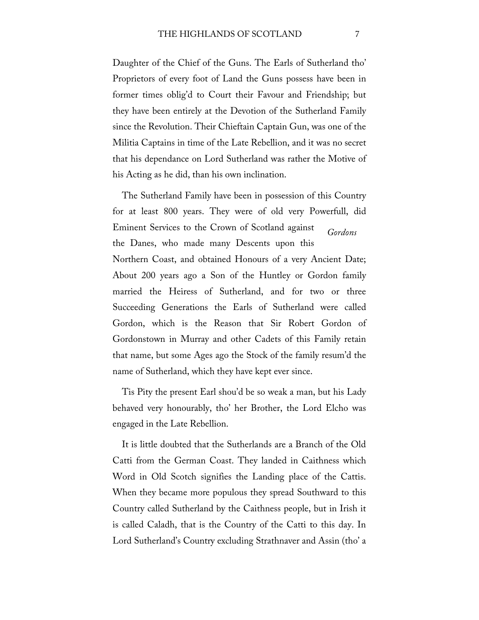Daughter of the Chief of the Guns. The Earls of Sutherland tho' Proprietors of every foot of Land the Guns possess have been in former times oblig'd to Court their Favour and Friendship; but they have been entirely at the Devotion of the Sutherland Family since the Revolution. Their Chieftain Captain Gun, was one of the Militia Captains in time of the Late Rebellion, and it was no secret that his dependance on Lord Sutherland was rather the Motive of his Acting as he did, than his own inclination.

*Gordons* The Sutherland Family have been in possession of this Country for at least 800 years. They were of old very Powerfull, did Eminent Services to the Crown of Scotland against the Danes, who made many Descents upon this Northern Coast, and obtained Honours of a very Ancient Date; About 200 years ago a Son of the Huntley or Gordon family married the Heiress of Sutherland, and for two or three Succeeding Generations the Earls of Sutherland were called Gordon, which is the Reason that Sir Robert Gordon of Gordonstown in Murray and other Cadets of this Family retain that name, but some Ages ago the Stock of the family resum'd the name of Sutherland, which they have kept ever since.

Tis Pity the present Earl shou'd be so weak a man, but his Lady behaved very honourably, tho' her Brother, the Lord Elcho was engaged in the Late Rebellion.

It is little doubted that the Sutherlands are a Branch of the Old Catti from the German Coast. They landed in Caithness which Word in Old Scotch signifies the Landing place of the Cattis. When they became more populous they spread Southward to this Country called Sutherland by the Caithness people, but in Irish it is called Caladh, that is the Country of the Catti to this day. In Lord Sutherland's Country excluding Strathnaver and Assin (tho' a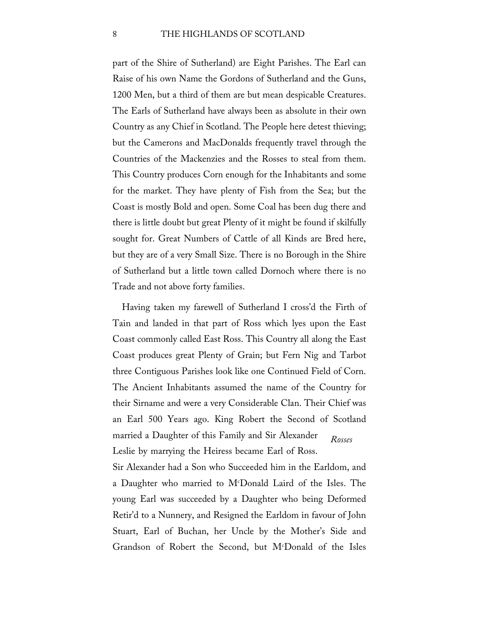part of the Shire of Sutherland) are Eight Parishes. The Earl can Raise of his own Name the Gordons of Sutherland and the Guns, 1200 Men, but a third of them are but mean despicable Creatures. The Earls of Sutherland have always been as absolute in their own Country as any Chief in Scotland. The People here detest thieving; but the Camerons and MacDonalds frequently travel through the Countries of the Mackenzies and the Rosses to steal from them. This Country produces Corn enough for the Inhabitants and some for the market. They have plenty of Fish from the Sea; but the Coast is mostly Bold and open. Some Coal has been dug there and there is little doubt but great Plenty of it might be found if skilfully sought for. Great Numbers of Cattle of all Kinds are Bred here, but they are of a very Small Size. There is no Borough in the Shire of Sutherland but a little town called Dornoch where there is no Trade and not above forty families.

*Rosses* Having taken my farewell of Sutherland I cross'd the Firth of Tain and landed in that part of Ross which lyes upon the East Coast commonly called East Ross. This Country all along the East Coast produces great Plenty of Grain; but Fern Nig and Tarbot three Contiguous Parishes look like one Continued Field of Corn. The Ancient Inhabitants assumed the name of the Country for their Sirname and were a very Considerable Clan. Their Chief was an Earl 500 Years ago. King Robert the Second of Scotland married a Daughter of this Family and Sir Alexander Leslie by marrying the Heiress became Earl of Ross.

Sir Alexander had a Son who Succeeded him in the Earldom, and a Daughter who married to Mc Donald Laird of the Isles. The young Earl was succeeded by a Daughter who being Deformed Retir'd to a Nunnery, and Resigned the Earldom in favour of John Stuart, Earl of Buchan, her Uncle by the Mother's Side and Grandson of Robert the Second, but M<sup>c</sup>Donald of the Isles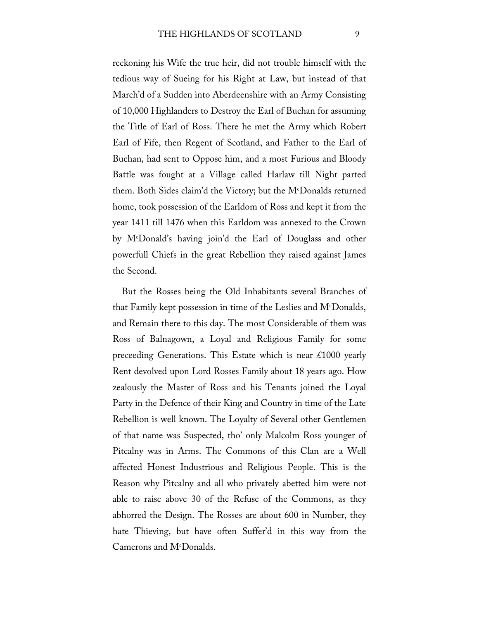reckoning his Wife the true heir, did not trouble himself with the tedious way of Sueing for his Right at Law, but instead of that March'd of a Sudden into Aberdeenshire with an Army Consisting of 10,000 Highlanders to Destroy the Earl of Buchan for assuming the Title of Earl of Ross. There he met the Army which Robert Earl of Fife, then Regent of Scotland, and Father to the Earl of Buchan, had sent to Oppose him, and a most Furious and Bloody Battle was fought at a Village called Harlaw till Night parted them. Both Sides claim'd the Victory; but the Mc Donalds returned home, took possession of the Earldom of Ross and kept it from the year 1411 till 1476 when this Earldom was annexed to the Crown by Mc Donald's having join'd the Earl of Douglass and other powerfull Chiefs in the great Rebellion they raised against James the Second.

But the Rosses being the Old Inhabitants several Branches of that Family kept possession in time of the Leslies and Mc Donalds, and Remain there to this day. The most Considerable of them was Ross of Balnagown, a Loyal and Religious Family for some preceeding Generations. This Estate which is near £1000 yearly Rent devolved upon Lord Rosses Family about 18 years ago. How zealously the Master of Ross and his Tenants joined the Loyal Party in the Defence of their King and Country in time of the Late Rebellion is well known. The Loyalty of Several other Gentlemen of that name was Suspected, tho' only Malcolm Ross younger of Pitcalny was in Arms. The Commons of this Clan are a Well affected Honest Industrious and Religious People. This is the Reason why Pitcalny and all who privately abetted him were not able to raise above 30 of the Refuse of the Commons, as they abhorred the Design. The Rosses are about 600 in Number, they hate Thieving, but have often Suffer'd in this way from the Camerons and M<sup>c</sup>Donalds.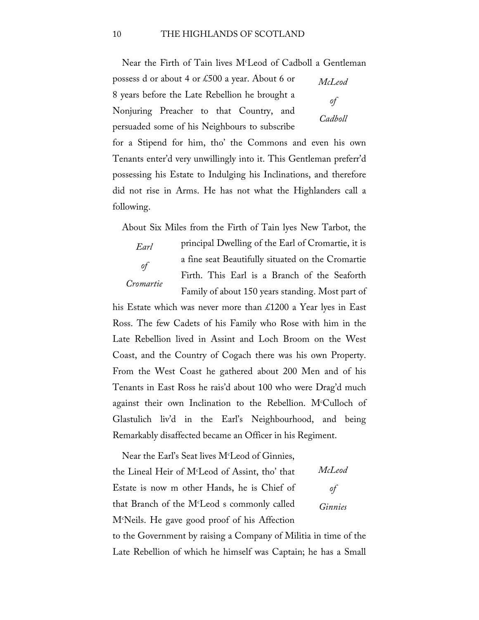Near the Firth of Tain lives M<sup>c</sup>Leod of Cadboll a Gentleman

*McLeod*  possess d or about 4 or £500 a year. About 6 or 8 years before the Late Rebellion he brought a Nonjuring Preacher to that Country, and persuaded some of his Neighbours to subscribe

*of Cadboll*

for a Stipend for him, tho' the Commons and even his own Tenants enter'd very unwillingly into it. This Gentleman preferr'd possessing his Estate to Indulging his Inclinations, and therefore did not rise in Arms. He has not what the Highlanders call a following.

About Six Miles from the Firth of Tain lyes New Tarbot, the

*Earl Cromartie* principal Dwelling of the Earl of Cromartie, it is a fine seat Beautifully situated on the Cromartie Firth. This Earl is a Branch of the Seaforth Family of about 150 years standing. Most part of

his Estate which was never more than £1200 a Year lyes in East Ross. The few Cadets of his Family who Rose with him in the Late Rebellion lived in Assint and Loch Broom on the West Coast, and the Country of Cogach there was his own Property. From the West Coast he gathered about 200 Men and of his Tenants in East Ross he rais'd about 100 who were Drag'd much against their own Inclination to the Rebellion. M<sup>c</sup>Culloch of Glastulich liv'd in the Earl's Neighbourhood, and being Remarkably disaffected became an Officer in his Regiment.

*McLeod of Ginnies* Near the Earl's Seat lives  $M<sup>c</sup>$  Leod of Ginnies, the Lineal Heir of Mc Leod of Assint, tho' that Estate is now m other Hands, he is Chief of that Branch of the Mc Leod s commonly called Mc Neils. He gave good proof of his Affection to the Government by raising a Company of Militia in time of the

Late Rebellion of which he himself was Captain; he has a Small

*of*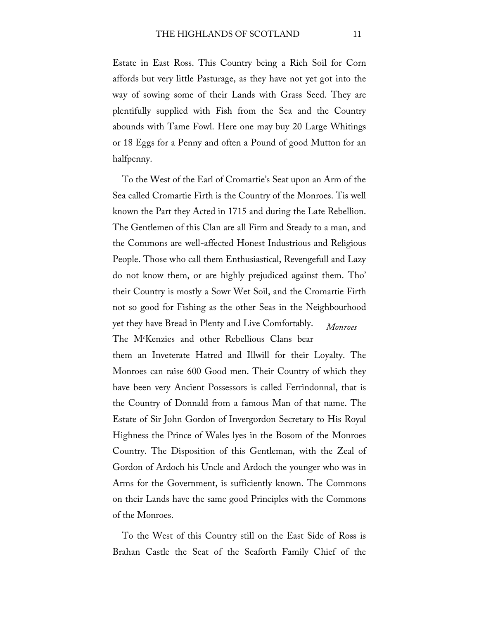Estate in East Ross. This Country being a Rich Soil for Corn affords but very little Pasturage, as they have not yet got into the way of sowing some of their Lands with Grass Seed. They are plentifully supplied with Fish from the Sea and the Country abounds with Tame Fowl. Here one may buy 20 Large Whitings or 18 Eggs for a Penny and often a Pound of good Mutton for an halfpenny.

*Monroes* To the West of the Earl of Cromartie's Seat upon an Arm of the Sea called Cromartie Firth is the Country of the Monroes. Tis well known the Part they Acted in 1715 and during the Late Rebellion. The Gentlemen of this Clan are all Firm and Steady to a man, and the Commons are well-affected Honest Industrious and Religious People. Those who call them Enthusiastical, Revengefull and Lazy do not know them, or are highly prejudiced against them. Tho' their Country is mostly a Sowr Wet Soil, and the Cromartie Firth not so good for Fishing as the other Seas in the Neighbourhood yet they have Bread in Plenty and Live Comfortably. The Mc Kenzies and other Rebellious Clans bear

them an Inveterate Hatred and Illwill for their Loyalty. The Monroes can raise 600 Good men. Their Country of which they have been very Ancient Possessors is called Ferrindonnal, that is the Country of Donnald from a famous Man of that name. The Estate of Sir John Gordon of Invergordon Secretary to His Royal Highness the Prince of Wales lyes in the Bosom of the Monroes Country. The Disposition of this Gentleman, with the Zeal of Gordon of Ardoch his Uncle and Ardoch the younger who was in Arms for the Government, is sufficiently known. The Commons on their Lands have the same good Principles with the Commons of the Monroes.

To the West of this Country still on the East Side of Ross is Brahan Castle the Seat of the Seaforth Family Chief of the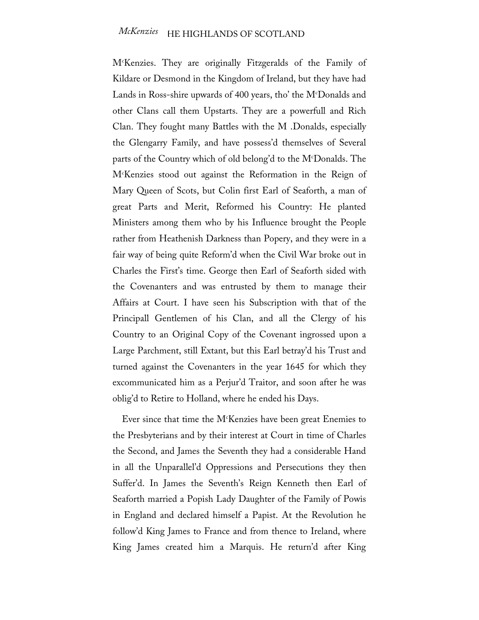Mc Kenzies. They are originally Fitzgeralds of the Family of Kildare or Desmond in the Kingdom of Ireland, but they have had Lands in Ross-shire upwards of 400 years, tho' the Mc Donalds and other Clans call them Upstarts. They are a powerfull and Rich Clan. They fought many Battles with the M .Donalds, especially the Glengarry Family, and have possess'd themselves of Several parts of the Country which of old belong'd to the Mc Donalds. The Mc Kenzies stood out against the Reformation in the Reign of Mary Queen of Scots, but Colin first Earl of Seaforth, a man of great Parts and Merit, Reformed his Country: He planted Ministers among them who by his Influence brought the People rather from Heathenish Darkness than Popery, and they were in a fair way of being quite Reform'd when the Civil War broke out in Charles the First's time. George then Earl of Seaforth sided with the Covenanters and was entrusted by them to manage their Affairs at Court. I have seen his Subscription with that of the Principall Gentlemen of his Clan, and all the Clergy of his Country to an Original Copy of the Covenant ingrossed upon a Large Parchment, still Extant, but this Earl betray'd his Trust and turned against the Covenanters in the year 1645 for which they excommunicated him as a Perjur'd Traitor, and soon after he was oblig'd to Retire to Holland, where he ended his Days.

Ever since that time the Mc Kenzies have been great Enemies to the Presbyterians and by their interest at Court in time of Charles the Second, and James the Seventh they had a considerable Hand in all the Unparallel'd Oppressions and Persecutions they then Suffer'd. In James the Seventh's Reign Kenneth then Earl of Seaforth married a Popish Lady Daughter of the Family of Powis in England and declared himself a Papist. At the Revolution he follow'd King James to France and from thence to Ireland, where King James created him a Marquis. He return'd after King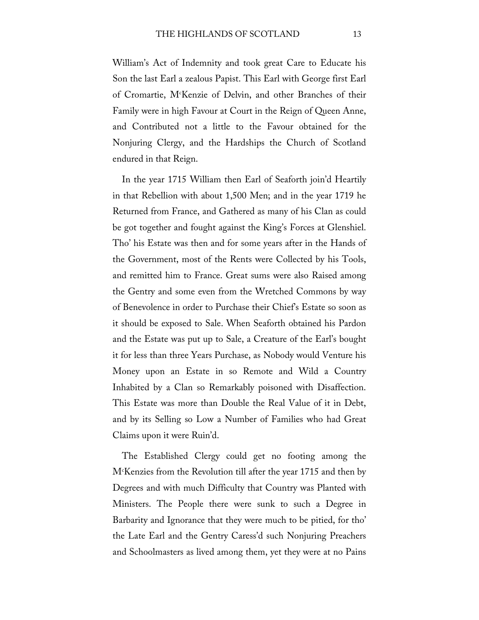William's Act of Indemnity and took great Care to Educate his Son the last Earl a zealous Papist. This Earl with George first Earl of Cromartie, Mc Kenzie of Delvin, and other Branches of their Family were in high Favour at Court in the Reign of Queen Anne, and Contributed not a little to the Favour obtained for the Nonjuring Clergy, and the Hardships the Church of Scotland endured in that Reign.

In the year 1715 William then Earl of Seaforth join'd Heartily in that Rebellion with about 1,500 Men; and in the year 1719 he Returned from France, and Gathered as many of his Clan as could be got together and fought against the King's Forces at Glenshiel. Tho' his Estate was then and for some years after in the Hands of the Government, most of the Rents were Collected by his Tools, and remitted him to France. Great sums were also Raised among the Gentry and some even from the Wretched Commons by way of Benevolence in order to Purchase their Chief's Estate so soon as it should be exposed to Sale. When Seaforth obtained his Pardon and the Estate was put up to Sale, a Creature of the Earl's bought it for less than three Years Purchase, as Nobody would Venture his Money upon an Estate in so Remote and Wild a Country Inhabited by a Clan so Remarkably poisoned with Disaffection. This Estate was more than Double the Real Value of it in Debt, and by its Selling so Low a Number of Families who had Great Claims upon it were Ruin'd.

The Established Clergy could get no footing among the Mc Kenzies from the Revolution till after the year 1715 and then by Degrees and with much Difficulty that Country was Planted with Ministers. The People there were sunk to such a Degree in Barbarity and Ignorance that they were much to be pitied, for tho' the Late Earl and the Gentry Caress'd such Nonjuring Preachers and Schoolmasters as lived among them, yet they were at no Pains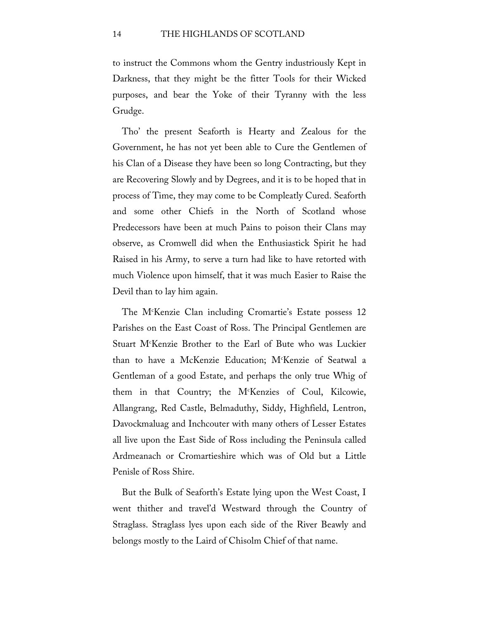to instruct the Commons whom the Gentry industriously Kept in Darkness, that they might be the fitter Tools for their Wicked purposes, and bear the Yoke of their Tyranny with the less Grudge.

Tho' the present Seaforth is Hearty and Zealous for the Government, he has not yet been able to Cure the Gentlemen of his Clan of a Disease they have been so long Contracting, but they are Recovering Slowly and by Degrees, and it is to be hoped that in process of Time, they may come to be Compleatly Cured. Seaforth and some other Chiefs in the North of Scotland whose Predecessors have been at much Pains to poison their Clans may observe, as Cromwell did when the Enthusiastick Spirit he had Raised in his Army, to serve a turn had like to have retorted with much Violence upon himself, that it was much Easier to Raise the Devil than to lay him again.

The Mc Kenzie Clan including Cromartie's Estate possess 12 Parishes on the East Coast of Ross. The Principal Gentlemen are Stuart Mc Kenzie Brother to the Earl of Bute who was Luckier than to have a McKenzie Education; Mc Kenzie of Seatwal a Gentleman of a good Estate, and perhaps the only true Whig of them in that Country; the Mc Kenzies of Coul, Kilcowie, Allangrang, Red Castle, Belmaduthy, Siddy, Highfield, Lentron, Davockmaluag and Inchcouter with many others of Lesser Estates all live upon the East Side of Ross including the Peninsula called Ardmeanach or Cromartieshire which was of Old but a Little Penisle of Ross Shire.

But the Bulk of Seaforth's Estate lying upon the West Coast, I went thither and travel'd Westward through the Country of Straglass. Straglass lyes upon each side of the River Beawly and belongs mostly to the Laird of Chisolm Chief of that name.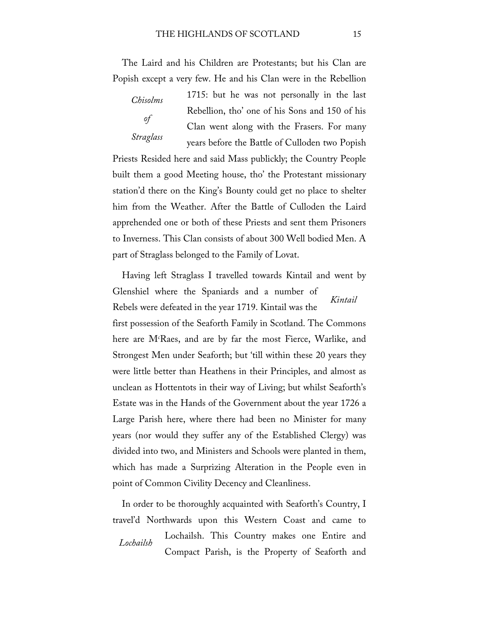The Laird and his Children are Protestants; but his Clan are Popish except a very few. He and his Clan were in the Rebellion

*Chisolms of Straglass*

1715: but he was not personally in the last Rebellion, tho' one of his Sons and 150 of his Clan went along with the Frasers. For many years before the Battle of Culloden two Popish

Priests Resided here and said Mass publickly; the Country People built them a good Meeting house, tho' the Protestant missionary station'd there on the King's Bounty could get no place to shelter him from the Weather. After the Battle of Culloden the Laird apprehended one or both of these Priests and sent them Prisoners to Inverness. This Clan consists of about 300 Well bodied Men. A part of Straglass belonged to the Family of Lovat.

*Kintail* Having left Straglass I travelled towards Kintail and went by Glenshiel where the Spaniards and a number of Rebels were defeated in the year 1719. Kintail was the

first possession of the Seaforth Family in Scotland. The Commons here are M<sup>c</sup>Raes, and are by far the most Fierce, Warlike, and Strongest Men under Seaforth; but 'till within these 20 years they were little better than Heathens in their Principles, and almost as unclean as Hottentots in their way of Living; but whilst Seaforth's Estate was in the Hands of the Government about the year 1726 a Large Parish here, where there had been no Minister for many years (nor would they suffer any of the Established Clergy) was divided into two, and Ministers and Schools were planted in them, which has made a Surprizing Alteration in the People even in point of Common Civility Decency and Cleanliness.

*Lochailsh* In order to be thoroughly acquainted with Seaforth's Country, I travel'd Northwards upon this Western Coast and came to Lochailsh. This Country makes one Entire and Compact Parish, is the Property of Seaforth and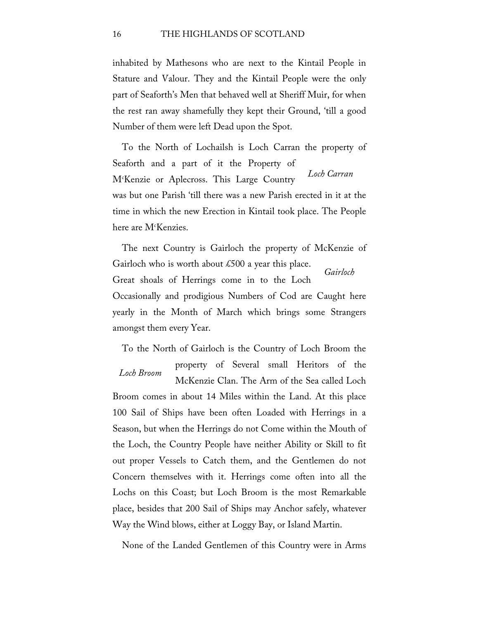inhabited by Mathesons who are next to the Kintail People in Stature and Valour. They and the Kintail People were the only part of Seaforth's Men that behaved well at Sheriff Muir, for when the rest ran away shamefully they kept their Ground, 'till a good Number of them were left Dead upon the Spot.

*Loch Carran* To the North of Lochailsh is Loch Carran the property of Seaforth and a part of it the Property of Mc Kenzie or Aplecross. This Large Country was but one Parish 'till there was a new Parish erected in it at the time in which the new Erection in Kintail took place. The People here are M<sup>c</sup>Kenzies.

*Gairloch* The next Country is Gairloch the property of McKenzie of Gairloch who is worth about  $\text{\pounds}500$  a year this place. Great shoals of Herrings come in to the Loch Occasionally and prodigious Numbers of Cod are Caught here yearly in the Month of March which brings some Strangers amongst them every Year.

*Loch Broom* To the North of Gairloch is the Country of Loch Broom the property of Several small Heritors of the

McKenzie Clan. The Arm of the Sea called Loch Broom comes in about 14 Miles within the Land. At this place 100 Sail of Ships have been often Loaded with Herrings in a Season, but when the Herrings do not Come within the Mouth of the Loch, the Country People have neither Ability or Skill to fit out proper Vessels to Catch them, and the Gentlemen do not Concern themselves with it. Herrings come often into all the Lochs on this Coast; but Loch Broom is the most Remarkable place, besides that 200 Sail of Ships may Anchor safely, whatever Way the Wind blows, either at Loggy Bay, or Island Martin.

None of the Landed Gentlemen of this Country were in Arms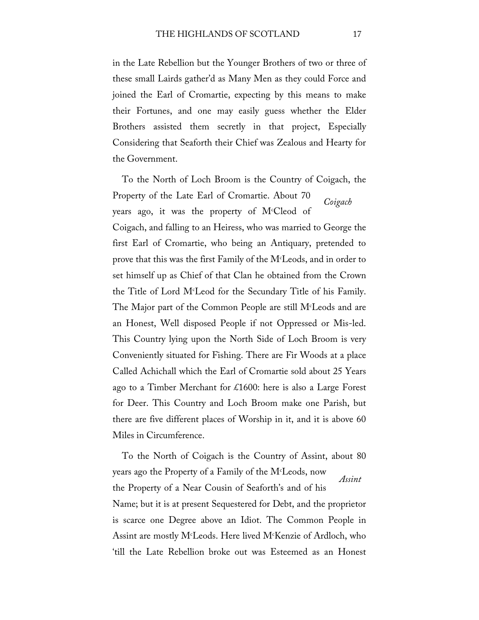in the Late Rebellion but the Younger Brothers of two or three of these small Lairds gather'd as Many Men as they could Force and joined the Earl of Cromartie, expecting by this means to make their Fortunes, and one may easily guess whether the Elder Brothers assisted them secretly in that project, Especially Considering that Seaforth their Chief was Zealous and Hearty for the Government.

*Coigach* To the North of Loch Broom is the Country of Coigach, the Property of the Late Earl of Cromartie. About 70 years ago, it was the property of Mc Cleod of Coigach, and falling to an Heiress, who was married to George the first Earl of Cromartie, who being an Antiquary, pretended to prove that this was the first Family of the Mc Leods, and in order to set himself up as Chief of that Clan he obtained from the Crown the Title of Lord Mc Leod for the Secundary Title of his Family. The Major part of the Common People are still M $^{\rm c}$ Leods and are an Honest, Well disposed People if not Oppressed or Mis-led. This Country lying upon the North Side of Loch Broom is very Conveniently situated for Fishing. There are Fir Woods at a place Called Achichall which the Earl of Cromartie sold about 25 Years ago to a Timber Merchant for £1600: here is also a Large Forest for Deer. This Country and Loch Broom make one Parish, but there are five different places of Worship in it, and it is above 60 Miles in Circumference.

*Assint* To the North of Coigach is the Country of Assint, about 80 years ago the Property of a Family of the M<sup>c</sup>Leods, now the Property of a Near Cousin of Seaforth's and of his Name; but it is at present Sequestered for Debt, and the proprietor is scarce one Degree above an Idiot. The Common People in Assint are mostly Mc Leods. Here lived Mc Kenzie of Ardloch, who 'till the Late Rebellion broke out was Esteemed as an Honest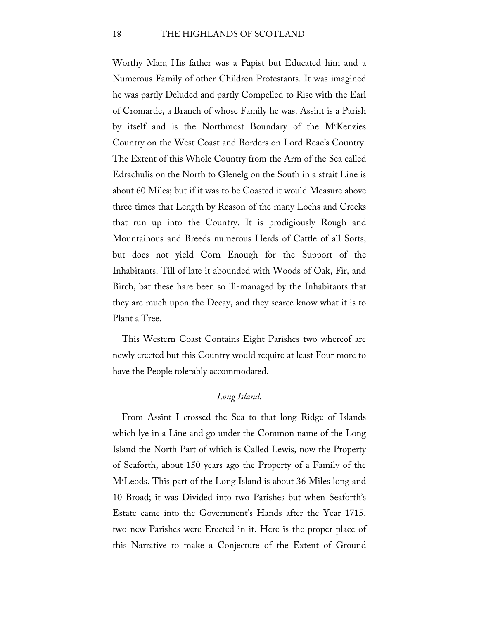Worthy Man; His father was a Papist but Educated him and a Numerous Family of other Children Protestants. It was imagined he was partly Deluded and partly Compelled to Rise with the Earl of Cromartie, a Branch of whose Family he was. Assint is a Parish by itself and is the Northmost Boundary of the Mc Kenzies Country on the West Coast and Borders on Lord Reae's Country. The Extent of this Whole Country from the Arm of the Sea called Edrachulis on the North to Glenelg on the South in a strait Line is about 60 Miles; but if it was to be Coasted it would Measure above three times that Length by Reason of the many Lochs and Creeks that run up into the Country. It is prodigiously Rough and Mountainous and Breeds numerous Herds of Cattle of all Sorts, but does not yield Corn Enough for the Support of the Inhabitants. Till of late it abounded with Woods of Oak, Fir, and Birch, bat these hare been so ill-managed by the Inhabitants that they are much upon the Decay, and they scarce know what it is to Plant a Tree.

This Western Coast Contains Eight Parishes two whereof are newly erected but this Country would require at least Four more to have the People tolerably accommodated.

## *Long Island.*

From Assint I crossed the Sea to that long Ridge of Islands which lye in a Line and go under the Common name of the Long Island the North Part of which is Called Lewis, now the Property of Seaforth, about 150 years ago the Property of a Family of the Mc Leods. This part of the Long Island is about 36 Miles long and 10 Broad; it was Divided into two Parishes but when Seaforth's Estate came into the Government's Hands after the Year 1715, two new Parishes were Erected in it. Here is the proper place of this Narrative to make a Conjecture of the Extent of Ground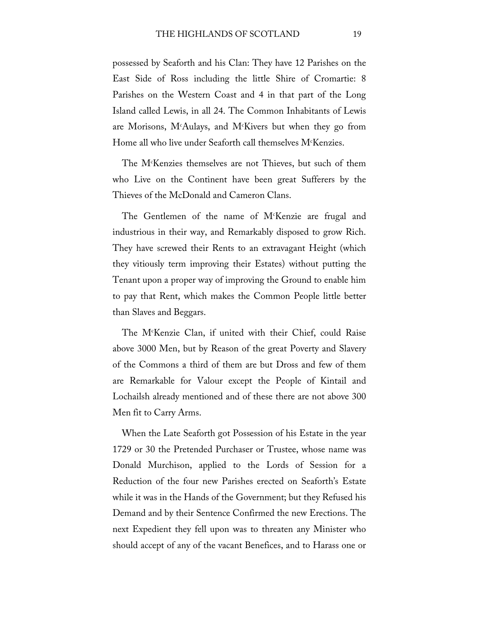possessed by Seaforth and his Clan: They have 12 Parishes on the East Side of Ross including the little Shire of Cromartie: 8 Parishes on the Western Coast and 4 in that part of the Long Island called Lewis, in all 24. The Common Inhabitants of Lewis are Morisons, Mc Aulays, and Mc Kivers but when they go from Home all who live under Seaforth call themselves  $M<sup>c</sup>$ Kenzies.

The Mc Kenzies themselves are not Thieves, but such of them who Live on the Continent have been great Sufferers by the Thieves of the McDonald and Cameron Clans.

The Gentlemen of the name of Mc Kenzie are frugal and industrious in their way, and Remarkably disposed to grow Rich. They have screwed their Rents to an extravagant Height (which they vitiously term improving their Estates) without putting the Tenant upon a proper way of improving the Ground to enable him to pay that Rent, which makes the Common People little better than Slaves and Beggars.

The Mc Kenzie Clan, if united with their Chief, could Raise above 3000 Men, but by Reason of the great Poverty and Slavery of the Commons a third of them are but Dross and few of them are Remarkable for Valour except the People of Kintail and Lochailsh already mentioned and of these there are not above 300 Men fit to Carry Arms.

When the Late Seaforth got Possession of his Estate in the year 1729 or 30 the Pretended Purchaser or Trustee, whose name was Donald Murchison, applied to the Lords of Session for a Reduction of the four new Parishes erected on Seaforth's Estate while it was in the Hands of the Government; but they Refused his Demand and by their Sentence Confirmed the new Erections. The next Expedient they fell upon was to threaten any Minister who should accept of any of the vacant Benefices, and to Harass one or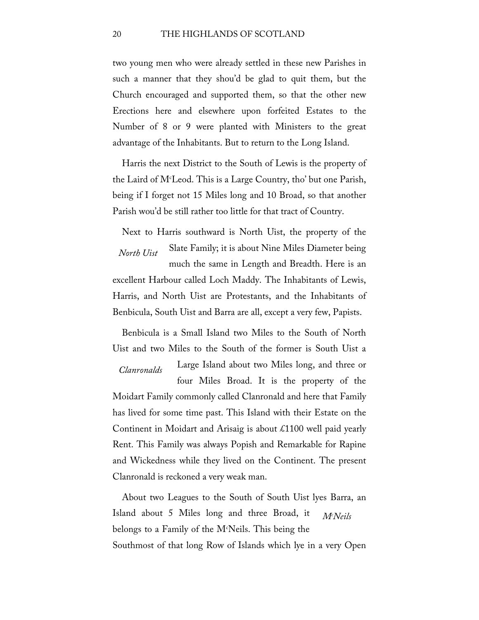two young men who were already settled in these new Parishes in such a manner that they shou'd be glad to quit them, but the Church encouraged and supported them, so that the other new Erections here and elsewhere upon forfeited Estates to the Number of 8 or 9 were planted with Ministers to the great advantage of the Inhabitants. But to return to the Long Island.

Harris the next District to the South of Lewis is the property of the Laird of Mc Leod. This is a Large Country, tho' but one Parish, being if I forget not 15 Miles long and 10 Broad, so that another Parish wou'd be still rather too little for that tract of Country.

*North Uist* Next to Harris southward is North Uist, the property of the Slate Family; it is about Nine Miles Diameter being much the same in Length and Breadth. Here is an excellent Harbour called Loch Maddy. The Inhabitants of Lewis, Harris, and North Uist are Protestants, and the Inhabitants of Benbicula, South Uist and Barra are all, except a very few, Papists.

Benbicula is a Small Island two Miles to the South of North Uist and two Miles to the South of the former is South Uist a

*Clanronalds* Large Island about two Miles long, and three or four Miles Broad. It is the property of the Moidart Family commonly called Clanronald and here that Family has lived for some time past. This Island with their Estate on the

Continent in Moidart and Arisaig is about £1100 well paid yearly Rent. This Family was always Popish and Remarkable for Rapine and Wickedness while they lived on the Continent. The present Clanronald is reckoned a very weak man.

*Mc Neils* About two Leagues to the South of South Uist lyes Barra, an Island about 5 Miles long and three Broad, it belongs to a Family of the Mc Neils. This being the Southmost of that long Row of Islands which lye in a very Open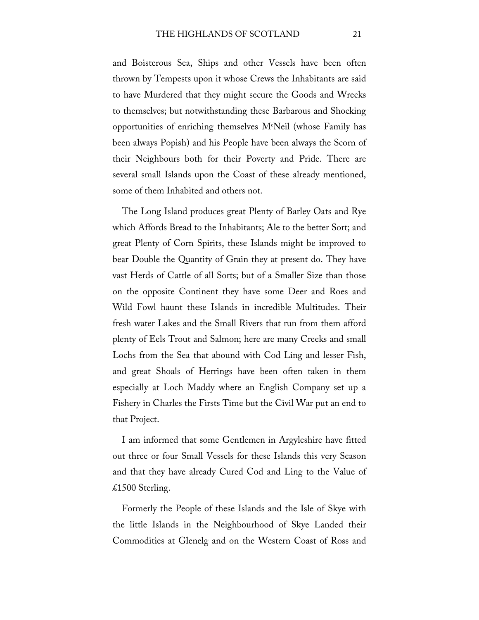and Boisterous Sea, Ships and other Vessels have been often thrown by Tempests upon it whose Crews the Inhabitants are said to have Murdered that they might secure the Goods and Wrecks to themselves; but notwithstanding these Barbarous and Shocking opportunities of enriching themselves  $M^c$ Neil (whose Family has been always Popish) and his People have been always the Scorn of their Neighbours both for their Poverty and Pride. There are several small Islands upon the Coast of these already mentioned, some of them Inhabited and others not.

The Long Island produces great Plenty of Barley Oats and Rye which Affords Bread to the Inhabitants; Ale to the better Sort; and great Plenty of Corn Spirits, these Islands might be improved to bear Double the Quantity of Grain they at present do. They have vast Herds of Cattle of all Sorts; but of a Smaller Size than those on the opposite Continent they have some Deer and Roes and Wild Fowl haunt these Islands in incredible Multitudes. Their fresh water Lakes and the Small Rivers that run from them afford plenty of Eels Trout and Salmon; here are many Creeks and small Lochs from the Sea that abound with Cod Ling and lesser Fish, and great Shoals of Herrings have been often taken in them especially at Loch Maddy where an English Company set up a Fishery in Charles the Firsts Time but the Civil War put an end to that Project.

I am informed that some Gentlemen in Argyleshire have fitted out three or four Small Vessels for these Islands this very Season and that they have already Cured Cod and Ling to the Value of £1500 Sterling.

Formerly the People of these Islands and the Isle of Skye with the little Islands in the Neighbourhood of Skye Landed their Commodities at Glenelg and on the Western Coast of Ross and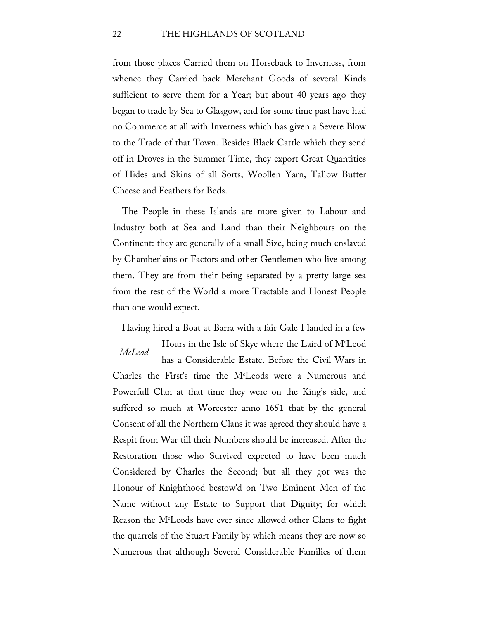## 22 THE HIGHLANDS OF SCOTLAND

from those places Carried them on Horseback to Inverness, from whence they Carried back Merchant Goods of several Kinds sufficient to serve them for a Year; but about 40 years ago they began to trade by Sea to Glasgow, and for some time past have had no Commerce at all with Inverness which has given a Severe Blow to the Trade of that Town. Besides Black Cattle which they send off in Droves in the Summer Time, they export Great Quantities of Hides and Skins of all Sorts, Woollen Yarn, Tallow Butter Cheese and Feathers for Beds.

The People in these Islands are more given to Labour and Industry both at Sea and Land than their Neighbours on the Continent: they are generally of a small Size, being much enslaved by Chamberlains or Factors and other Gentlemen who live among them. They are from their being separated by a pretty large sea from the rest of the World a more Tractable and Honest People than one would expect.

Having hired a Boat at Barra with a fair Gale I landed in a few

*McLeod* Hours in the Isle of Skye where the Laird of M<sup>c</sup>Leod has a Considerable Estate. Before the Civil Wars in Charles the First's time the Mc Leods were a Numerous and Powerfull Clan at that time they were on the King's side, and suffered so much at Worcester anno 1651 that by the general Consent of all the Northern Clans it was agreed they should have a Respit from War till their Numbers should be increased. After the Restoration those who Survived expected to have been much Considered by Charles the Second; but all they got was the Honour of Knighthood bestow'd on Two Eminent Men of the Name without any Estate to Support that Dignity; for which Reason the Mc Leods have ever since allowed other Clans to fight the quarrels of the Stuart Family by which means they are now so Numerous that although Several Considerable Families of them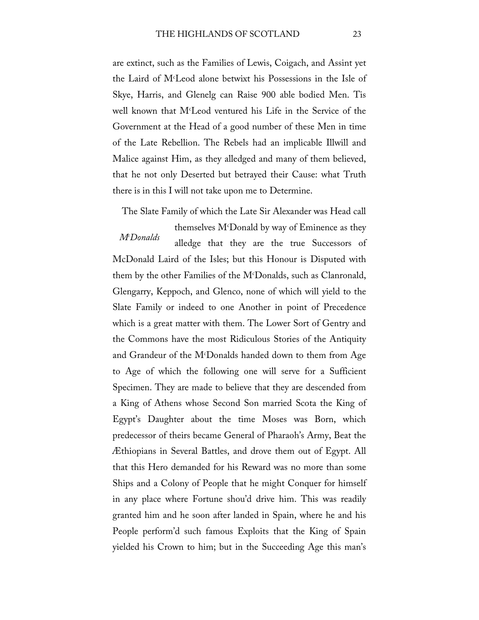are extinct, such as the Families of Lewis, Coigach, and Assint yet the Laird of Mc Leod alone betwixt his Possessions in the Isle of Skye, Harris, and Glenelg can Raise 900 able bodied Men. Tis well known that Mc Leod ventured his Life in the Service of the Government at the Head of a good number of these Men in time of the Late Rebellion. The Rebels had an implicable Illwill and Malice against Him, as they alledged and many of them believed, that he not only Deserted but betrayed their Cause: what Truth there is in this I will not take upon me to Determine.

The Slate Family of which the Late Sir Alexander was Head call

*Mc Donalds* themselves Mc Donald by way of Eminence as they alledge that they are the true Successors of McDonald Laird of the Isles; but this Honour is Disputed with them by the other Families of the Mc Donalds, such as Clanronald, Glengarry, Keppoch, and Glenco, none of which will yield to the Slate Family or indeed to one Another in point of Precedence which is a great matter with them. The Lower Sort of Gentry and the Commons have the most Ridiculous Stories of the Antiquity and Grandeur of the Mc Donalds handed down to them from Age to Age of which the following one will serve for a Sufficient Specimen. They are made to believe that they are descended from a King of Athens whose Second Son married Scota the King of Egypt's Daughter about the time Moses was Born, which predecessor of theirs became General of Pharaoh's Army, Beat the Æthiopians in Several Battles, and drove them out of Egypt. All that this Hero demanded for his Reward was no more than some Ships and a Colony of People that he might Conquer for himself in any place where Fortune shou'd drive him. This was readily granted him and he soon after landed in Spain, where he and his People perform'd such famous Exploits that the King of Spain yielded his Crown to him; but in the Succeeding Age this man's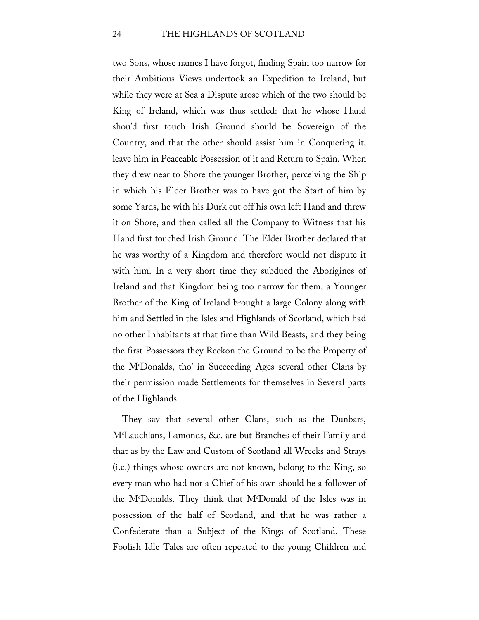two Sons, whose names I have forgot, finding Spain too narrow for their Ambitious Views undertook an Expedition to Ireland, but while they were at Sea a Dispute arose which of the two should be King of Ireland, which was thus settled: that he whose Hand shou'd first touch Irish Ground should be Sovereign of the Country, and that the other should assist him in Conquering it, leave him in Peaceable Possession of it and Return to Spain. When they drew near to Shore the younger Brother, perceiving the Ship in which his Elder Brother was to have got the Start of him by some Yards, he with his Durk cut off his own left Hand and threw it on Shore, and then called all the Company to Witness that his Hand first touched Irish Ground. The Elder Brother declared that he was worthy of a Kingdom and therefore would not dispute it with him. In a very short time they subdued the Aborigines of Ireland and that Kingdom being too narrow for them, a Younger Brother of the King of Ireland brought a large Colony along with him and Settled in the Isles and Highlands of Scotland, which had no other Inhabitants at that time than Wild Beasts, and they being the first Possessors they Reckon the Ground to be the Property of the Mc Donalds, tho' in Succeeding Ages several other Clans by their permission made Settlements for themselves in Several parts of the Highlands.

They say that several other Clans, such as the Dunbars, Mc Lauchlans, Lamonds, &c. are but Branches of their Family and that as by the Law and Custom of Scotland all Wrecks and Strays (i.e.) things whose owners are not known, belong to the King, so every man who had not a Chief of his own should be a follower of the Mc Donalds. They think that Mc Donald of the Isles was in possession of the half of Scotland, and that he was rather a Confederate than a Subject of the Kings of Scotland. These Foolish Idle Tales are often repeated to the young Children and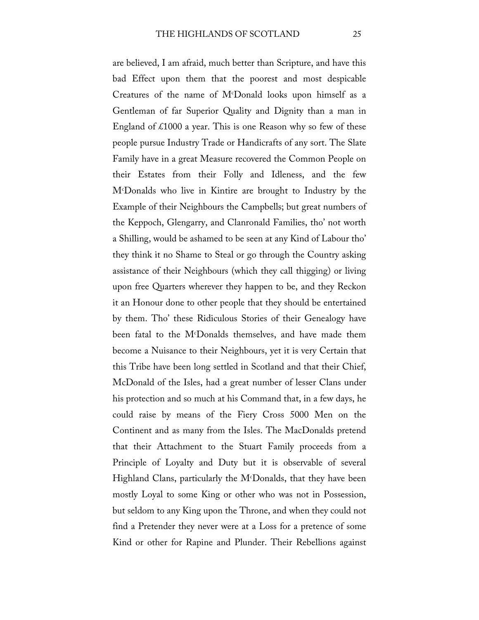are believed, I am afraid, much better than Scripture, and have this bad Effect upon them that the poorest and most despicable Creatures of the name of Mc Donald looks upon himself as a Gentleman of far Superior Quality and Dignity than a man in England of  $\text{\pounds}1000$  a year. This is one Reason why so few of these people pursue Industry Trade or Handicrafts of any sort. The Slate Family have in a great Measure recovered the Common People on their Estates from their Folly and Idleness, and the few Mc Donalds who live in Kintire are brought to Industry by the Example of their Neighbours the Campbells; but great numbers of the Keppoch, Glengarry, and Clanronald Families, tho' not worth a Shilling, would be ashamed to be seen at any Kind of Labour tho' they think it no Shame to Steal or go through the Country asking assistance of their Neighbours (which they call thigging) or living upon free Quarters wherever they happen to be, and they Reckon it an Honour done to other people that they should be entertained by them. Tho' these Ridiculous Stories of their Genealogy have been fatal to the M<sup>c</sup>Donalds themselves, and have made them become a Nuisance to their Neighbours, yet it is very Certain that this Tribe have been long settled in Scotland and that their Chief, McDonald of the Isles, had a great number of lesser Clans under his protection and so much at his Command that, in a few days, he could raise by means of the Fiery Cross 5000 Men on the Continent and as many from the Isles. The MacDonalds pretend that their Attachment to the Stuart Family proceeds from a Principle of Loyalty and Duty but it is observable of several Highland Clans, particularly the M<sup>c</sup>Donalds, that they have been mostly Loyal to some King or other who was not in Possession, but seldom to any King upon the Throne, and when they could not find a Pretender they never were at a Loss for a pretence of some Kind or other for Rapine and Plunder. Their Rebellions against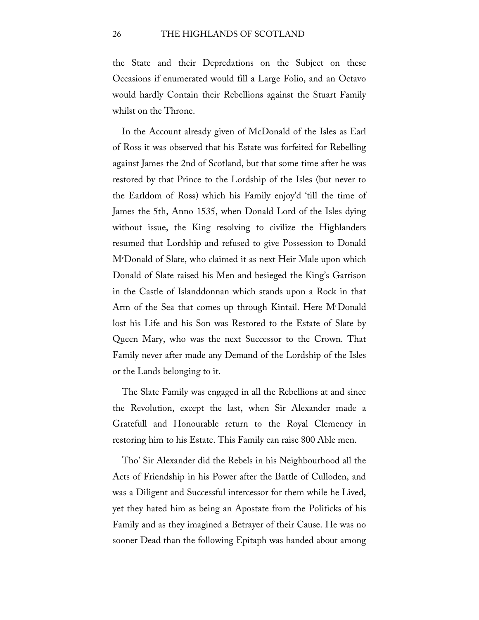the State and their Depredations on the Subject on these Occasions if enumerated would fill a Large Folio, and an Octavo would hardly Contain their Rebellions against the Stuart Family whilst on the Throne.

In the Account already given of McDonald of the Isles as Earl of Ross it was observed that his Estate was forfeited for Rebelling against James the 2nd of Scotland, but that some time after he was restored by that Prince to the Lordship of the Isles (but never to the Earldom of Ross) which his Family enjoy'd 'till the time of James the 5th, Anno 1535, when Donald Lord of the Isles dying without issue, the King resolving to civilize the Highlanders resumed that Lordship and refused to give Possession to Donald Mc Donald of Slate, who claimed it as next Heir Male upon which Donald of Slate raised his Men and besieged the King's Garrison in the Castle of Islanddonnan which stands upon a Rock in that Arm of the Sea that comes up through Kintail. Here M<sup>c</sup>Donald lost his Life and his Son was Restored to the Estate of Slate by Queen Mary, who was the next Successor to the Crown. That Family never after made any Demand of the Lordship of the Isles or the Lands belonging to it.

The Slate Family was engaged in all the Rebellions at and since the Revolution, except the last, when Sir Alexander made a Gratefull and Honourable return to the Royal Clemency in restoring him to his Estate. This Family can raise 800 Able men.

Tho' Sir Alexander did the Rebels in his Neighbourhood all the Acts of Friendship in his Power after the Battle of Culloden, and was a Diligent and Successful intercessor for them while he Lived, yet they hated him as being an Apostate from the Politicks of his Family and as they imagined a Betrayer of their Cause. He was no sooner Dead than the following Epitaph was handed about among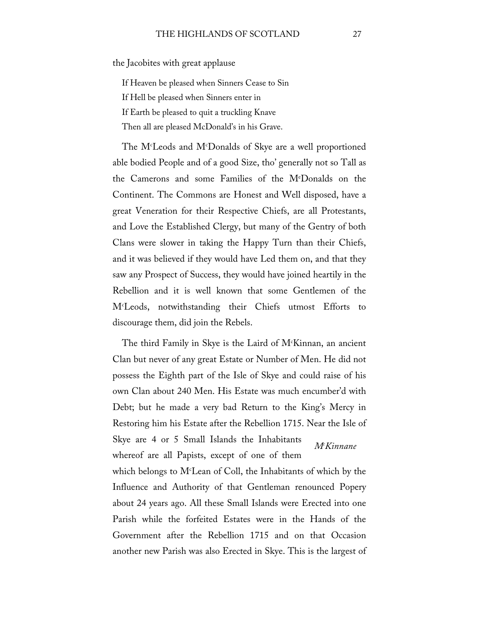the Jacobites with great applause

If Heaven be pleased when Sinners Cease to Sin

If Hell be pleased when Sinners enter in

If Earth be pleased to quit a truckling Knave

Then all are pleased McDonald's in his Grave.

The Mc Leods and Mc Donalds of Skye are a well proportioned able bodied People and of a good Size, tho' generally not so Tall as the Camerons and some Families of the Me Donalds on the Continent. The Commons are Honest and Well disposed, have a great Veneration for their Respective Chiefs, are all Protestants, and Love the Established Clergy, but many of the Gentry of both Clans were slower in taking the Happy Turn than their Chiefs, and it was believed if they would have Led them on, and that they saw any Prospect of Success, they would have joined heartily in the Rebellion and it is well known that some Gentlemen of the Mc Leods, notwithstanding their Chiefs utmost Efforts to discourage them, did join the Rebels.

The third Family in Skye is the Laird of Mc Kinnan, an ancient Clan but never of any great Estate or Number of Men. He did not possess the Eighth part of the Isle of Skye and could raise of his own Clan about 240 Men. His Estate was much encumber'd with Debt; but he made a very bad Return to the King's Mercy in Restoring him his Estate after the Rebellion 1715. Near the Isle of

*Mc Kinnane* Skye are 4 or 5 Small Islands the Inhabitants whereof are all Papists, except of one of them

which belongs to  $M<sup>c</sup>$  Lean of Coll, the Inhabitants of which by the Influence and Authority of that Gentleman renounced Popery about 24 years ago. All these Small Islands were Erected into one Parish while the forfeited Estates were in the Hands of the Government after the Rebellion 1715 and on that Occasion another new Parish was also Erected in Skye. This is the largest of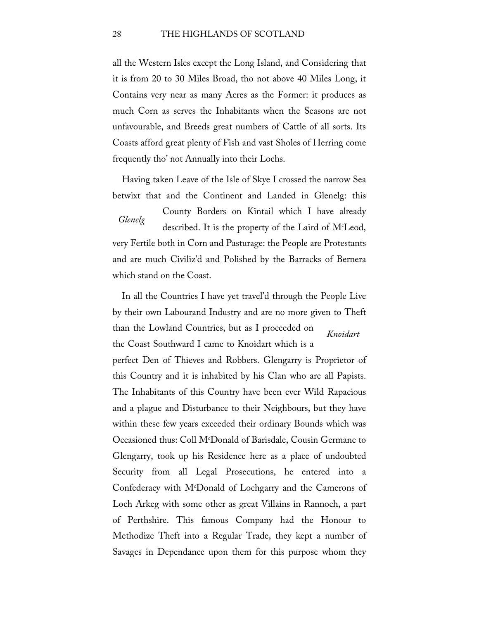all the Western Isles except the Long Island, and Considering that it is from 20 to 30 Miles Broad, tho not above 40 Miles Long, it Contains very near as many Acres as the Former: it produces as much Corn as serves the Inhabitants when the Seasons are not unfavourable, and Breeds great numbers of Cattle of all sorts. Its Coasts afford great plenty of Fish and vast Sholes of Herring come frequently tho' not Annually into their Lochs.

Having taken Leave of the Isle of Skye I crossed the narrow Sea betwixt that and the Continent and Landed in Glenelg: this

*Glenelg* County Borders on Kintail which I have already described. It is the property of the Laird of Mc Leod, very Fertile both in Corn and Pasturage: the People are Protestants and are much Civiliz'd and Polished by the Barracks of Bernera which stand on the Coast.

*Knoidart* In all the Countries I have yet travel'd through the People Live by their own Labourand Industry and are no more given to Theft than the Lowland Countries, but as I proceeded on the Coast Southward I came to Knoidart which is a perfect Den of Thieves and Robbers. Glengarry is Proprietor of this Country and it is inhabited by his Clan who are all Papists. The Inhabitants of this Country have been ever Wild Rapacious and a plague and Disturbance to their Neighbours, but they have within these few years exceeded their ordinary Bounds which was Occasioned thus: Coll Mc Donald of Barisdale, Cousin Germane to Glengarry, took up his Residence here as a place of undoubted Security from all Legal Prosecutions, he entered into a Confederacy with M<sup>c</sup>Donald of Lochgarry and the Camerons of Loch Arkeg with some other as great Villains in Rannoch, a part of Perthshire. This famous Company had the Honour to Methodize Theft into a Regular Trade, they kept a number of Savages in Dependance upon them for this purpose whom they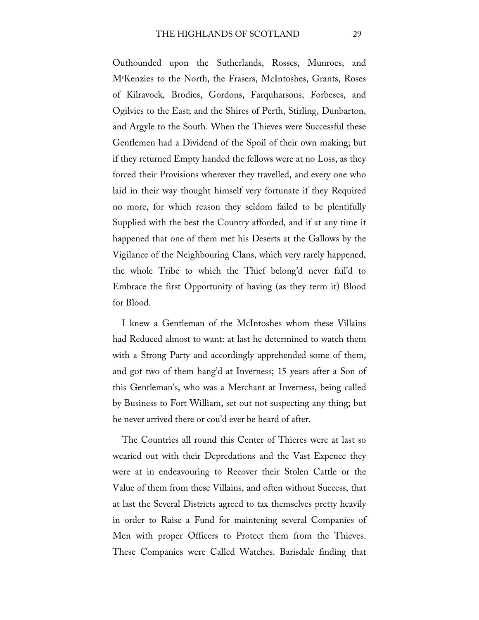Outhounded upon the Sutherlands, Rosses, Munroes, and Mc Kenzies to the North, the Frasers, McIntoshes, Grants, Roses of Kilravock, Brodies, Gordons, Farquharsons, Forbeses, and Ogilvies to the East; and the Shires of Perth, Stirling, Dunbarton, and Argyle to the South. When the Thieves were Successful these Gentlemen had a Dividend of the Spoil of their own making; but if they returned Empty handed the fellows were at no Loss, as they forced their Provisions wherever they travelled, and every one who laid in their way thought himself very fortunate if they Required no more, for which reason they seldom failed to be plentifully Supplied with the best the Country afforded, and if at any time it happened that one of them met his Deserts at the Gallows by the Vigilance of the Neighbouring Clans, which very rarely happened, the whole Tribe to which the Thief belong'd never fail'd to Embrace the first Opportunity of having (as they term it) Blood for Blood.

I knew a Gentleman of the McIntoshes whom these Villains had Reduced almost to want: at last he determined to watch them with a Strong Party and accordingly apprehended some of them, and got two of them hang'd at Inverness; 15 years after a Son of this Gentleman's, who was a Merchant at Inverness, being called by Business to Fort William, set out not suspecting any thing; but he never arrived there or cou'd ever be heard of after.

The Countries all round this Center of Thieres were at last so wearied out with their Depredations and the Vast Expence they were at in endeavouring to Recover their Stolen Cattle or the Value of them from these Villains, and often without Success, that at last the Several Districts agreed to tax themselves pretty heavily in order to Raise a Fund for maintening several Companies of Men with proper Officers to Protect them from the Thieves. These Companies were Called Watches. Barisdale finding that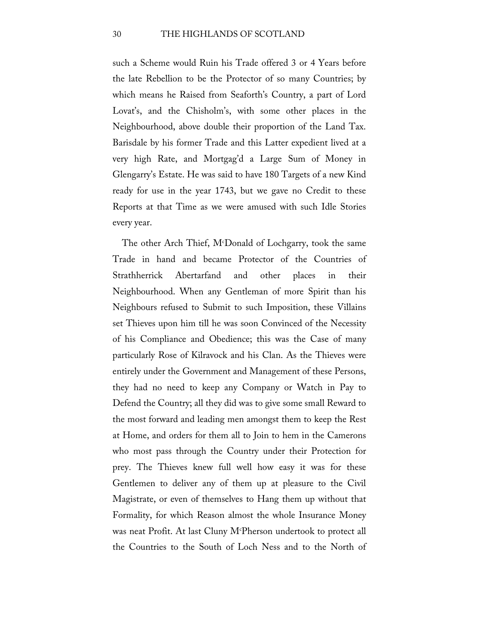such a Scheme would Ruin his Trade offered 3 or 4 Years before the late Rebellion to be the Protector of so many Countries; by which means he Raised from Seaforth's Country, a part of Lord Lovat's, and the Chisholm's, with some other places in the Neighbourhood, above double their proportion of the Land Tax. Barisdale by his former Trade and this Latter expedient lived at a very high Rate, and Mortgag'd a Large Sum of Money in Glengarry's Estate. He was said to have 180 Targets of a new Kind ready for use in the year 1743, but we gave no Credit to these Reports at that Time as we were amused with such Idle Stories every year.

The other Arch Thief, M<sup>c</sup>Donald of Lochgarry, took the same Trade in hand and became Protector of the Countries of Strathherrick Abertarfand and other places in their Neighbourhood. When any Gentleman of more Spirit than his Neighbours refused to Submit to such Imposition, these Villains set Thieves upon him till he was soon Convinced of the Necessity of his Compliance and Obedience; this was the Case of many particularly Rose of Kilravock and his Clan. As the Thieves were entirely under the Government and Management of these Persons, they had no need to keep any Company or Watch in Pay to Defend the Country; all they did was to give some small Reward to the most forward and leading men amongst them to keep the Rest at Home, and orders for them all to Join to hem in the Camerons who most pass through the Country under their Protection for prey. The Thieves knew full well how easy it was for these Gentlemen to deliver any of them up at pleasure to the Civil Magistrate, or even of themselves to Hang them up without that Formality, for which Reason almost the whole Insurance Money was neat Profit. At last Cluny Mc Pherson undertook to protect all the Countries to the South of Loch Ness and to the North of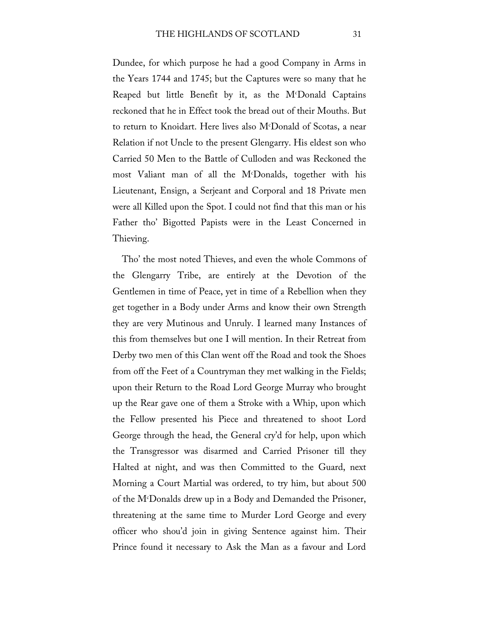Dundee, for which purpose he had a good Company in Arms in the Years 1744 and 1745; but the Captures were so many that he Reaped but little Benefit by it, as the Mc Donald Captains reckoned that he in Effect took the bread out of their Mouths. But to return to Knoidart. Here lives also Mc Donald of Scotas, a near Relation if not Uncle to the present Glengarry. His eldest son who Carried 50 Men to the Battle of Culloden and was Reckoned the most Valiant man of all the Mc Donalds, together with his Lieutenant, Ensign, a Serjeant and Corporal and 18 Private men were all Killed upon the Spot. I could not find that this man or his Father tho' Bigotted Papists were in the Least Concerned in Thieving.

Tho' the most noted Thieves, and even the whole Commons of the Glengarry Tribe, are entirely at the Devotion of the Gentlemen in time of Peace, yet in time of a Rebellion when they get together in a Body under Arms and know their own Strength they are very Mutinous and Unruly. I learned many Instances of this from themselves but one I will mention. In their Retreat from Derby two men of this Clan went off the Road and took the Shoes from off the Feet of a Countryman they met walking in the Fields; upon their Return to the Road Lord George Murray who brought up the Rear gave one of them a Stroke with a Whip, upon which the Fellow presented his Piece and threatened to shoot Lord George through the head, the General cry'd for help, upon which the Transgressor was disarmed and Carried Prisoner till they Halted at night, and was then Committed to the Guard, next Morning a Court Martial was ordered, to try him, but about 500 of the Mc Donalds drew up in a Body and Demanded the Prisoner, threatening at the same time to Murder Lord George and every officer who shou'd join in giving Sentence against him. Their Prince found it necessary to Ask the Man as a favour and Lord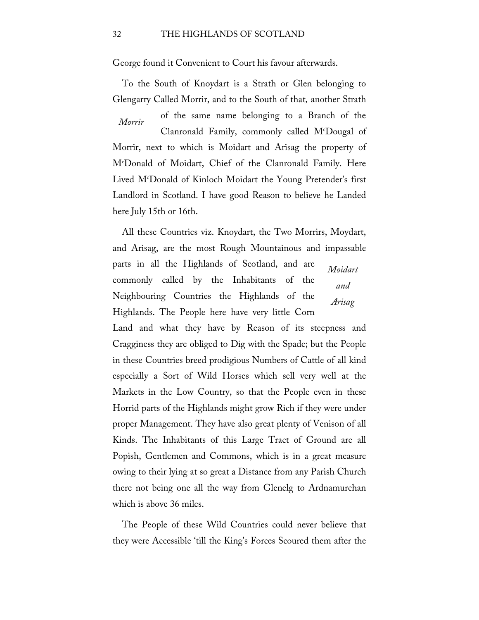George found it Convenient to Court his favour afterwards.

To the South of Knoydart is a Strath or Glen belonging to Glengarry Called Morrir, and to the South of that*,* another Strath

*Morrir* of the same name belonging to a Branch of the Clanronald Family, commonly called Mc Dougal of Morrir, next to which is Moidart and Arisag the property of Mc Donald of Moidart, Chief of the Clanronald Family. Here Lived Mc Donald of Kinloch Moidart the Young Pretender's first Landlord in Scotland. I have good Reason to believe he Landed here July 15th or 16th.

*Moidart and Arisag* All these Countries viz. Knoydart, the Two Morrirs, Moydart, and Arisag, are the most Rough Mountainous and impassable parts in all the Highlands of Scotland, and are commonly called by the Inhabitants of the Neighbouring Countries the Highlands of the Highlands. The People here have very little Corn

Land and what they have by Reason of its steepness and Cragginess they are obliged to Dig with the Spade; but the People in these Countries breed prodigious Numbers of Cattle of all kind especially a Sort of Wild Horses which sell very well at the Markets in the Low Country, so that the People even in these Horrid parts of the Highlands might grow Rich if they were under proper Management. They have also great plenty of Venison of all Kinds. The Inhabitants of this Large Tract of Ground are all Popish, Gentlemen and Commons, which is in a great measure owing to their lying at so great a Distance from any Parish Church there not being one all the way from Glenelg to Ardnamurchan which is above 36 miles.

The People of these Wild Countries could never believe that they were Accessible 'till the King's Forces Scoured them after the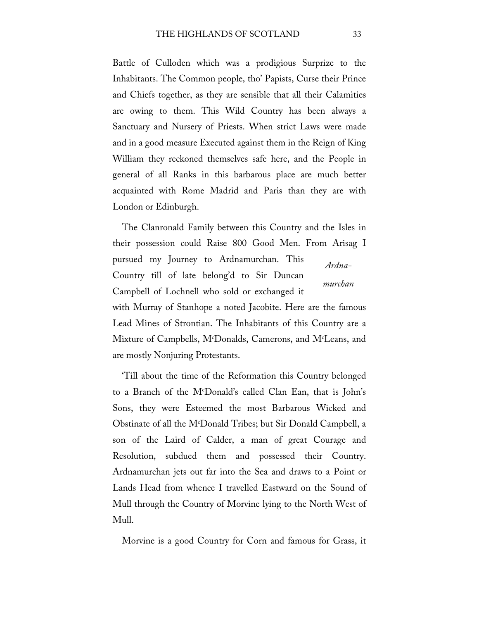Battle of Culloden which was a prodigious Surprize to the Inhabitants. The Common people, tho' Papists, Curse their Prince and Chiefs together, as they are sensible that all their Calamities are owing to them. This Wild Country has been always a Sanctuary and Nursery of Priests. When strict Laws were made and in a good measure Executed against them in the Reign of King William they reckoned themselves safe here, and the People in general of all Ranks in this barbarous place are much better acquainted with Rome Madrid and Paris than they are with London or Edinburgh.

*Ardnamurchan* The Clanronald Family between this Country and the Isles in their possession could Raise 800 Good Men. From Arisag I pursued my Journey to Ardnamurchan. This Country till of late belong'd to Sir Duncan Campbell of Lochnell who sold or exchanged it with Murray of Stanhope a noted Jacobite. Here are the famous

Lead Mines of Strontian. The Inhabitants of this Country are a Mixture of Campbells, Mc Donalds, Camerons, and Mc Leans, and are mostly Nonjuring Protestants.

'Till about the time of the Reformation this Country belonged to a Branch of the Mc Donald's called Clan Ean, that is John's Sons, they were Esteemed the most Barbarous Wicked and Obstinate of all the Mc Donald Tribes; but Sir Donald Campbell, a son of the Laird of Calder, a man of great Courage and Resolution, subdued them and possessed their Country. Ardnamurchan jets out far into the Sea and draws to a Point or Lands Head from whence I travelled Eastward on the Sound of Mull through the Country of Morvine lying to the North West of Mull.

Morvine is a good Country for Corn and famous for Grass, it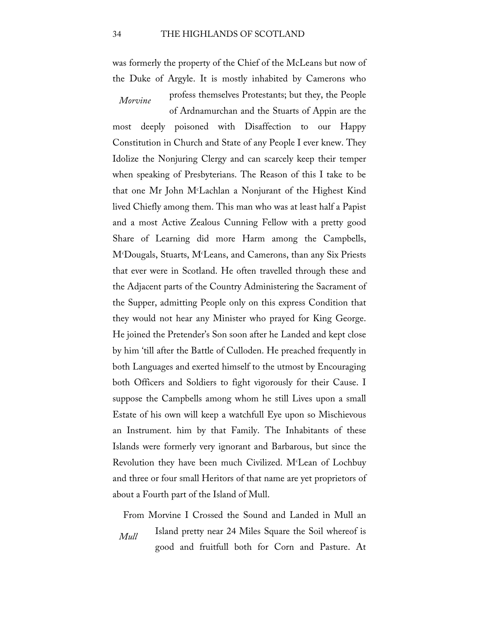was formerly the property of the Chief of the McLeans but now of the Duke of Argyle. It is mostly inhabited by Camerons who

*Morvine*

profess themselves Protestants; but they, the People of Ardnamurchan and the Stuarts of Appin are the

most deeply poisoned with Disaffection to our Happy Constitution in Church and State of any People I ever knew. They Idolize the Nonjuring Clergy and can scarcely keep their temper when speaking of Presbyterians. The Reason of this I take to be that one Mr John Mc Lachlan a Nonjurant of the Highest Kind lived Chiefly among them. This man who was at least half a Papist and a most Active Zealous Cunning Fellow with a pretty good Share of Learning did more Harm among the Campbells, Mc Dougals, Stuarts, Mc Leans, and Camerons, than any Six Priests that ever were in Scotland. He often travelled through these and the Adjacent parts of the Country Administering the Sacrament of the Supper, admitting People only on this express Condition that they would not hear any Minister who prayed for King George. He joined the Pretender's Son soon after he Landed and kept close by him 'till after the Battle of Culloden. He preached frequently in both Languages and exerted himself to the utmost by Encouraging both Officers and Soldiers to fight vigorously for their Cause. I suppose the Campbells among whom he still Lives upon a small Estate of his own will keep a watchfull Eye upon so Mischievous an Instrument. him by that Family. The Inhabitants of these Islands were formerly very ignorant and Barbarous, but since the Revolution they have been much Civilized. Mc Lean of Lochbuy and three or four small Heritors of that name are yet proprietors of about a Fourth part of the Island of Mull.

*Mull* From Morvine I Crossed the Sound and Landed in Mull an Island pretty near 24 Miles Square the Soil whereof is good and fruitfull both for Corn and Pasture. At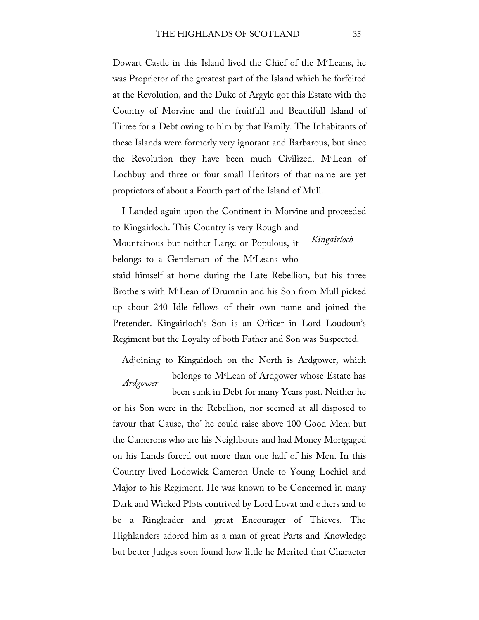Dowart Castle in this Island lived the Chief of the M<sup>c</sup>Leans, he was Proprietor of the greatest part of the Island which he forfeited at the Revolution, and the Duke of Argyle got this Estate with the Country of Morvine and the fruitfull and Beautifull Island of Tirree for a Debt owing to him by that Family. The Inhabitants of these Islands were formerly very ignorant and Barbarous, but since the Revolution they have been much Civilized. M<sup>c</sup>Lean of Lochbuy and three or four small Heritors of that name are yet proprietors of about a Fourth part of the Island of Mull.

*Kingairloch* I Landed again upon the Continent in Morvine and proceeded to Kingairloch. This Country is very Rough and Mountainous but neither Large or Populous, it belongs to a Gentleman of the Mc Leans who staid himself at home during the Late Rebellion, but his three Brothers with Mc Lean of Drumnin and his Son from Mull picked up about 240 Idle fellows of their own name and joined the Pretender. Kingairloch's Son is an Officer in Lord Loudoun's Regiment but the Loyalty of both Father and Son was Suspected.

*Ardgower* Adjoining to Kingairloch on the North is Ardgower, which belongs to Mc Lean of Ardgower whose Estate has been sunk in Debt for many Years past. Neither he

or his Son were in the Rebellion, nor seemed at all disposed to favour that Cause, tho' he could raise above 100 Good Men; but the Camerons who are his Neighbours and had Money Mortgaged on his Lands forced out more than one half of his Men. In this Country lived Lodowick Cameron Uncle to Young Lochiel and Major to his Regiment. He was known to be Concerned in many Dark and Wicked Plots contrived by Lord Lovat and others and to be a Ringleader and great Encourager of Thieves. The Highlanders adored him as a man of great Parts and Knowledge but better Judges soon found how little he Merited that Character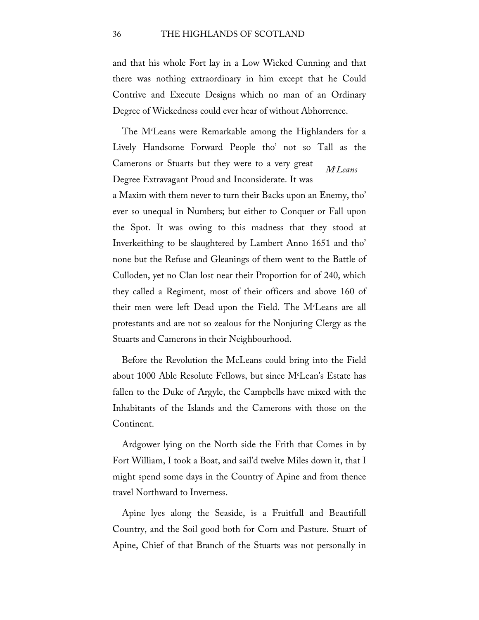and that his whole Fort lay in a Low Wicked Cunning and that there was nothing extraordinary in him except that he Could Contrive and Execute Designs which no man of an Ordinary Degree of Wickedness could ever hear of without Abhorrence.

*Mc Leans* The Mc Leans were Remarkable among the Highlanders for a Lively Handsome Forward People tho' not so Tall as the Camerons or Stuarts but they were to a very great Degree Extravagant Proud and Inconsiderate. It was

a Maxim with them never to turn their Backs upon an Enemy, tho' ever so unequal in Numbers; but either to Conquer or Fall upon the Spot. It was owing to this madness that they stood at Inverkeithing to be slaughtered by Lambert Anno 1651 and tho' none but the Refuse and Gleanings of them went to the Battle of Culloden, yet no Clan lost near their Proportion for of 240, which they called a Regiment, most of their officers and above 160 of their men were left Dead upon the Field. The Mc Leans are all protestants and are not so zealous for the Nonjuring Clergy as the Stuarts and Camerons in their Neighbourhood.

Before the Revolution the McLeans could bring into the Field about 1000 Able Resolute Fellows, but since Mc Lean's Estate has fallen to the Duke of Argyle, the Campbells have mixed with the Inhabitants of the Islands and the Camerons with those on the Continent.

Ardgower lying on the North side the Frith that Comes in by Fort William, I took a Boat, and sail'd twelve Miles down it, that I might spend some days in the Country of Apine and from thence travel Northward to Inverness.

Apine lyes along the Seaside, is a Fruitfull and Beautifull Country, and the Soil good both for Corn and Pasture. Stuart of Apine, Chief of that Branch of the Stuarts was not personally in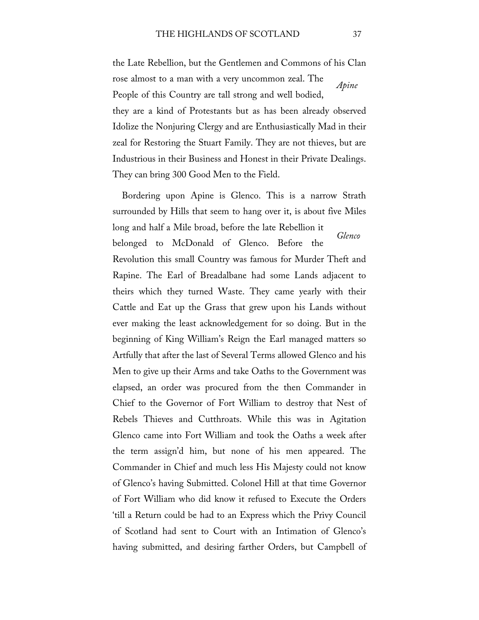*Apine* the Late Rebellion, but the Gentlemen and Commons of his Clan rose almost to a man with a very uncommon zeal. The People of this Country are tall strong and well bodied, they are a kind of Protestants but as has been already observed Idolize the Nonjuring Clergy and are Enthusiastically Mad in their zeal for Restoring the Stuart Family. They are not thieves, but are Industrious in their Business and Honest in their Private Dealings. They can bring 300 Good Men to the Field.

*Glenco* Bordering upon Apine is Glenco. This is a narrow Strath surrounded by Hills that seem to hang over it, is about five Miles long and half a Mile broad, before the late Rebellion it belonged to McDonald of Glenco. Before the Revolution this small Country was famous for Murder Theft and Rapine. The Earl of Breadalbane had some Lands adjacent to theirs which they turned Waste. They came yearly with their Cattle and Eat up the Grass that grew upon his Lands without ever making the least acknowledgement for so doing. But in the beginning of King William's Reign the Earl managed matters so Artfully that after the last of Several Terms allowed Glenco and his Men to give up their Arms and take Oaths to the Government was elapsed, an order was procured from the then Commander in Chief to the Governor of Fort William to destroy that Nest of Rebels Thieves and Cutthroats. While this was in Agitation Glenco came into Fort William and took the Oaths a week after the term assign'd him, but none of his men appeared. The Commander in Chief and much less His Majesty could not know of Glenco's having Submitted. Colonel Hill at that time Governor of Fort William who did know it refused to Execute the Orders 'till a Return could be had to an Express which the Privy Council of Scotland had sent to Court with an Intimation of Glenco's having submitted, and desiring farther Orders, but Campbell of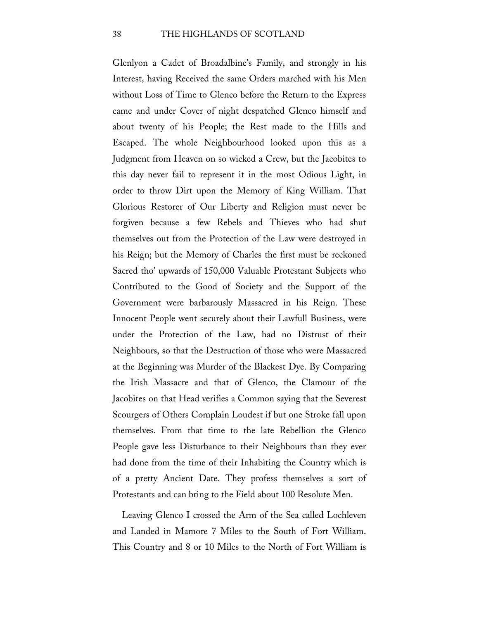Glenlyon a Cadet of Broadalbine's Family, and strongly in his Interest, having Received the same Orders marched with his Men without Loss of Time to Glenco before the Return to the Express came and under Cover of night despatched Glenco himself and about twenty of his People; the Rest made to the Hills and Escaped. The whole Neighbourhood looked upon this as a Judgment from Heaven on so wicked a Crew, but the Jacobites to this day never fail to represent it in the most Odious Light, in order to throw Dirt upon the Memory of King William. That Glorious Restorer of Our Liberty and Religion must never be forgiven because a few Rebels and Thieves who had shut themselves out from the Protection of the Law were destroyed in his Reign; but the Memory of Charles the first must be reckoned Sacred tho' upwards of 150,000 Valuable Protestant Subjects who Contributed to the Good of Society and the Support of the Government were barbarously Massacred in his Reign. These Innocent People went securely about their Lawfull Business, were under the Protection of the Law, had no Distrust of their Neighbours, so that the Destruction of those who were Massacred at the Beginning was Murder of the Blackest Dye. By Comparing the Irish Massacre and that of Glenco, the Clamour of the Jacobites on that Head verifies a Common saying that the Severest Scourgers of Others Complain Loudest if but one Stroke fall upon themselves. From that time to the late Rebellion the Glenco People gave less Disturbance to their Neighbours than they ever had done from the time of their Inhabiting the Country which is of a pretty Ancient Date. They profess themselves a sort of Protestants and can bring to the Field about 100 Resolute Men.

Leaving Glenco I crossed the Arm of the Sea called Lochleven and Landed in Mamore 7 Miles to the South of Fort William. This Country and 8 or 10 Miles to the North of Fort William is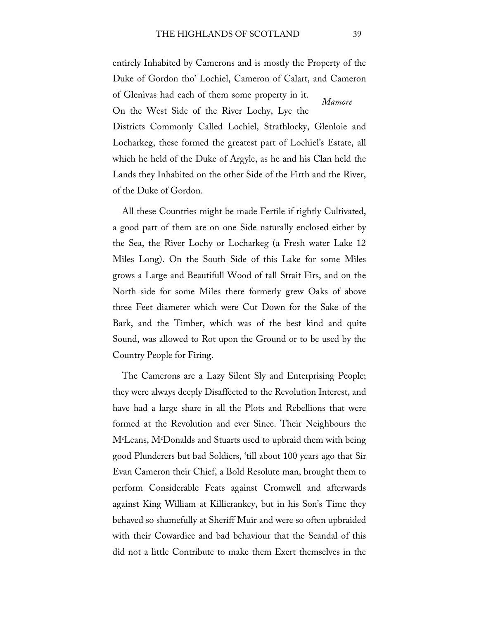*Mamore* entirely Inhabited by Camerons and is mostly the Property of the Duke of Gordon tho' Lochiel, Cameron of Calart, and Cameron of Glenivas had each of them some property in it. On the West Side of the River Lochy, Lye the

Districts Commonly Called Lochiel, Strathlocky, Glenloie and Locharkeg, these formed the greatest part of Lochiel's Estate, all which he held of the Duke of Argyle, as he and his Clan held the Lands they Inhabited on the other Side of the Firth and the River, of the Duke of Gordon.

All these Countries might be made Fertile if rightly Cultivated, a good part of them are on one Side naturally enclosed either by the Sea, the River Lochy or Locharkeg (a Fresh water Lake 12 Miles Long). On the South Side of this Lake for some Miles grows a Large and Beautifull Wood of tall Strait Firs, and on the North side for some Miles there formerly grew Oaks of above three Feet diameter which were Cut Down for the Sake of the Bark, and the Timber, which was of the best kind and quite Sound, was allowed to Rot upon the Ground or to be used by the Country People for Firing.

The Camerons are a Lazy Silent Sly and Enterprising People; they were always deeply Disaffected to the Revolution Interest, and have had a large share in all the Plots and Rebellions that were formed at the Revolution and ever Since. Their Neighbours the Mc Leans, Mc Donalds and Stuarts used to upbraid them with being good Plunderers but bad Soldiers, 'till about 100 years ago that Sir Evan Cameron their Chief, a Bold Resolute man, brought them to perform Considerable Feats against Cromwell and afterwards against King William at Killicrankey, but in his Son's Time they behaved so shamefully at Sheriff Muir and were so often upbraided with their Cowardice and bad behaviour that the Scandal of this did not a little Contribute to make them Exert themselves in the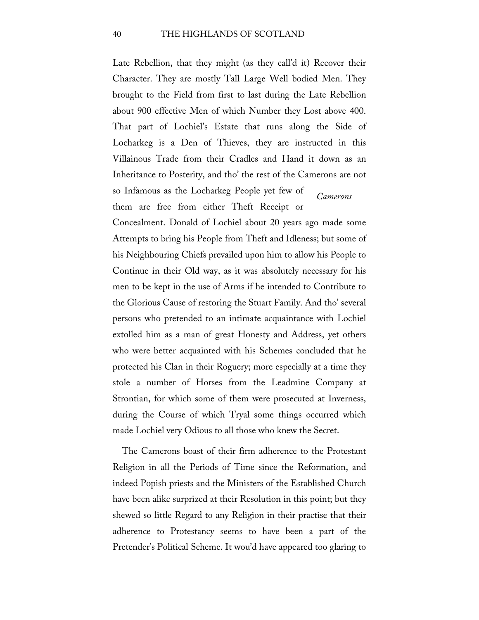*Camerons* Late Rebellion, that they might (as they call'd it) Recover their Character. They are mostly Tall Large Well bodied Men. They brought to the Field from first to last during the Late Rebellion about 900 effective Men of which Number they Lost above 400. That part of Lochiel's Estate that runs along the Side of Locharkeg is a Den of Thieves, they are instructed in this Villainous Trade from their Cradles and Hand it down as an Inheritance to Posterity, and tho' the rest of the Camerons are not so Infamous as the Locharkeg People yet few of them are free from either Theft Receipt or

Concealment. Donald of Lochiel about 20 years ago made some Attempts to bring his People from Theft and Idleness; but some of his Neighbouring Chiefs prevailed upon him to allow his People to Continue in their Old way, as it was absolutely necessary for his men to be kept in the use of Arms if he intended to Contribute to the Glorious Cause of restoring the Stuart Family. And tho' several persons who pretended to an intimate acquaintance with Lochiel extolled him as a man of great Honesty and Address, yet others who were better acquainted with his Schemes concluded that he protected his Clan in their Roguery; more especially at a time they stole a number of Horses from the Leadmine Company at Strontian, for which some of them were prosecuted at Inverness, during the Course of which Tryal some things occurred which made Lochiel very Odious to all those who knew the Secret.

The Camerons boast of their firm adherence to the Protestant Religion in all the Periods of Time since the Reformation, and indeed Popish priests and the Ministers of the Established Church have been alike surprized at their Resolution in this point; but they shewed so little Regard to any Religion in their practise that their adherence to Protestancy seems to have been a part of the Pretender's Political Scheme. It wou'd have appeared too glaring to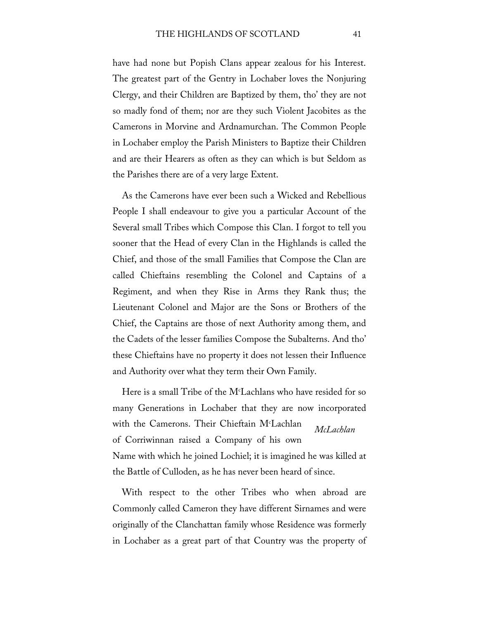have had none but Popish Clans appear zealous for his Interest. The greatest part of the Gentry in Lochaber loves the Nonjuring Clergy, and their Children are Baptized by them, tho' they are not so madly fond of them; nor are they such Violent Jacobites as the Camerons in Morvine and Ardnamurchan. The Common People in Lochaber employ the Parish Ministers to Baptize their Children and are their Hearers as often as they can which is but Seldom as the Parishes there are of a very large Extent.

As the Camerons have ever been such a Wicked and Rebellious People I shall endeavour to give you a particular Account of the Several small Tribes which Compose this Clan. I forgot to tell you sooner that the Head of every Clan in the Highlands is called the Chief, and those of the small Families that Compose the Clan are called Chieftains resembling the Colonel and Captains of a Regiment, and when they Rise in Arms they Rank thus; the Lieutenant Colonel and Major are the Sons or Brothers of the Chief, the Captains are those of next Authority among them, and the Cadets of the lesser families Compose the Subalterns. And tho' these Chieftains have no property it does not lessen their Influence and Authority over what they term their Own Family.

*McLachlan* Here is a small Tribe of the  $M<sup>c</sup>$ Lachlans who have resided for so many Generations in Lochaber that they are now incorporated with the Camerons. Their Chieftain M<sup>c</sup>Lachlan of Corriwinnan raised a Company of his own Name with which he joined Lochiel; it is imagined he was killed at the Battle of Culloden, as he has never been heard of since.

With respect to the other Tribes who when abroad are Commonly called Cameron they have different Sirnames and were originally of the Clanchattan family whose Residence was formerly in Lochaber as a great part of that Country was the property of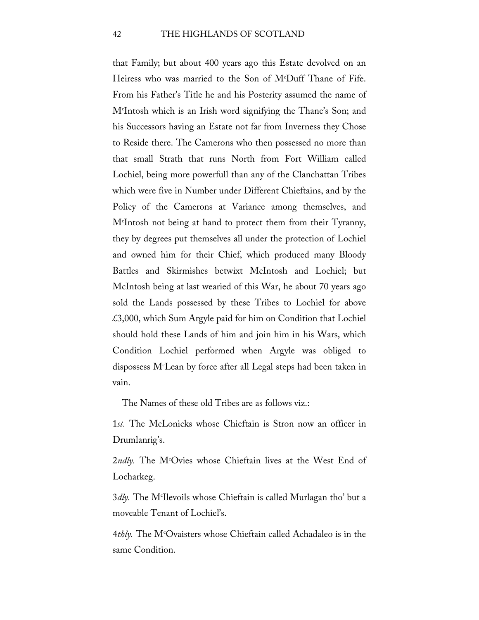that Family; but about 400 years ago this Estate devolved on an Heiress who was married to the Son of Mc Duff Thane of Fife. From his Father's Title he and his Posterity assumed the name of Mc Intosh which is an Irish word signifying the Thane's Son; and his Successors having an Estate not far from Inverness they Chose to Reside there. The Camerons who then possessed no more than that small Strath that runs North from Fort William called Lochiel, being more powerfull than any of the Clanchattan Tribes which were five in Number under Different Chieftains, and by the Policy of the Camerons at Variance among themselves, and Mc Intosh not being at hand to protect them from their Tyranny, they by degrees put themselves all under the protection of Lochiel and owned him for their Chief, which produced many Bloody Battles and Skirmishes betwixt McIntosh and Lochiel; but McIntosh being at last wearied of this War, he about 70 years ago sold the Lands possessed by these Tribes to Lochiel for above £3,000, which Sum Argyle paid for him on Condition that Lochiel should hold these Lands of him and join him in his Wars, which Condition Lochiel performed when Argyle was obliged to dispossess Mc Lean by force after all Legal steps had been taken in vain.

The Names of these old Tribes are as follows viz.:

1*st.* The McLonicks whose Chieftain is Stron now an officer in Drumlanrig's.

2*ndly.* The Mc Ovies whose Chieftain lives at the West End of Locharkeg.

3*dly.* The Mc Ilevoils whose Chieftain is called Murlagan tho' but a moveable Tenant of Lochiel's.

4*thly.* The Mc Ovaisters whose Chieftain called Achadaleo is in the same Condition.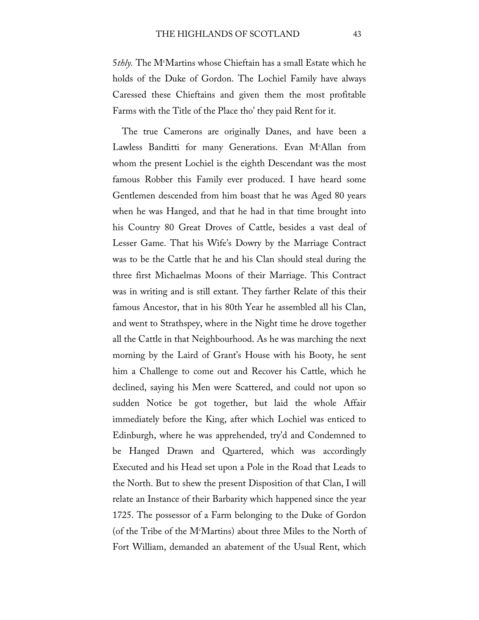5*thly.* The Mc Martins whose Chieftain has a small Estate which he holds of the Duke of Gordon. The Lochiel Family have always Caressed these Chieftains and given them the most profitable Farms with the Title of the Place tho' they paid Rent for it.

The true Camerons are originally Danes, and have been a Lawless Banditti for many Generations. Evan Mc Allan from whom the present Lochiel is the eighth Descendant was the most famous Robber this Family ever produced. I have heard some Gentlemen descended from him boast that he was Aged 80 years when he was Hanged, and that he had in that time brought into his Country 80 Great Droves of Cattle, besides a vast deal of Lesser Game. That his Wife's Dowry by the Marriage Contract was to be the Cattle that he and his Clan should steal during the three first Michaelmas Moons of their Marriage. This Contract was in writing and is still extant. They farther Relate of this their famous Ancestor, that in his 80th Year he assembled all his Clan, and went to Strathspey, where in the Night time he drove together all the Cattle in that Neighbourhood. As he was marching the next morning by the Laird of Grant's House with his Booty, he sent him a Challenge to come out and Recover his Cattle, which he declined, saying his Men were Scattered, and could not upon so sudden Notice be got together, but laid the whole Affair immediately before the King, after which Lochiel was enticed to Edinburgh, where he was apprehended, try'd and Condemned to be Hanged Drawn and Quartered, which was accordingly Executed and his Head set upon a Pole in the Road that Leads to the North. But to shew the present Disposition of that Clan, I will relate an Instance of their Barbarity which happened since the year 1725. The possessor of a Farm belonging to the Duke of Gordon (of the Tribe of the M $^{\circ}$ Martins) about three Miles to the North of Fort William, demanded an abatement of the Usual Rent, which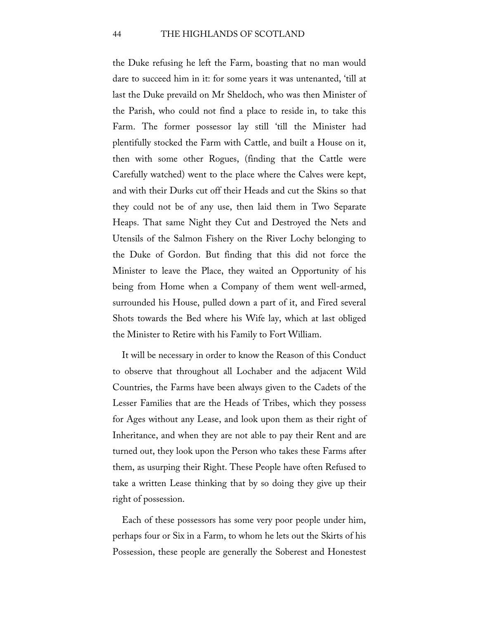the Duke refusing he left the Farm, boasting that no man would dare to succeed him in it: for some years it was untenanted, 'till at last the Duke prevaild on Mr Sheldoch, who was then Minister of the Parish, who could not find a place to reside in, to take this Farm. The former possessor lay still 'till the Minister had plentifully stocked the Farm with Cattle, and built a House on it, then with some other Rogues, (finding that the Cattle were Carefully watched) went to the place where the Calves were kept, and with their Durks cut off their Heads and cut the Skins so that they could not be of any use, then laid them in Two Separate Heaps. That same Night they Cut and Destroyed the Nets and Utensils of the Salmon Fishery on the River Lochy belonging to the Duke of Gordon. But finding that this did not force the Minister to leave the Place, they waited an Opportunity of his being from Home when a Company of them went well-armed, surrounded his House, pulled down a part of it, and Fired several Shots towards the Bed where his Wife lay, which at last obliged the Minister to Retire with his Family to Fort William.

It will be necessary in order to know the Reason of this Conduct to observe that throughout all Lochaber and the adjacent Wild Countries, the Farms have been always given to the Cadets of the Lesser Families that are the Heads of Tribes, which they possess for Ages without any Lease, and look upon them as their right of Inheritance, and when they are not able to pay their Rent and are turned out, they look upon the Person who takes these Farms after them, as usurping their Right. These People have often Refused to take a written Lease thinking that by so doing they give up their right of possession.

Each of these possessors has some very poor people under him, perhaps four or Six in a Farm, to whom he lets out the Skirts of his Possession, these people are generally the Soberest and Honestest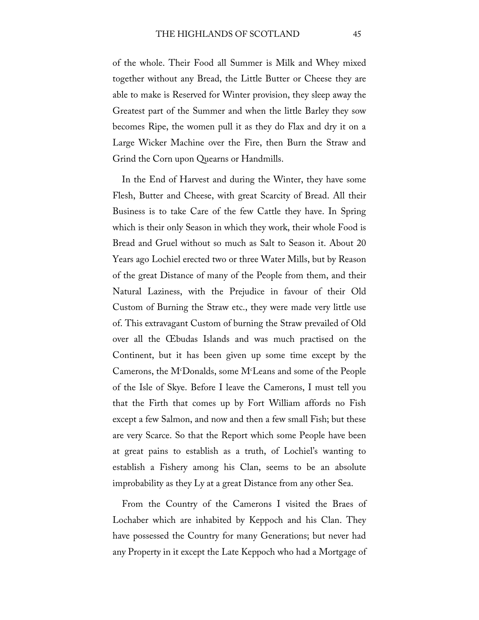of the whole. Their Food all Summer is Milk and Whey mixed together without any Bread, the Little Butter or Cheese they are able to make is Reserved for Winter provision, they sleep away the Greatest part of the Summer and when the little Barley they sow becomes Ripe, the women pull it as they do Flax and dry it on a Large Wicker Machine over the Fire, then Burn the Straw and Grind the Corn upon Quearns or Handmills.

In the End of Harvest and during the Winter, they have some Flesh, Butter and Cheese, with great Scarcity of Bread. All their Business is to take Care of the few Cattle they have. In Spring which is their only Season in which they work, their whole Food is Bread and Gruel without so much as Salt to Season it. About 20 Years ago Lochiel erected two or three Water Mills, but by Reason of the great Distance of many of the People from them, and their Natural Laziness, with the Prejudice in favour of their Old Custom of Burning the Straw etc., they were made very little use of. This extravagant Custom of burning the Straw prevailed of Old over all the Œbudas Islands and was much practised on the Continent, but it has been given up some time except by the Camerons, the Mc Donalds, some Mc Leans and some of the People of the Isle of Skye. Before I leave the Camerons, I must tell you that the Firth that comes up by Fort William affords no Fish except a few Salmon, and now and then a few small Fish; but these are very Scarce. So that the Report which some People have been at great pains to establish as a truth, of Lochiel's wanting to establish a Fishery among his Clan, seems to be an absolute improbability as they Ly at a great Distance from any other Sea.

From the Country of the Camerons I visited the Braes of Lochaber which are inhabited by Keppoch and his Clan. They have possessed the Country for many Generations; but never had any Property in it except the Late Keppoch who had a Mortgage of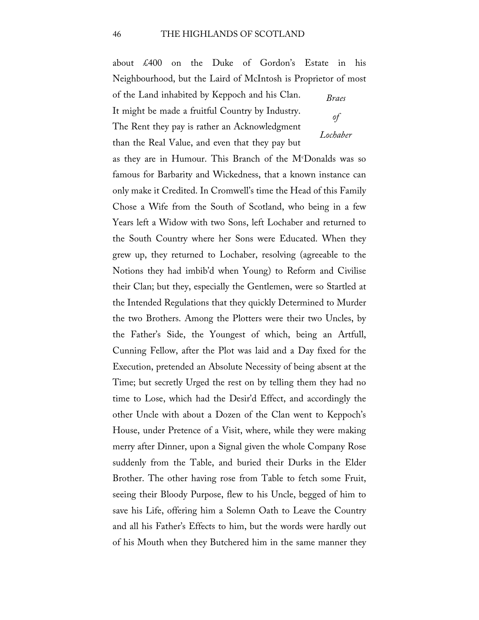about £400 on the Duke of Gordon's Estate in his Neighbourhood, but the Laird of McIntosh is Proprietor of most

of the Land inhabited by Keppoch and his Clan. It might be made a fruitful Country by Industry. The Rent they pay is rather an Acknowledgment

than the Real Value, and even that they pay but

*Braes of Lochaber*

as they are in Humour. This Branch of the Mc Donalds was so famous for Barbarity and Wickedness, that a known instance can only make it Credited. In Cromwell's time the Head of this Family Chose a Wife from the South of Scotland, who being in a few Years left a Widow with two Sons, left Lochaber and returned to the South Country where her Sons were Educated. When they grew up, they returned to Lochaber, resolving (agreeable to the Notions they had imbib'd when Young) to Reform and Civilise their Clan; but they, especially the Gentlemen, were so Startled at the Intended Regulations that they quickly Determined to Murder the two Brothers. Among the Plotters were their two Uncles, by the Father's Side, the Youngest of which, being an Artfull, Cunning Fellow, after the Plot was laid and a Day fixed for the Execution, pretended an Absolute Necessity of being absent at the Time; but secretly Urged the rest on by telling them they had no time to Lose, which had the Desir'd Effect, and accordingly the other Uncle with about a Dozen of the Clan went to Keppoch's House, under Pretence of a Visit, where, while they were making merry after Dinner, upon a Signal given the whole Company Rose suddenly from the Table, and buried their Durks in the Elder Brother. The other having rose from Table to fetch some Fruit, seeing their Bloody Purpose, flew to his Uncle, begged of him to save his Life, offering him a Solemn Oath to Leave the Country and all his Father's Effects to him, but the words were hardly out of his Mouth when they Butchered him in the same manner they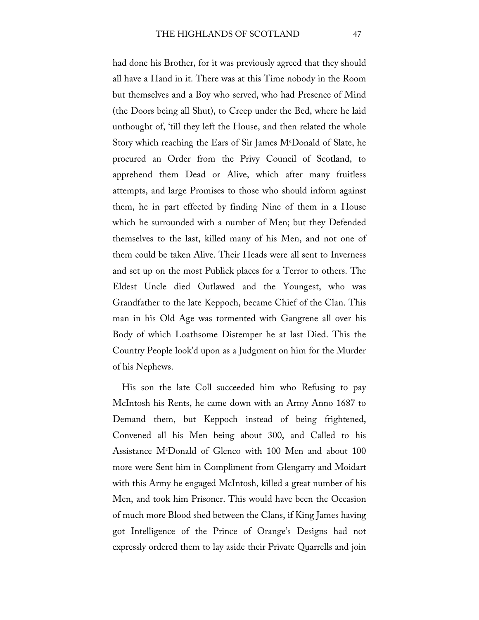had done his Brother, for it was previously agreed that they should all have a Hand in it. There was at this Time nobody in the Room but themselves and a Boy who served, who had Presence of Mind (the Doors being all Shut), to Creep under the Bed, where he laid unthought of, 'till they left the House, and then related the whole Story which reaching the Ears of Sir James Mc Donald of Slate, he procured an Order from the Privy Council of Scotland, to apprehend them Dead or Alive, which after many fruitless attempts, and large Promises to those who should inform against them, he in part effected by finding Nine of them in a House which he surrounded with a number of Men; but they Defended themselves to the last, killed many of his Men, and not one of them could be taken Alive. Their Heads were all sent to Inverness and set up on the most Publick places for a Terror to others. The Eldest Uncle died Outlawed and the Youngest, who was Grandfather to the late Keppoch, became Chief of the Clan. This man in his Old Age was tormented with Gangrene all over his Body of which Loathsome Distemper he at last Died. This the Country People look'd upon as a Judgment on him for the Murder of his Nephews.

His son the late Coll succeeded him who Refusing to pay McIntosh his Rents, he came down with an Army Anno 1687 to Demand them, but Keppoch instead of being frightened, Convened all his Men being about 300, and Called to his Assistance Mc Donald of Glenco with 100 Men and about 100 more were Sent him in Compliment from Glengarry and Moidart with this Army he engaged McIntosh, killed a great number of his Men, and took him Prisoner. This would have been the Occasion of much more Blood shed between the Clans, if King James having got Intelligence of the Prince of Orange's Designs had not expressly ordered them to lay aside their Private Quarrells and join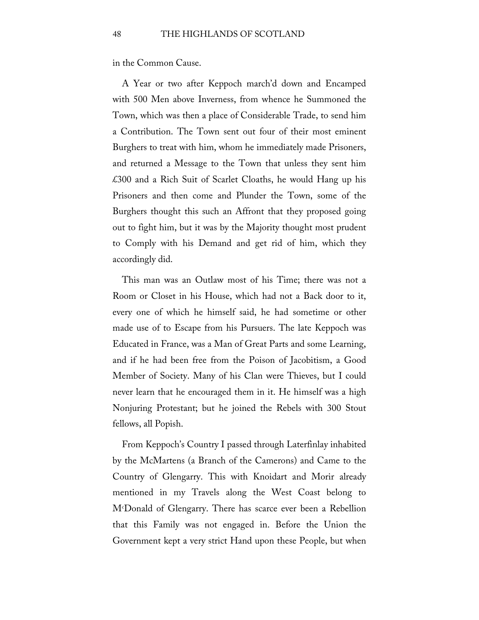in the Common Cause.

A Year or two after Keppoch march'd down and Encamped with 500 Men above Inverness, from whence he Summoned the Town, which was then a place of Considerable Trade, to send him a Contribution. The Town sent out four of their most eminent Burghers to treat with him, whom he immediately made Prisoners, and returned a Message to the Town that unless they sent him £300 and a Rich Suit of Scarlet Cloaths, he would Hang up his Prisoners and then come and Plunder the Town, some of the Burghers thought this such an Affront that they proposed going out to fight him, but it was by the Majority thought most prudent to Comply with his Demand and get rid of him, which they accordingly did.

This man was an Outlaw most of his Time; there was not a Room or Closet in his House, which had not a Back door to it, every one of which he himself said, he had sometime or other made use of to Escape from his Pursuers. The late Keppoch was Educated in France, was a Man of Great Parts and some Learning, and if he had been free from the Poison of Jacobitism, a Good Member of Society. Many of his Clan were Thieves, but I could never learn that he encouraged them in it. He himself was a high Nonjuring Protestant; but he joined the Rebels with 300 Stout fellows, all Popish.

From Keppoch's Country I passed through Laterfinlay inhabited by the McMartens (a Branch of the Camerons) and Came to the Country of Glengarry. This with Knoidart and Morir already mentioned in my Travels along the West Coast belong to Mc Donald of Glengarry. There has scarce ever been a Rebellion that this Family was not engaged in. Before the Union the Government kept a very strict Hand upon these People, but when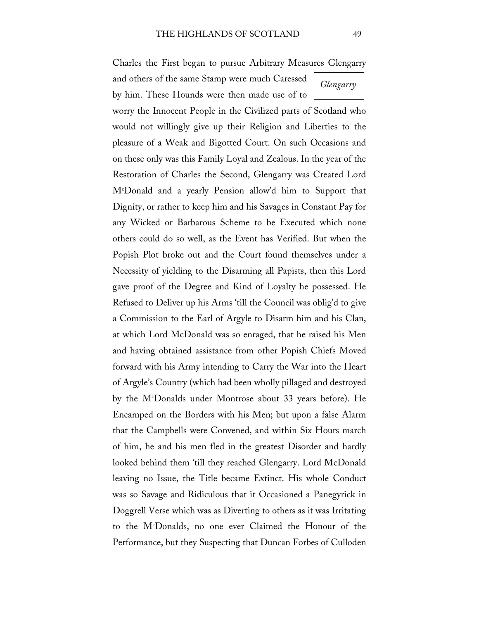Charles the First began to pursue Arbitrary Measures Glengarry

and others of the same Stamp were much Caressed by him. These Hounds were then made use of to

worry the Innocent People in the Civilized parts of Scotland who would not willingly give up their Religion and Liberties to the pleasure of a Weak and Bigotted Court. On such Occasions and on these only was this Family Loyal and Zealous. In the year of the Restoration of Charles the Second, Glengarry was Created Lord Mc Donald and a yearly Pension allow'd him to Support that Dignity, or rather to keep him and his Savages in Constant Pay for any Wicked or Barbarous Scheme to be Executed which none others could do so well, as the Event has Verified. But when the Popish Plot broke out and the Court found themselves under a Necessity of yielding to the Disarming all Papists, then this Lord gave proof of the Degree and Kind of Loyalty he possessed. He Refused to Deliver up his Arms 'till the Council was oblig'd to give a Commission to the Earl of Argyle to Disarm him and his Clan, at which Lord McDonald was so enraged, that he raised his Men and having obtained assistance from other Popish Chiefs Moved forward with his Army intending to Carry the War into the Heart of Argyle's Country (which had been wholly pillaged and destroyed by the Mc Donalds under Montrose about 33 years before). He Encamped on the Borders with his Men; but upon a false Alarm that the Campbells were Convened, and within Six Hours march of him, he and his men fled in the greatest Disorder and hardly looked behind them 'till they reached Glengarry. Lord McDonald leaving no Issue, the Title became Extinct. His whole Conduct was so Savage and Ridiculous that it Occasioned a Panegyrick in Doggrell Verse which was as Diverting to others as it was Irritating to the Mc Donalds, no one ever Claimed the Honour of the Performance, but they Suspecting that Duncan Forbes of Culloden

*Glengarry*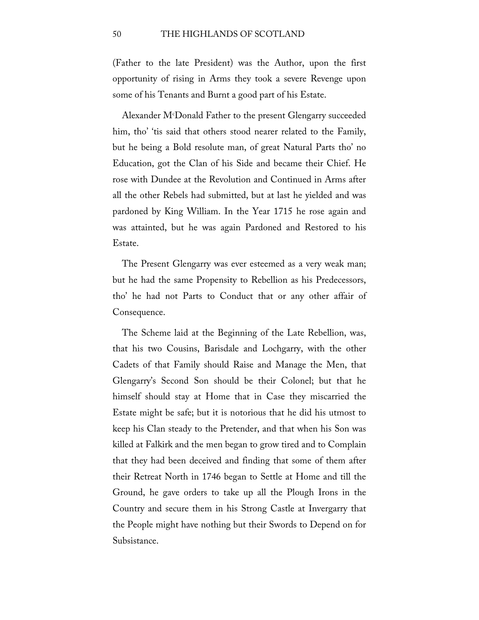(Father to the late President) was the Author, upon the first opportunity of rising in Arms they took a severe Revenge upon some of his Tenants and Burnt a good part of his Estate.

Alexander Mc Donald Father to the present Glengarry succeeded him, tho' 'tis said that others stood nearer related to the Family, but he being a Bold resolute man, of great Natural Parts tho' no Education, got the Clan of his Side and became their Chief. He rose with Dundee at the Revolution and Continued in Arms after all the other Rebels had submitted, but at last he yielded and was pardoned by King William. In the Year 1715 he rose again and was attainted, but he was again Pardoned and Restored to his Estate.

The Present Glengarry was ever esteemed as a very weak man; but he had the same Propensity to Rebellion as his Predecessors, tho' he had not Parts to Conduct that or any other affair of Consequence.

The Scheme laid at the Beginning of the Late Rebellion, was, that his two Cousins, Barisdale and Lochgarry, with the other Cadets of that Family should Raise and Manage the Men, that Glengarry's Second Son should be their Colonel; but that he himself should stay at Home that in Case they miscarried the Estate might be safe; but it is notorious that he did his utmost to keep his Clan steady to the Pretender, and that when his Son was killed at Falkirk and the men began to grow tired and to Complain that they had been deceived and finding that some of them after their Retreat North in 1746 began to Settle at Home and till the Ground, he gave orders to take up all the Plough Irons in the Country and secure them in his Strong Castle at Invergarry that the People might have nothing but their Swords to Depend on for Subsistance.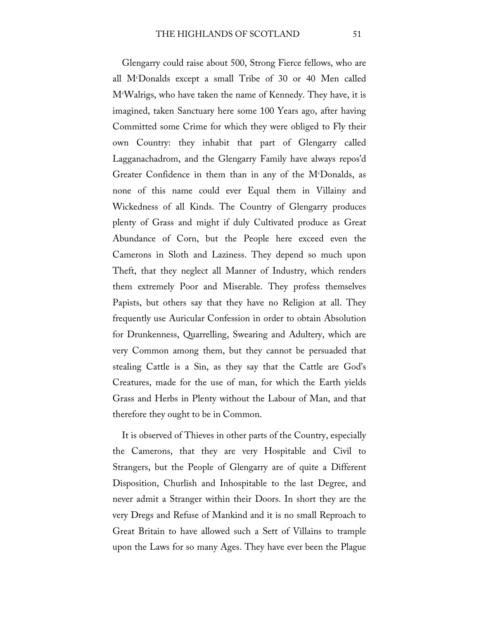Glengarry could raise about 500, Strong Fierce fellows, who are all Mc Donalds except a small Tribe of 30 or 40 Men called Mc Walrigs, who have taken the name of Kennedy. They have, it is imagined, taken Sanctuary here some 100 Years ago, after having Committed some Crime for which they were obliged to Fly their own Country: they inhabit that part of Glengarry called Lagganachadrom, and the Glengarry Family have always repos'd Greater Confidence in them than in any of the Mc Donalds, as none of this name could ever Equal them in Villainy and Wickedness of all Kinds. The Country of Glengarry produces plenty of Grass and might if duly Cultivated produce as Great Abundance of Corn, but the People here exceed even the Camerons in Sloth and Laziness. They depend so much upon Theft, that they neglect all Manner of Industry, which renders them extremely Poor and Miserable. They profess themselves Papists, but others say that they have no Religion at all. They frequently use Auricular Confession in order to obtain Absolution for Drunkenness, Quarrelling, Swearing and Adultery, which are very Common among them, but they cannot be persuaded that stealing Cattle is a Sin, as they say that the Cattle are God's Creatures, made for the use of man, for which the Earth yields Grass and Herbs in Plenty without the Labour of Man, and that therefore they ought to be in Common.

It is observed of Thieves in other parts of the Country, especially the Camerons, that they are very Hospitable and Civil to Strangers, but the People of Glengarry are of quite a Different Disposition, Churlish and Inhospitable to the last Degree, and never admit a Stranger within their Doors. In short they are the very Dregs and Refuse of Mankind and it is no small Reproach to Great Britain to have allowed such a Sett of Villains to trample upon the Laws for so many Ages. They have ever been the Plague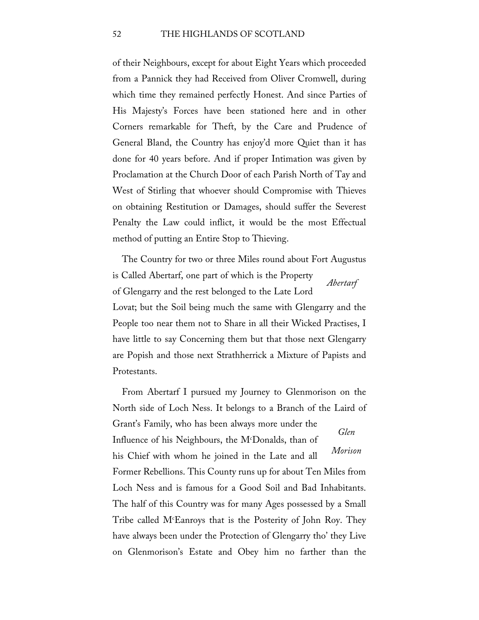of their Neighbours, except for about Eight Years which proceeded from a Pannick they had Received from Oliver Cromwell, during which time they remained perfectly Honest. And since Parties of His Majesty's Forces have been stationed here and in other Corners remarkable for Theft, by the Care and Prudence of General Bland, the Country has enjoy'd more Quiet than it has done for 40 years before. And if proper Intimation was given by Proclamation at the Church Door of each Parish North of Tay and West of Stirling that whoever should Compromise with Thieves on obtaining Restitution or Damages, should suffer the Severest Penalty the Law could inflict, it would be the most Effectual method of putting an Entire Stop to Thieving.

*Abertarf* The Country for two or three Miles round about Fort Augustus is Called Abertarf, one part of which is the Property of Glengarry and the rest belonged to the Late Lord Lovat; but the Soil being much the same with Glengarry and the People too near them not to Share in all their Wicked Practises, I have little to say Concerning them but that those next Glengarry are Popish and those next Strathherrick a Mixture of Papists and Protestants.

*Glen Morison* From Abertarf I pursued my Journey to Glenmorison on the North side of Loch Ness. It belongs to a Branch of the Laird of Grant's Family, who has been always more under the Influence of his Neighbours, the Mc Donalds, than of his Chief with whom he joined in the Late and all Former Rebellions. This County runs up for about Ten Miles from Loch Ness and is famous for a Good Soil and Bad Inhabitants. The half of this Country was for many Ages possessed by a Small Tribe called Mc Eanroys that is the Posterity of John Roy. They have always been under the Protection of Glengarry tho' they Live on Glenmorison's Estate and Obey him no farther than the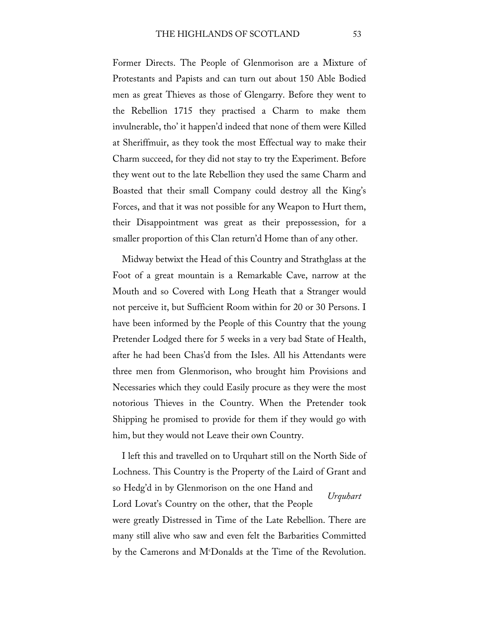Former Directs. The People of Glenmorison are a Mixture of Protestants and Papists and can turn out about 150 Able Bodied men as great Thieves as those of Glengarry. Before they went to the Rebellion 1715 they practised a Charm to make them invulnerable, tho' it happen'd indeed that none of them were Killed at Sheriffmuir, as they took the most Effectual way to make their Charm succeed, for they did not stay to try the Experiment. Before they went out to the late Rebellion they used the same Charm and Boasted that their small Company could destroy all the King's Forces, and that it was not possible for any Weapon to Hurt them, their Disappointment was great as their prepossession, for a smaller proportion of this Clan return'd Home than of any other.

Midway betwixt the Head of this Country and Strathglass at the Foot of a great mountain is a Remarkable Cave, narrow at the Mouth and so Covered with Long Heath that a Stranger would not perceive it, but Sufficient Room within for 20 or 30 Persons. I have been informed by the People of this Country that the young Pretender Lodged there for 5 weeks in a very bad State of Health, after he had been Chas'd from the Isles. All his Attendants were three men from Glenmorison, who brought him Provisions and Necessaries which they could Easily procure as they were the most notorious Thieves in the Country. When the Pretender took Shipping he promised to provide for them if they would go with him, but they would not Leave their own Country.

*Urquhart* I left this and travelled on to Urquhart still on the North Side of Lochness. This Country is the Property of the Laird of Grant and so Hedg'd in by Glenmorison on the one Hand and Lord Lovat's Country on the other, that the People were greatly Distressed in Time of the Late Rebellion. There are many still alive who saw and even felt the Barbarities Committed by the Camerons and Mc Donalds at the Time of the Revolution.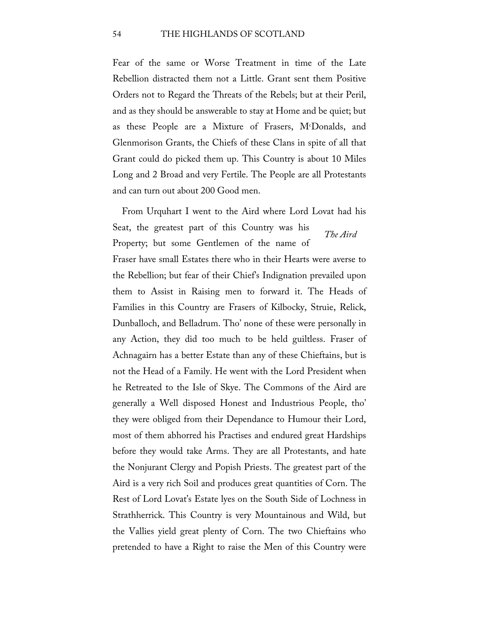Fear of the same or Worse Treatment in time of the Late Rebellion distracted them not a Little. Grant sent them Positive Orders not to Regard the Threats of the Rebels; but at their Peril, and as they should be answerable to stay at Home and be quiet; but as these People are a Mixture of Frasers, Mc Donalds, and Glenmorison Grants, the Chiefs of these Clans in spite of all that Grant could do picked them up. This Country is about 10 Miles Long and 2 Broad and very Fertile. The People are all Protestants and can turn out about 200 Good men.

*The Aird* From Urquhart I went to the Aird where Lord Lovat had his Seat, the greatest part of this Country was his Property; but some Gentlemen of the name of Fraser have small Estates there who in their Hearts were averse to the Rebellion; but fear of their Chief's Indignation prevailed upon them to Assist in Raising men to forward it. The Heads of Families in this Country are Frasers of Kilbocky, Struie, Relick, Dunballoch, and Belladrum. Tho' none of these were personally in any Action, they did too much to be held guiltless. Fraser of Achnagairn has a better Estate than any of these Chieftains, but is not the Head of a Family. He went with the Lord President when he Retreated to the Isle of Skye. The Commons of the Aird are generally a Well disposed Honest and Industrious People, tho' they were obliged from their Dependance to Humour their Lord, most of them abhorred his Practises and endured great Hardships before they would take Arms. They are all Protestants, and hate the Nonjurant Clergy and Popish Priests. The greatest part of the Aird is a very rich Soil and produces great quantities of Corn. The Rest of Lord Lovat's Estate lyes on the South Side of Lochness in Strathherrick. This Country is very Mountainous and Wild, but the Vallies yield great plenty of Corn. The two Chieftains who pretended to have a Right to raise the Men of this Country were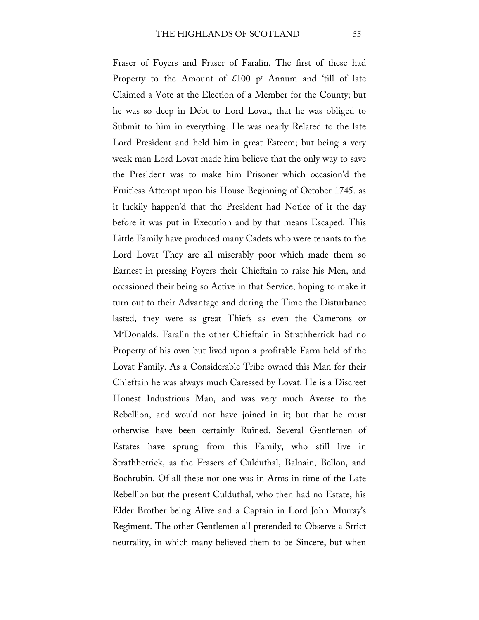Fraser of Foyers and Fraser of Faralin. The first of these had Property to the Amount of  $\text{\pounds}100$  p<sup>r</sup> Annum and 'till of late Claimed a Vote at the Election of a Member for the County; but he was so deep in Debt to Lord Lovat, that he was obliged to Submit to him in everything. He was nearly Related to the late Lord President and held him in great Esteem; but being a very weak man Lord Lovat made him believe that the only way to save the President was to make him Prisoner which occasion'd the Fruitless Attempt upon his House Beginning of October 1745. as it luckily happen'd that the President had Notice of it the day before it was put in Execution and by that means Escaped. This Little Family have produced many Cadets who were tenants to the Lord Lovat They are all miserably poor which made them so Earnest in pressing Foyers their Chieftain to raise his Men, and occasioned their being so Active in that Service, hoping to make it turn out to their Advantage and during the Time the Disturbance lasted, they were as great Thiefs as even the Camerons or Mc Donalds. Faralin the other Chieftain in Strathherrick had no Property of his own but lived upon a profitable Farm held of the Lovat Family. As a Considerable Tribe owned this Man for their Chieftain he was always much Caressed by Lovat. He is a Discreet Honest Industrious Man, and was very much Averse to the Rebellion, and wou'd not have joined in it; but that he must otherwise have been certainly Ruined. Several Gentlemen of Estates have sprung from this Family, who still live in Strathherrick, as the Frasers of Culduthal, Balnain, Bellon, and Bochrubin. Of all these not one was in Arms in time of the Late Rebellion but the present Culduthal, who then had no Estate, his Elder Brother being Alive and a Captain in Lord John Murray's Regiment. The other Gentlemen all pretended to Observe a Strict neutrality, in which many believed them to be Sincere, but when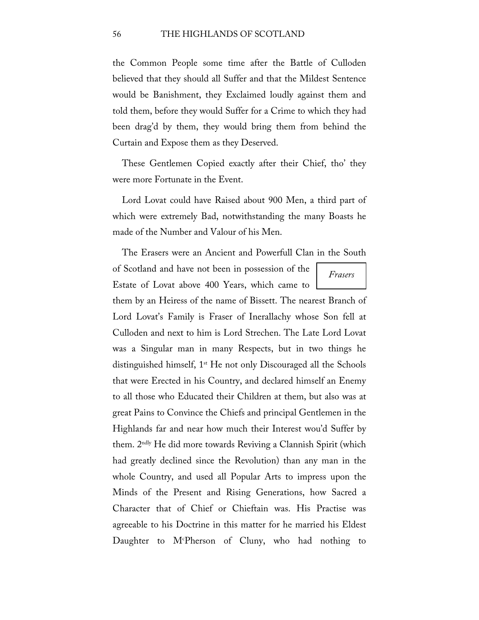the Common People some time after the Battle of Culloden believed that they should all Suffer and that the Mildest Sentence would be Banishment, they Exclaimed loudly against them and told them, before they would Suffer for a Crime to which they had been drag'd by them, they would bring them from behind the Curtain and Expose them as they Deserved.

These Gentlemen Copied exactly after their Chief, tho' they were more Fortunate in the Event.

Lord Lovat could have Raised about 900 Men, a third part of which were extremely Bad, notwithstanding the many Boasts he made of the Number and Valour of his Men.

The Erasers were an Ancient and Powerfull Clan in the South

of Scotland and have not been in possession of the Estate of Lovat above 400 Years, which came to

*Frasers*

them by an Heiress of the name of Bissett. The nearest Branch of Lord Lovat's Family is Fraser of Inerallachy whose Son fell at Culloden and next to him is Lord Strechen. The Late Lord Lovat was a Singular man in many Respects, but in two things he distinguished himself, 1<sup>st</sup> He not only Discouraged all the Schools that were Erected in his Country, and declared himself an Enemy to all those who Educated their Children at them, but also was at great Pains to Convince the Chiefs and principal Gentlemen in the Highlands far and near how much their Interest wou'd Suffer by them. 2ndly He did more towards Reviving a Clannish Spirit (which had greatly declined since the Revolution) than any man in the whole Country, and used all Popular Arts to impress upon the Minds of the Present and Rising Generations, how Sacred a Character that of Chief or Chieftain was. His Practise was agreeable to his Doctrine in this matter for he married his Eldest Daughter to M<sup>c</sup>Pherson of Cluny, who had nothing to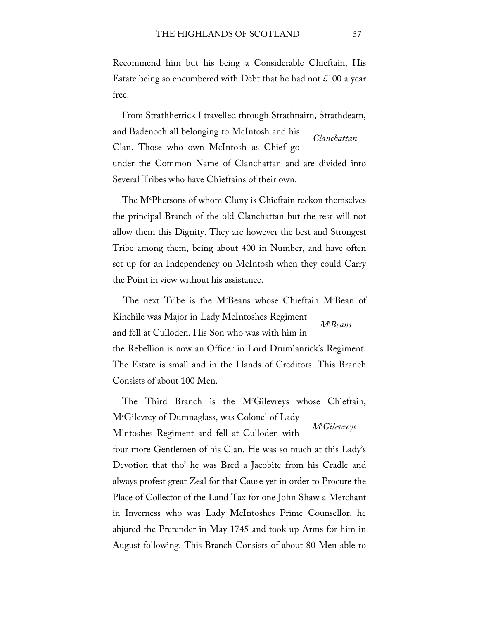Recommend him but his being a Considerable Chieftain, His Estate being so encumbered with Debt that he had not  $\text{\pounds}100$  a year free.

*Clanchattan* From Strathherrick I travelled through Strathnairn, Strathdearn, and Badenoch all belonging to McIntosh and his Clan. Those who own McIntosh as Chief go under the Common Name of Clanchattan and are divided into Several Tribes who have Chieftains of their own.

The Mc Phersons of whom Cluny is Chieftain reckon themselves the principal Branch of the old Clanchattan but the rest will not allow them this Dignity. They are however the best and Strongest Tribe among them, being about 400 in Number, and have often set up for an Independency on McIntosh when they could Carry the Point in view without his assistance.

*Mc Beans* The next Tribe is the M<sup>c</sup>Beans whose Chieftain M<sup>c</sup>Bean of Kinchile was Major in Lady McIntoshes Regiment and fell at Culloden. His Son who was with him in the Rebellion is now an Officer in Lord Drumlanrick's Regiment. The Estate is small and in the Hands of Creditors. This Branch Consists of about 100 Men.

*Mc Gilevreys* The Third Branch is the M<sup>c</sup>Gilevreys whose Chieftain, Mc Gilevrey of Dumnaglass, was Colonel of Lady Mlntoshes Regiment and fell at Culloden with four more Gentlemen of his Clan. He was so much at this Lady's Devotion that tho' he was Bred a Jacobite from his Cradle and always profest great Zeal for that Cause yet in order to Procure the Place of Collector of the Land Tax for one John Shaw a Merchant in Inverness who was Lady McIntoshes Prime Counsellor, he abjured the Pretender in May 1745 and took up Arms for him in August following. This Branch Consists of about 80 Men able to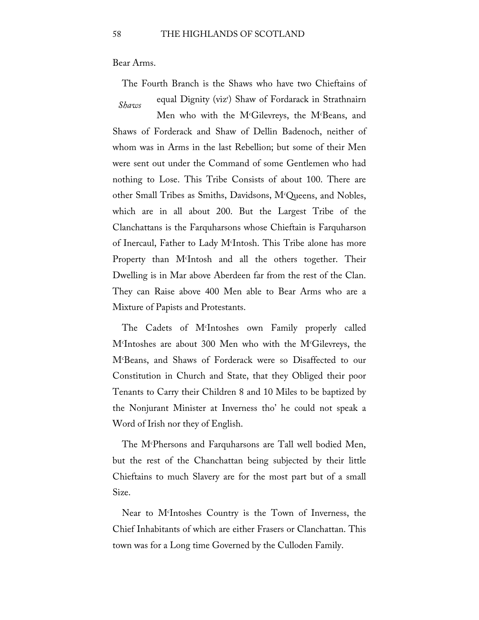Bear Arms.

The Fourth Branch is the Shaws who have two Chieftains of

equal Dignity (viz<sup>r</sup>) Shaw of Fordarack in Strathnairn

*Shaws*

Men who with the M<sup>c</sup>Gilevreys, the M<sup>c</sup>Beans, and Shaws of Forderack and Shaw of Dellin Badenoch, neither of whom was in Arms in the last Rebellion; but some of their Men were sent out under the Command of some Gentlemen who had nothing to Lose. This Tribe Consists of about 100. There are other Small Tribes as Smiths, Davidsons, Mc Queens, and Nobles, which are in all about 200. But the Largest Tribe of the Clanchattans is the Farquharsons whose Chieftain is Farquharson of Inercaul, Father to Lady Mc Intosh. This Tribe alone has more Property than Mc Intosh and all the others together. Their Dwelling is in Mar above Aberdeen far from the rest of the Clan. They can Raise above 400 Men able to Bear Arms who are a Mixture of Papists and Protestants.

The Cadets of Mc Intoshes own Family properly called Mc Intoshes are about 300 Men who with the Mc Gilevreys, the Mc Beans, and Shaws of Forderack were so Disaffected to our Constitution in Church and State, that they Obliged their poor Tenants to Carry their Children 8 and 10 Miles to be baptized by the Nonjurant Minister at Inverness tho' he could not speak a Word of Irish nor they of English.

The Mc Phersons and Farquharsons are Tall well bodied Men, but the rest of the Chanchattan being subjected by their little Chieftains to much Slavery are for the most part but of a small Size.

Near to Mc Intoshes Country is the Town of Inverness, the Chief Inhabitants of which are either Frasers or Clanchattan. This town was for a Long time Governed by the Culloden Family.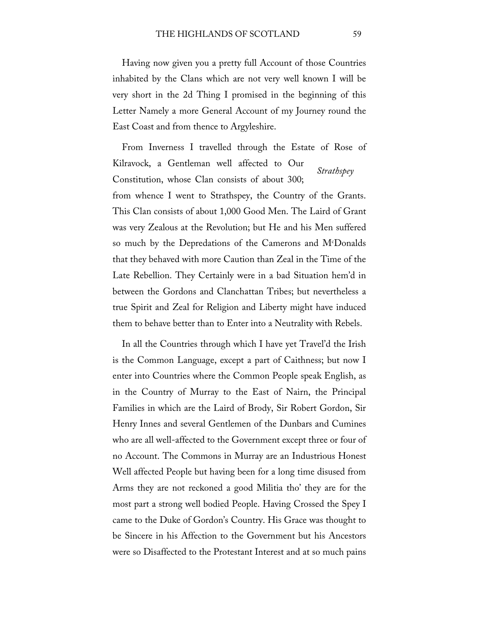Having now given you a pretty full Account of those Countries inhabited by the Clans which are not very well known I will be very short in the 2d Thing I promised in the beginning of this Letter Namely a more General Account of my Journey round the East Coast and from thence to Argyleshire.

*Strathspey* From Inverness I travelled through the Estate of Rose of Kilravock, a Gentleman well affected to Our Constitution, whose Clan consists of about 300; from whence I went to Strathspey, the Country of the Grants. This Clan consists of about 1,000 Good Men. The Laird of Grant was very Zealous at the Revolution; but He and his Men suffered so much by the Depredations of the Camerons and Mc Donalds that they behaved with more Caution than Zeal in the Time of the Late Rebellion. They Certainly were in a bad Situation hem'd in between the Gordons and Clanchattan Tribes; but nevertheless a true Spirit and Zeal for Religion and Liberty might have induced them to behave better than to Enter into a Neutrality with Rebels.

In all the Countries through which I have yet Travel'd the Irish is the Common Language, except a part of Caithness; but now I enter into Countries where the Common People speak English, as in the Country of Murray to the East of Nairn, the Principal Families in which are the Laird of Brody, Sir Robert Gordon, Sir Henry Innes and several Gentlemen of the Dunbars and Cumines who are all well-affected to the Government except three or four of no Account. The Commons in Murray are an Industrious Honest Well affected People but having been for a long time disused from Arms they are not reckoned a good Militia tho' they are for the most part a strong well bodied People. Having Crossed the Spey I came to the Duke of Gordon's Country. His Grace was thought to be Sincere in his Affection to the Government but his Ancestors were so Disaffected to the Protestant Interest and at so much pains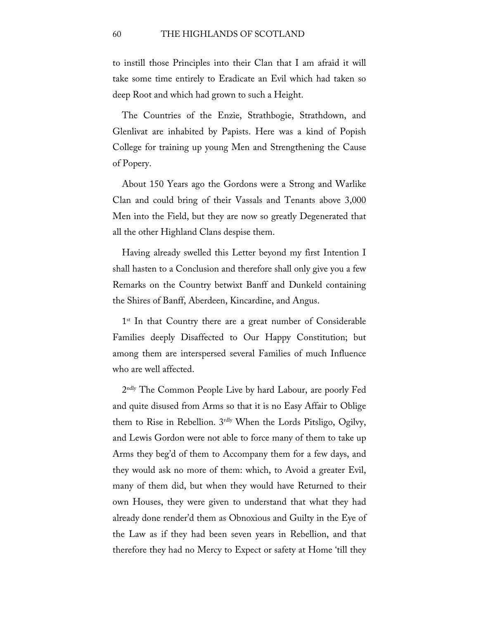to instill those Principles into their Clan that I am afraid it will take some time entirely to Eradicate an Evil which had taken so deep Root and which had grown to such a Height.

The Countries of the Enzie, Strathbogie, Strathdown, and Glenlivat are inhabited by Papists. Here was a kind of Popish College for training up young Men and Strengthening the Cause of Popery.

About 150 Years ago the Gordons were a Strong and Warlike Clan and could bring of their Vassals and Tenants above 3,000 Men into the Field, but they are now so greatly Degenerated that all the other Highland Clans despise them.

Having already swelled this Letter beyond my first Intention I shall hasten to a Conclusion and therefore shall only give you a few Remarks on the Country betwixt Banff and Dunkeld containing the Shires of Banff, Aberdeen, Kincardine, and Angus.

1<sup>st</sup> In that Country there are a great number of Considerable Families deeply Disaffected to Our Happy Constitution; but among them are interspersed several Families of much Influence who are well affected.

2ndly The Common People Live by hard Labour, are poorly Fed and quite disused from Arms so that it is no Easy Affair to Oblige them to Rise in Rebellion. 3rdly When the Lords Pitsligo, Ogilvy, and Lewis Gordon were not able to force many of them to take up Arms they beg'd of them to Accompany them for a few days, and they would ask no more of them: which, to Avoid a greater Evil, many of them did, but when they would have Returned to their own Houses, they were given to understand that what they had already done render'd them as Obnoxious and Guilty in the Eye of the Law as if they had been seven years in Rebellion, and that therefore they had no Mercy to Expect or safety at Home 'till they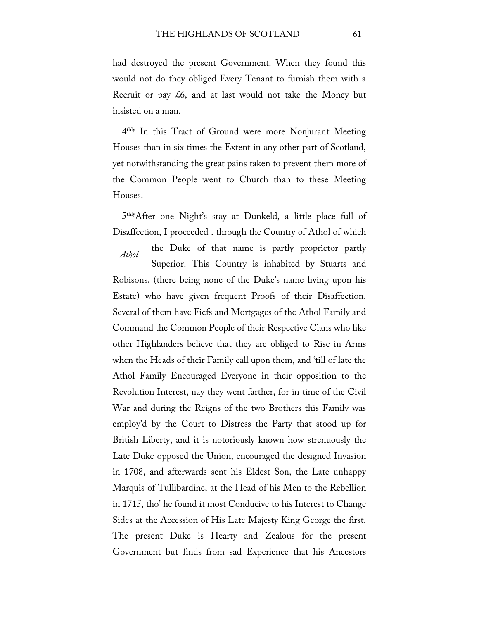had destroyed the present Government. When they found this would not do they obliged Every Tenant to furnish them with a Recruit or pay  $\&6$ , and at last would not take the Money but insisted on a man.

4thly In this Tract of Ground were more Nonjurant Meeting Houses than in six times the Extent in any other part of Scotland, yet notwithstanding the great pains taken to prevent them more of the Common People went to Church than to these Meeting Houses.

5thlyAfter one Night's stay at Dunkeld, a little place full of Disaffection, I proceeded . through the Country of Athol of which

*Athol* the Duke of that name is partly proprietor partly Superior. This Country is inhabited by Stuarts and Robisons, (there being none of the Duke's name living upon his Estate) who have given frequent Proofs of their Disaffection. Several of them have Fiefs and Mortgages of the Athol Family and Command the Common People of their Respective Clans who like other Highlanders believe that they are obliged to Rise in Arms when the Heads of their Family call upon them, and 'till of late the Athol Family Encouraged Everyone in their opposition to the Revolution Interest, nay they went farther, for in time of the Civil War and during the Reigns of the two Brothers this Family was employ'd by the Court to Distress the Party that stood up for British Liberty, and it is notoriously known how strenuously the Late Duke opposed the Union, encouraged the designed Invasion in 1708, and afterwards sent his Eldest Son, the Late unhappy Marquis of Tullibardine, at the Head of his Men to the Rebellion in 1715, tho' he found it most Conducive to his Interest to Change Sides at the Accession of His Late Majesty King George the first. The present Duke is Hearty and Zealous for the present Government but finds from sad Experience that his Ancestors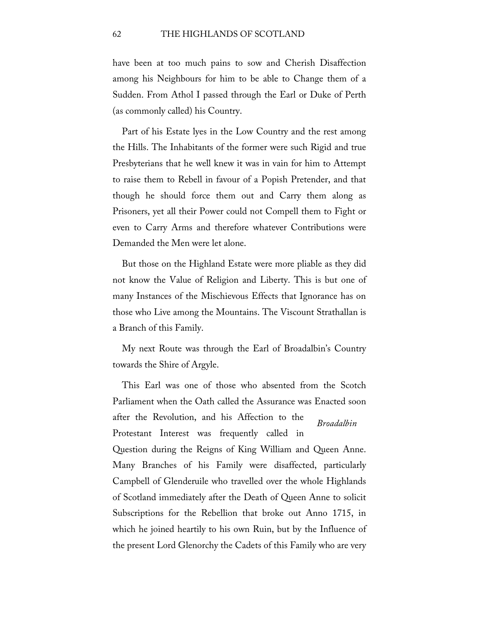have been at too much pains to sow and Cherish Disaffection among his Neighbours for him to be able to Change them of a Sudden. From Athol I passed through the Earl or Duke of Perth (as commonly called) his Country.

Part of his Estate lyes in the Low Country and the rest among the Hills. The Inhabitants of the former were such Rigid and true Presbyterians that he well knew it was in vain for him to Attempt to raise them to Rebell in favour of a Popish Pretender, and that though he should force them out and Carry them along as Prisoners, yet all their Power could not Compell them to Fight or even to Carry Arms and therefore whatever Contributions were Demanded the Men were let alone.

But those on the Highland Estate were more pliable as they did not know the Value of Religion and Liberty. This is but one of many Instances of the Mischievous Effects that Ignorance has on those who Live among the Mountains. The Viscount Strathallan is a Branch of this Family.

My next Route was through the Earl of Broadalbin's Country towards the Shire of Argyle.

*Broadalbin* This Earl was one of those who absented from the Scotch Parliament when the Oath called the Assurance was Enacted soon after the Revolution, and his Affection to the Protestant Interest was frequently called in Question during the Reigns of King William and Queen Anne. Many Branches of his Family were disaffected, particularly Campbell of Glenderuile who travelled over the whole Highlands of Scotland immediately after the Death of Queen Anne to solicit Subscriptions for the Rebellion that broke out Anno 1715, in which he joined heartily to his own Ruin, but by the Influence of the present Lord Glenorchy the Cadets of this Family who are very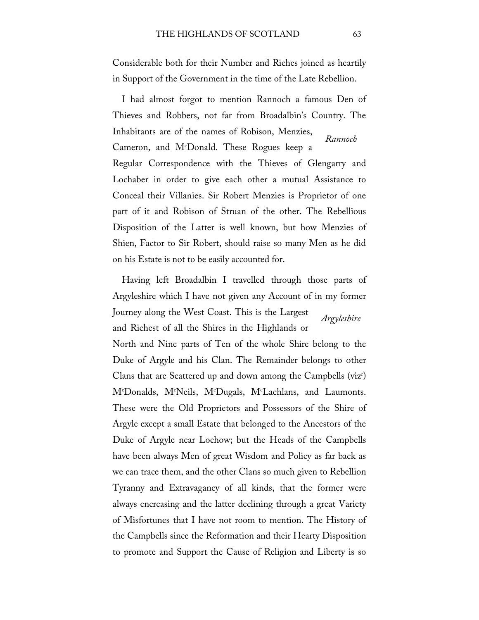Considerable both for their Number and Riches joined as heartily in Support of the Government in the time of the Late Rebellion.

*Rannoch* I had almost forgot to mention Rannoch a famous Den of Thieves and Robbers, not far from Broadalbin's Country. The Inhabitants are of the names of Robison, Menzies, Cameron, and Mc Donald. These Rogues keep a Regular Correspondence with the Thieves of Glengarry and Lochaber in order to give each other a mutual Assistance to Conceal their Villanies. Sir Robert Menzies is Proprietor of one part of it and Robison of Struan of the other. The Rebellious Disposition of the Latter is well known, but how Menzies of Shien, Factor to Sir Robert, should raise so many Men as he did on his Estate is not to be easily accounted for.

*Argyleshire* Having left Broadalbin I travelled through those parts of Argyleshire which I have not given any Account of in my former Journey along the West Coast. This is the Largest and Richest of all the Shires in the Highlands or North and Nine parts of Ten of the whole Shire belong to the Duke of Argyle and his Clan. The Remainder belongs to other Clans that are Scattered up and down among the Campbells (viz<sup>r</sup>) M<sup>c</sup>Donalds, M<sup>c</sup>Neils, M<sup>c</sup>Dugals, M<sup>c</sup>Lachlans, and Laumonts. These were the Old Proprietors and Possessors of the Shire of Argyle except a small Estate that belonged to the Ancestors of the Duke of Argyle near Lochow; but the Heads of the Campbells have been always Men of great Wisdom and Policy as far back as we can trace them, and the other Clans so much given to Rebellion Tyranny and Extravagancy of all kinds, that the former were always encreasing and the latter declining through a great Variety of Misfortunes that I have not room to mention. The History of the Campbells since the Reformation and their Hearty Disposition to promote and Support the Cause of Religion and Liberty is so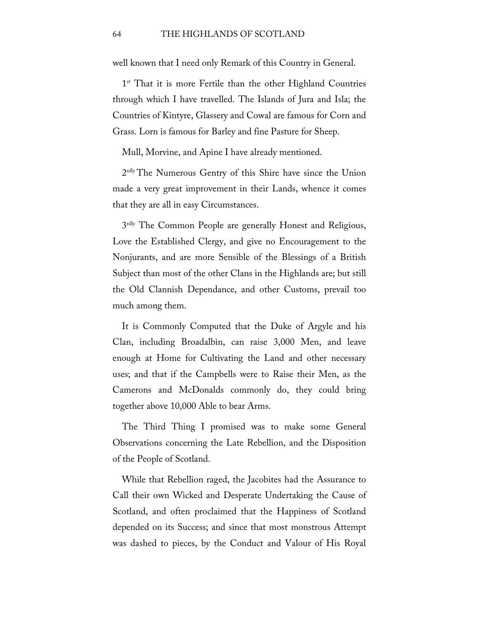well known that I need only Remark of this Country in General.

1<sup>st</sup> That it is more Fertile than the other Highland Countries through which I have travelled. The Islands of Jura and Isla; the Countries of Kintyre, Glassery and Cowal are famous for Corn and Grass. Lorn is famous for Barley and fine Pasture for Sheep.

Mull, Morvine, and Apine I have already mentioned.

2nfly The Numerous Gentry of this Shire have since the Union made a very great improvement in their Lands, whence it comes that they are all in easy Circumstances.

3<sup>rdly</sup> The Common People are generally Honest and Religious, Love the Established Clergy, and give no Encouragement to the Nonjurants, and are more Sensible of the Blessings of a British Subject than most of the other Clans in the Highlands are; but still the Old Clannish Dependance, and other Customs, prevail too much among them.

It is Commonly Computed that the Duke of Argyle and his Clan, including Broadalbin, can raise 3,000 Men, and leave enough at Home for Cultivating the Land and other necessary uses; and that if the Campbells were to Raise their Men, as the Camerons and McDonalds commonly do, they could bring together above 10,000 Able to bear Arms.

The Third Thing I promised was to make some General Observations concerning the Late Rebellion, and the Disposition of the People of Scotland.

While that Rebellion raged, the Jacobites had the Assurance to Call their own Wicked and Desperate Undertaking the Cause of Scotland, and often proclaimed that the Happiness of Scotland depended on its Success; and since that most monstrous Attempt was dashed to pieces, by the Conduct and Valour of His Royal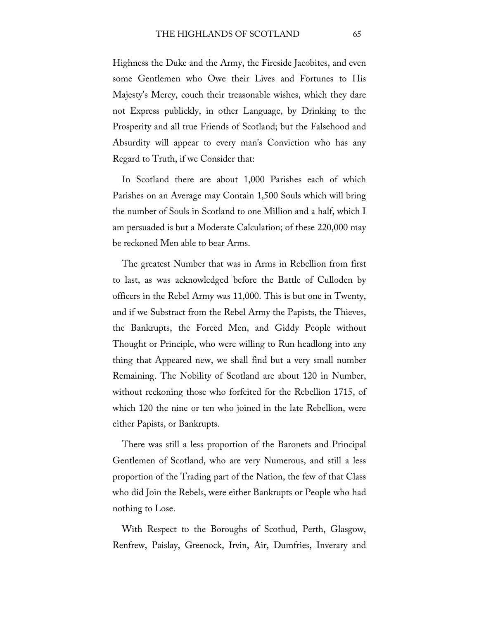Highness the Duke and the Army, the Fireside Jacobites, and even some Gentlemen who Owe their Lives and Fortunes to His Majesty's Mercy, couch their treasonable wishes, which they dare not Express publickly, in other Language, by Drinking to the Prosperity and all true Friends of Scotland; but the Falsehood and Absurdity will appear to every man's Conviction who has any Regard to Truth, if we Consider that:

In Scotland there are about 1,000 Parishes each of which Parishes on an Average may Contain 1,500 Souls which will bring the number of Souls in Scotland to one Million and a half, which I am persuaded is but a Moderate Calculation; of these 220,000 may be reckoned Men able to bear Arms.

The greatest Number that was in Arms in Rebellion from first to last, as was acknowledged before the Battle of Culloden by officers in the Rebel Army was 11,000. This is but one in Twenty, and if we Substract from the Rebel Army the Papists, the Thieves, the Bankrupts, the Forced Men, and Giddy People without Thought or Principle, who were willing to Run headlong into any thing that Appeared new, we shall find but a very small number Remaining. The Nobility of Scotland are about 120 in Number, without reckoning those who forfeited for the Rebellion 1715, of which 120 the nine or ten who joined in the late Rebellion, were either Papists, or Bankrupts.

There was still a less proportion of the Baronets and Principal Gentlemen of Scotland, who are very Numerous, and still a less proportion of the Trading part of the Nation, the few of that Class who did Join the Rebels, were either Bankrupts or People who had nothing to Lose.

With Respect to the Boroughs of Scothud, Perth, Glasgow, Renfrew, Paislay, Greenock, Irvin, Air, Dumfries, Inverary and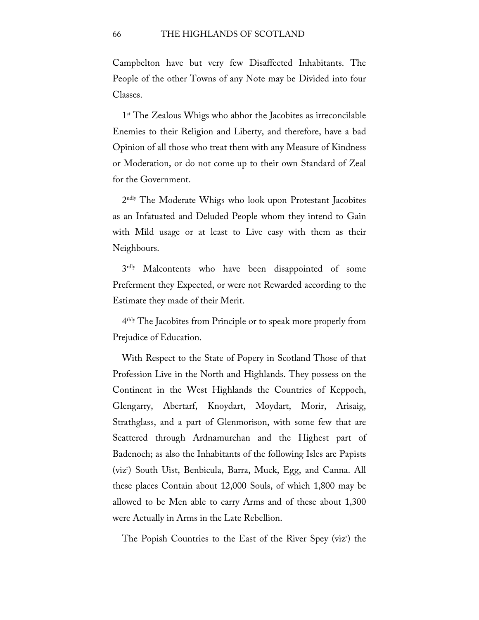Campbelton have but very few Disaffected Inhabitants. The People of the other Towns of any Note may be Divided into four Classes.

1<sup>st</sup> The Zealous Whigs who abhor the Jacobites as irreconcilable Enemies to their Religion and Liberty, and therefore, have a bad Opinion of all those who treat them with any Measure of Kindness or Moderation, or do not come up to their own Standard of Zeal for the Government.

2ndly The Moderate Whigs who look upon Protestant Jacobites as an Infatuated and Deluded People whom they intend to Gain with Mild usage or at least to Live easy with them as their Neighbours.

3rdly Malcontents who have been disappointed of some Preferment they Expected, or were not Rewarded according to the Estimate they made of their Merit.

4thly The Jacobites from Principle or to speak more properly from Prejudice of Education.

With Respect to the State of Popery in Scotland Those of that Profession Live in the North and Highlands. They possess on the Continent in the West Highlands the Countries of Keppoch, Glengarry, Abertarf, Knoydart, Moydart, Morir, Arisaig, Strathglass, and a part of Glenmorison, with some few that are Scattered through Ardnamurchan and the Highest part of Badenoch; as also the Inhabitants of the following Isles are Papists (vizr ) South Uist, Benbicula, Barra, Muck, Egg, and Canna. All these places Contain about 12,000 Souls, of which 1,800 may be allowed to be Men able to carry Arms and of these about 1,300 were Actually in Arms in the Late Rebellion.

The Popish Countries to the East of the River Spey (vizr ) the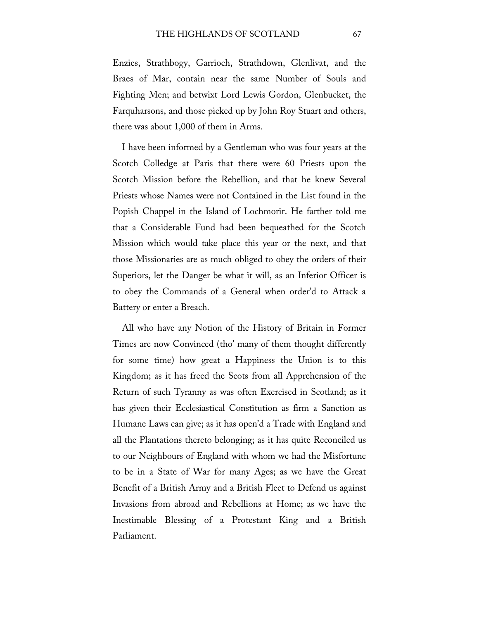Enzies, Strathbogy, Garrioch, Strathdown, Glenlivat, and the Braes of Mar, contain near the same Number of Souls and Fighting Men; and betwixt Lord Lewis Gordon, Glenbucket, the Farquharsons, and those picked up by John Roy Stuart and others, there was about 1,000 of them in Arms.

I have been informed by a Gentleman who was four years at the Scotch Colledge at Paris that there were 60 Priests upon the Scotch Mission before the Rebellion, and that he knew Several Priests whose Names were not Contained in the List found in the Popish Chappel in the Island of Lochmorir. He farther told me that a Considerable Fund had been bequeathed for the Scotch Mission which would take place this year or the next, and that those Missionaries are as much obliged to obey the orders of their Superiors, let the Danger be what it will, as an Inferior Officer is to obey the Commands of a General when order'd to Attack a Battery or enter a Breach.

All who have any Notion of the History of Britain in Former Times are now Convinced (tho' many of them thought differently for some time) how great a Happiness the Union is to this Kingdom; as it has freed the Scots from all Apprehension of the Return of such Tyranny as was often Exercised in Scotland; as it has given their Ecclesiastical Constitution as firm a Sanction as Humane Laws can give; as it has open'd a Trade with England and all the Plantations thereto belonging; as it has quite Reconciled us to our Neighbours of England with whom we had the Misfortune to be in a State of War for many Ages; as we have the Great Benefit of a British Army and a British Fleet to Defend us against Invasions from abroad and Rebellions at Home; as we have the Inestimable Blessing of a Protestant King and a British Parliament.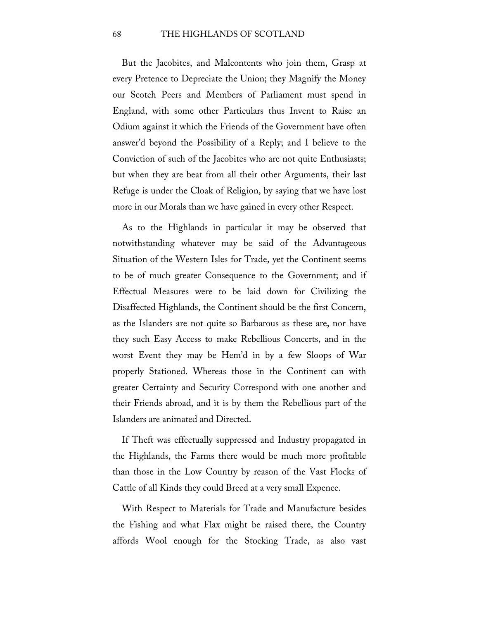But the Jacobites, and Malcontents who join them, Grasp at every Pretence to Depreciate the Union; they Magnify the Money our Scotch Peers and Members of Parliament must spend in England, with some other Particulars thus Invent to Raise an Odium against it which the Friends of the Government have often answer'd beyond the Possibility of a Reply; and I believe to the Conviction of such of the Jacobites who are not quite Enthusiasts; but when they are beat from all their other Arguments, their last Refuge is under the Cloak of Religion, by saying that we have lost more in our Morals than we have gained in every other Respect.

As to the Highlands in particular it may be observed that notwithstanding whatever may be said of the Advantageous Situation of the Western Isles for Trade, yet the Continent seems to be of much greater Consequence to the Government; and if Effectual Measures were to be laid down for Civilizing the Disaffected Highlands, the Continent should be the first Concern, as the Islanders are not quite so Barbarous as these are, nor have they such Easy Access to make Rebellious Concerts, and in the worst Event they may be Hem'd in by a few Sloops of War properly Stationed. Whereas those in the Continent can with greater Certainty and Security Correspond with one another and their Friends abroad, and it is by them the Rebellious part of the Islanders are animated and Directed.

If Theft was effectually suppressed and Industry propagated in the Highlands, the Farms there would be much more profitable than those in the Low Country by reason of the Vast Flocks of Cattle of all Kinds they could Breed at a very small Expence.

With Respect to Materials for Trade and Manufacture besides the Fishing and what Flax might be raised there, the Country affords Wool enough for the Stocking Trade, as also vast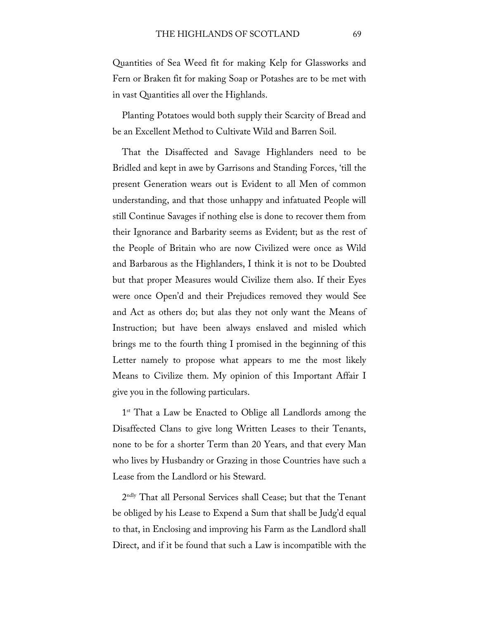Quantities of Sea Weed fit for making Kelp for Glassworks and Fern or Braken fit for making Soap or Potashes are to be met with in vast Quantities all over the Highlands.

Planting Potatoes would both supply their Scarcity of Bread and be an Excellent Method to Cultivate Wild and Barren Soil.

That the Disaffected and Savage Highlanders need to be Bridled and kept in awe by Garrisons and Standing Forces, 'till the present Generation wears out is Evident to all Men of common understanding, and that those unhappy and infatuated People will still Continue Savages if nothing else is done to recover them from their Ignorance and Barbarity seems as Evident; but as the rest of the People of Britain who are now Civilized were once as Wild and Barbarous as the Highlanders, I think it is not to be Doubted but that proper Measures would Civilize them also. If their Eyes were once Open'd and their Prejudices removed they would See and Act as others do; but alas they not only want the Means of Instruction; but have been always enslaved and misled which brings me to the fourth thing I promised in the beginning of this Letter namely to propose what appears to me the most likely Means to Civilize them. My opinion of this Important Affair I give you in the following particulars.

1<sup>st</sup> That a Law be Enacted to Oblige all Landlords among the Disaffected Clans to give long Written Leases to their Tenants, none to be for a shorter Term than 20 Years, and that every Man who lives by Husbandry or Grazing in those Countries have such a Lease from the Landlord or his Steward.

2ndly That all Personal Services shall Cease; but that the Tenant be obliged by his Lease to Expend a Sum that shall be Judg'd equal to that, in Enclosing and improving his Farm as the Landlord shall Direct, and if it be found that such a Law is incompatible with the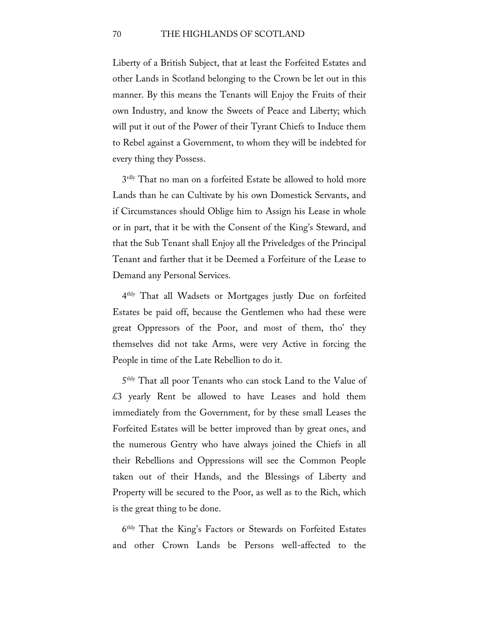## 70 THE HIGHLANDS OF SCOTLAND

Liberty of a British Subject, that at least the Forfeited Estates and other Lands in Scotland belonging to the Crown be let out in this manner. By this means the Tenants will Enjoy the Fruits of their own Industry, and know the Sweets of Peace and Liberty; which will put it out of the Power of their Tyrant Chiefs to Induce them to Rebel against a Government, to whom they will be indebted for every thing they Possess.

3<sup>rdly</sup> That no man on a forfeited Estate be allowed to hold more Lands than he can Cultivate by his own Domestick Servants, and if Circumstances should Oblige him to Assign his Lease in whole or in part, that it be with the Consent of the King's Steward, and that the Sub Tenant shall Enjoy all the Priveledges of the Principal Tenant and farther that it be Deemed a Forfeiture of the Lease to Demand any Personal Services.

4thly That all Wadsets or Mortgages justly Due on forfeited Estates be paid off, because the Gentlemen who had these were great Oppressors of the Poor, and most of them, tho' they themselves did not take Arms, were very Active in forcing the People in time of the Late Rebellion to do it.

5thly That all poor Tenants who can stock Land to the Value of £3 yearly Rent be allowed to have Leases and hold them immediately from the Government, for by these small Leases the Forfeited Estates will be better improved than by great ones, and the numerous Gentry who have always joined the Chiefs in all their Rebellions and Oppressions will see the Common People taken out of their Hands, and the Blessings of Liberty and Property will be secured to the Poor, as well as to the Rich, which is the great thing to be done.

6thly That the King's Factors or Stewards on Forfeited Estates and other Crown Lands be Persons well-affected to the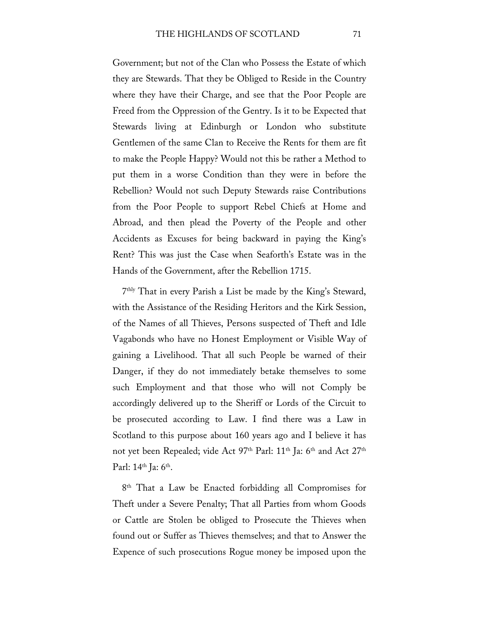Government; but not of the Clan who Possess the Estate of which they are Stewards. That they be Obliged to Reside in the Country where they have their Charge, and see that the Poor People are Freed from the Oppression of the Gentry. Is it to be Expected that Stewards living at Edinburgh or London who substitute Gentlemen of the same Clan to Receive the Rents for them are fit to make the People Happy? Would not this be rather a Method to put them in a worse Condition than they were in before the Rebellion? Would not such Deputy Stewards raise Contributions from the Poor People to support Rebel Chiefs at Home and Abroad, and then plead the Poverty of the People and other Accidents as Excuses for being backward in paying the King's Rent? This was just the Case when Seaforth's Estate was in the Hands of the Government, after the Rebellion 1715.

7thly That in every Parish a List be made by the King's Steward, with the Assistance of the Residing Heritors and the Kirk Session, of the Names of all Thieves, Persons suspected of Theft and Idle Vagabonds who have no Honest Employment or Visible Way of gaining a Livelihood. That all such People be warned of their Danger, if they do not immediately betake themselves to some such Employment and that those who will not Comply be accordingly delivered up to the Sheriff or Lords of the Circuit to be prosecuted according to Law. I find there was a Law in Scotland to this purpose about 160 years ago and I believe it has not yet been Repealed; vide Act 97<sup>th</sup> Parl: 11<sup>th</sup> Ja: 6<sup>th</sup> and Act 27<sup>th</sup> Parl:  $14^{\text{th}}$  Ja:  $6^{\text{th}}$ .

8<sup>th</sup> That a Law be Enacted forbidding all Compromises for Theft under a Severe Penalty; That all Parties from whom Goods or Cattle are Stolen be obliged to Prosecute the Thieves when found out or Suffer as Thieves themselves; and that to Answer the Expence of such prosecutions Rogue money be imposed upon the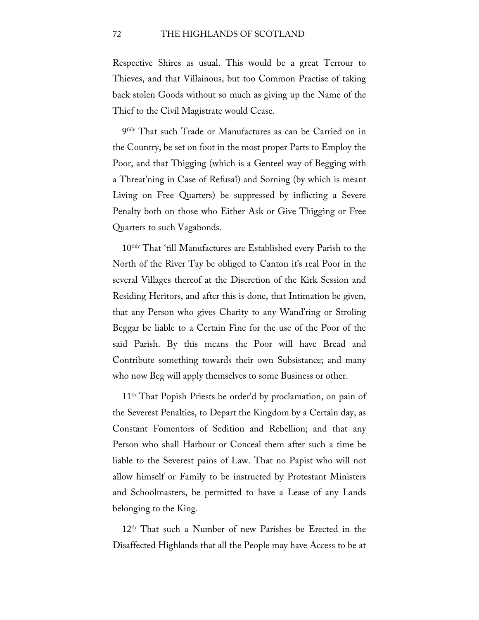Respective Shires as usual. This would be a great Terrour to Thieves, and that Villainous, but too Common Practise of taking back stolen Goods without so much as giving up the Name of the Thief to the Civil Magistrate would Cease.

9thly That such Trade or Manufactures as can be Carried on in the Country, be set on foot in the most proper Parts to Employ the Poor, and that Thigging (which is a Genteel way of Begging with a Threat'ning in Case of Refusal) and Sorning (by which is meant Living on Free Quarters) be suppressed by inflicting a Severe Penalty both on those who Either Ask or Give Thigging or Free Quarters to such Vagabonds.

10thly That 'till Manufactures are Established every Parish to the North of the River Tay be obliged to Canton it's real Poor in the several Villages thereof at the Discretion of the Kirk Session and Residing Heritors, and after this is done, that Intimation be given, that any Person who gives Charity to any Wand'ring or Stroling Beggar be liable to a Certain Fine for the use of the Poor of the said Parish. By this means the Poor will have Bread and Contribute something towards their own Subsistance; and many who now Beg will apply themselves to some Business or other.

11th That Popish Priests be order'd by proclamation, on pain of the Severest Penalties, to Depart the Kingdom by a Certain day, as Constant Fomentors of Sedition and Rebellion; and that any Person who shall Harbour or Conceal them after such a time be liable to the Severest pains of Law. That no Papist who will not allow himself or Family to be instructed by Protestant Ministers and Schoolmasters, be permitted to have a Lease of any Lands belonging to the King.

12<sup>th</sup> That such a Number of new Parishes be Erected in the Disaffected Highlands that all the People may have Access to be at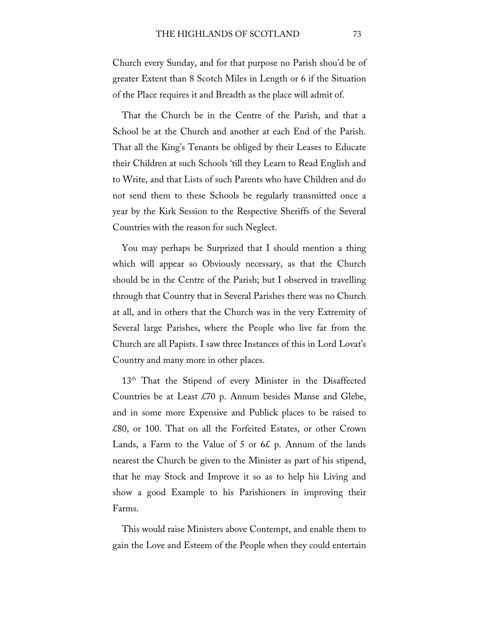Church every Sunday, and for that purpose no Parish shou'd be of greater Extent than 8 Scotch Miles in Length or 6 if the Situation of the Place requires it and Breadth as the place will admit of.

That the Church be in the Centre of the Parish, and that a School be at the Church and another at each End of the Parish. That all the King's Tenants be obliged by their Leases to Educate their Children at such Schools 'till they Learn to Read English and to Write, and that Lists of such Parents who have Children and do not send them to these Schools be regularly transmitted once a year by the Kirk Session to the Respective Sheriffs of the Several Countries with the reason for such Neglect.

You may perhaps be Surprized that I should mention a thing which will appear so Obviously necessary, as that the Church should be in the Centre of the Parish; but I observed in travelling through that Country that in Several Parishes there was no Church at all, and in others that the Church was in the very Extremity of Several large Parishes, where the People who live far from the Church are all Papists. I saw three Instances of this in Lord Lovat's Country and many more in other places.

13<sup>th</sup> That the Stipend of every Minister in the Disaffected Countries be at Least £70 p. Annum besides Manse and Glebe, and in some more Expensive and Publick places to be raised to £80, or 100. That on all the Forfeited Estates, or other Crown Lands, a Farm to the Value of 5 or  $6\xi$  p. Annum of the lands nearest the Church be given to the Minister as part of his stipend, that he may Stock and Improve it so as to help his Living and show a good Example to his Parishioners in improving their Farms.

This would raise Ministers above Contempt, and enable them to gain the Love and Esteem of the People when they could entertain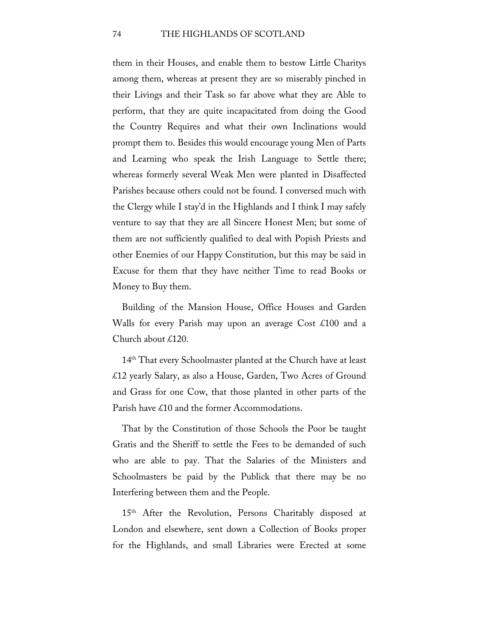### 74 THE HIGHLANDS OF SCOTLAND

them in their Houses, and enable them to bestow Little Charitys among them, whereas at present they are so miserably pinched in their Livings and their Task so far above what they are Able to perform, that they are quite incapacitated from doing the Good the Country Requires and what their own Inclinations would prompt them to. Besides this would encourage young Men of Parts and Learning who speak the Irish Language to Settle there; whereas formerly several Weak Men were planted in Disaffected Parishes because others could not be found. I conversed much with the Clergy while I stay'd in the Highlands and I think I may safely venture to say that they are all Sincere Honest Men; but some of them are not sufficiently qualified to deal with Popish Priests and other Enemies of our Happy Constitution, but this may be said in Excuse for them that they have neither Time to read Books or Money to Buy them.

Building of the Mansion House, Office Houses and Garden Walls for every Parish may upon an average Cost £100 and a Church about £120.

14<sup>th</sup> That every Schoolmaster planted at the Church have at least £12 yearly Salary, as also a House, Garden, Two Acres of Ground and Grass for one Cow, that those planted in other parts of the Parish have £10 and the former Accommodations.

That by the Constitution of those Schools the Poor be taught Gratis and the Sheriff to settle the Fees to be demanded of such who are able to pay. That the Salaries of the Ministers and Schoolmasters be paid by the Publick that there may be no Interfering between them and the People.

15<sup>th</sup> After the Revolution, Persons Charitably disposed at London and elsewhere, sent down a Collection of Books proper for the Highlands, and small Libraries were Erected at some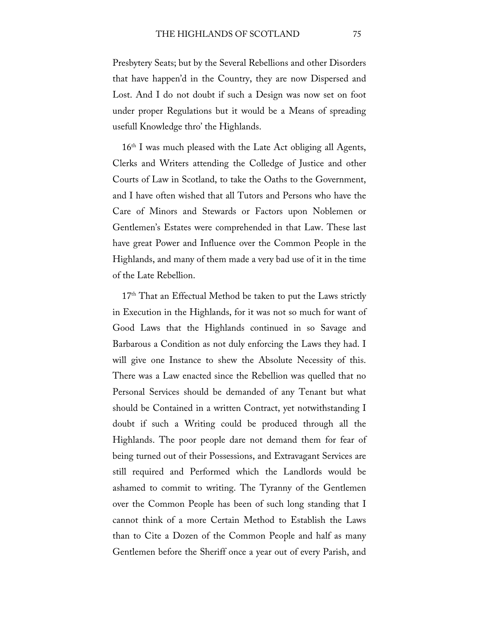Presbytery Seats; but by the Several Rebellions and other Disorders that have happen'd in the Country, they are now Dispersed and Lost. And I do not doubt if such a Design was now set on foot under proper Regulations but it would be a Means of spreading usefull Knowledge thro' the Highlands.

 $16<sup>th</sup>$  I was much pleased with the Late Act obliging all Agents, Clerks and Writers attending the Colledge of Justice and other Courts of Law in Scotland, to take the Oaths to the Government, and I have often wished that all Tutors and Persons who have the Care of Minors and Stewards or Factors upon Noblemen or Gentlemen's Estates were comprehended in that Law. These last have great Power and Influence over the Common People in the Highlands, and many of them made a very bad use of it in the time of the Late Rebellion.

 $17<sup>th</sup>$  That an Effectual Method be taken to put the Laws strictly in Execution in the Highlands, for it was not so much for want of Good Laws that the Highlands continued in so Savage and Barbarous a Condition as not duly enforcing the Laws they had. I will give one Instance to shew the Absolute Necessity of this. There was a Law enacted since the Rebellion was quelled that no Personal Services should be demanded of any Tenant but what should be Contained in a written Contract, yet notwithstanding I doubt if such a Writing could be produced through all the Highlands. The poor people dare not demand them for fear of being turned out of their Possessions, and Extravagant Services are still required and Performed which the Landlords would be ashamed to commit to writing. The Tyranny of the Gentlemen over the Common People has been of such long standing that I cannot think of a more Certain Method to Establish the Laws than to Cite a Dozen of the Common People and half as many Gentlemen before the Sheriff once a year out of every Parish, and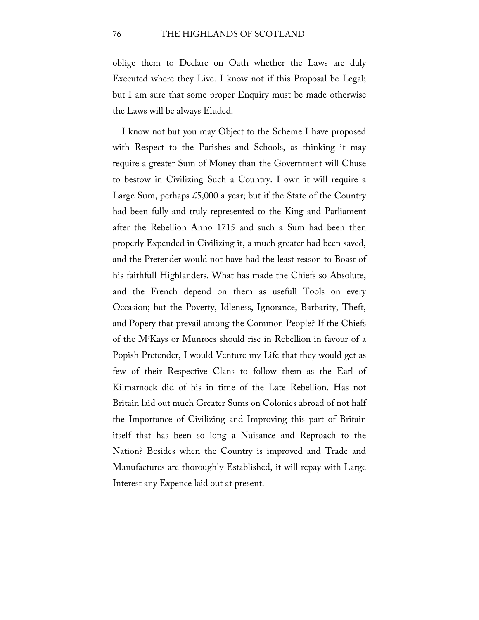oblige them to Declare on Oath whether the Laws are duly Executed where they Live. I know not if this Proposal be Legal; but I am sure that some proper Enquiry must be made otherwise the Laws will be always Eluded.

I know not but you may Object to the Scheme I have proposed with Respect to the Parishes and Schools, as thinking it may require a greater Sum of Money than the Government will Chuse to bestow in Civilizing Such a Country. I own it will require a Large Sum, perhaps £5,000 a year; but if the State of the Country had been fully and truly represented to the King and Parliament after the Rebellion Anno 1715 and such a Sum had been then properly Expended in Civilizing it, a much greater had been saved, and the Pretender would not have had the least reason to Boast of his faithfull Highlanders. What has made the Chiefs so Absolute, and the French depend on them as usefull Tools on every Occasion; but the Poverty, Idleness, Ignorance, Barbarity, Theft, and Popery that prevail among the Common People? If the Chiefs of the Mc Kays or Munroes should rise in Rebellion in favour of a Popish Pretender, I would Venture my Life that they would get as few of their Respective Clans to follow them as the Earl of Kilmarnock did of his in time of the Late Rebellion. Has not Britain laid out much Greater Sums on Colonies abroad of not half the Importance of Civilizing and Improving this part of Britain itself that has been so long a Nuisance and Reproach to the Nation? Besides when the Country is improved and Trade and Manufactures are thoroughly Established, it will repay with Large Interest any Expence laid out at present.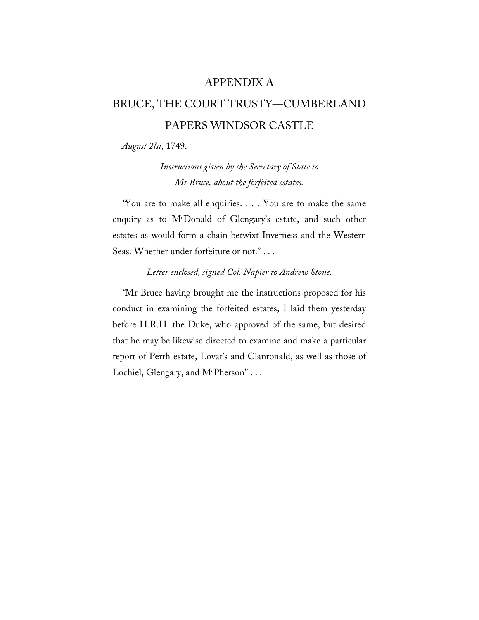## APPENDIX A

# BRUCE, THE COURT TRUSTY—CUMBERLAND PAPERS WINDSOR CASTLE

*August 2lst,* 1749.

*Instructions given by the Secretary of State to Mr Bruce, about the forfeited estates.*

*"*You are to make all enquiries. . . . You are to make the same enquiry as to Mc Donald of Glengary's estate, and such other estates as would form a chain betwixt Inverness and the Western Seas. Whether under forfeiture or not." . . .

## *Letter enclosed, signed Col. Napier to Andrew Stone.*

*"*Mr Bruce having brought me the instructions proposed for his conduct in examining the forfeited estates, I laid them yesterday before H.R.H. the Duke, who approved of the same, but desired that he may be likewise directed to examine and make a particular report of Perth estate, Lovat's and Clanronald, as well as those of Lochiel, Glengary, and M<sup>c</sup>Pherson" . . .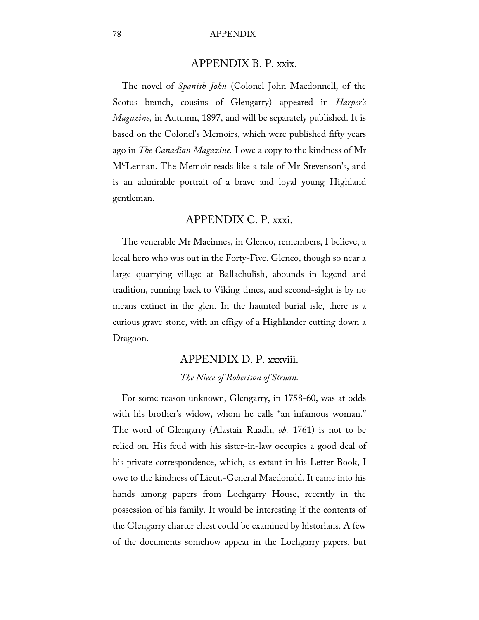### 78 APPENDIX

## APPENDIX B. P. xxix.

The novel of *Spanish John* (Colonel John Macdonnell, of the Scotus branch, cousins of Glengarry) appeared in *Harper's Magazine,* in Autumn, 1897, and will be separately published. It is based on the Colonel's Memoirs, which were published fifty years ago in *The Canadian Magazine.* I owe a copy to the kindness of Mr MCLennan. The Memoir reads like a tale of Mr Stevenson's, and is an admirable portrait of a brave and loyal young Highland gentleman.

## APPENDIX C. P. xxxi.

The venerable Mr Macinnes, in Glenco, remembers, I believe, a local hero who was out in the Forty-Five. Glenco, though so near a large quarrying village at Ballachulish, abounds in legend and tradition, running back to Viking times, and second-sight is by no means extinct in the glen. In the haunted burial isle, there is a curious grave stone, with an effigy of a Highlander cutting down a Dragoon.

## APPENDIX D. P. xxxviii. *The Niece of Robertson of Struan.*

For some reason unknown, Glengarry, in 1758-60, was at odds with his brother's widow, whom he calls "an infamous woman." The word of Glengarry (Alastair Ruadh, *ob.* 1761) is not to be relied on. His feud with his sister-in-law occupies a good deal of his private correspondence, which, as extant in his Letter Book, I owe to the kindness of Lieut.-General Macdonald. It came into his hands among papers from Lochgarry House, recently in the possession of his family. It would be interesting if the contents of the Glengarry charter chest could be examined by historians. A few of the documents somehow appear in the Lochgarry papers, but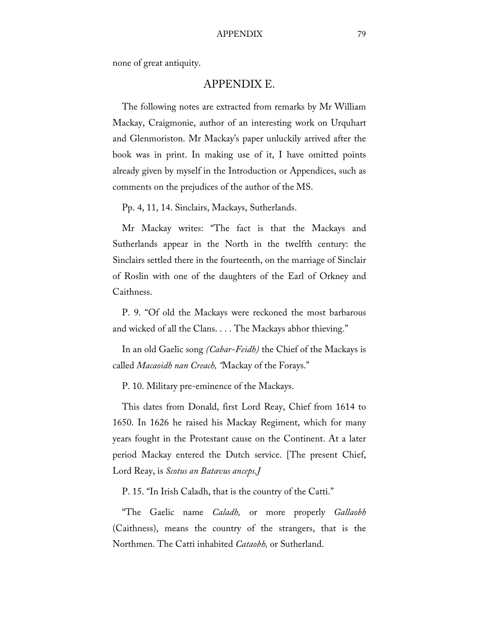#### APPENDIX 79

none of great antiquity.

## APPENDIX E.

The following notes are extracted from remarks by Mr William Mackay, Craigmonie, author of an interesting work on Urquhart and Glenmoriston. Mr Mackay's paper unluckily arrived after the book was in print. In making use of it, I have omitted points already given by myself in the Introduction or Appendices, such as comments on the prejudices of the author of the MS.

Pp. 4, 11, 14. Sinclairs, Mackays, Sutherlands.

Mr Mackay writes: "The fact is that the Mackays and Sutherlands appear in the North in the twelfth century: the Sinclairs settled there in the fourteenth, on the marriage of Sinclair of Roslin with one of the daughters of the Earl of Orkney and Caithness.

P. 9. "Of old the Mackays were reckoned the most barbarous and wicked of all the Clans. . . . The Mackays abhor thieving."

In an old Gaelic song *(Cabar-Feidh)* the Chief of the Mackays is called *Macaoidh nan Creach, "*Mackay of the Forays."

P. 10. Military pre-eminence of the Mackays.

This dates from Donald, first Lord Reay, Chief from 1614 to 1650. In 1626 he raised his Mackay Regiment, which for many years fought in the Protestant cause on the Continent. At a later period Mackay entered the Dutch service. [The present Chief, Lord Reay, is *Scotus an Batavus anceps.J*

P. 15. "In Irish Caladh, that is the country of the Catti."

"The Gaelic name *Caladh,* or more properly *Gallaobh*  (Caithness), means the country of the strangers, that is the Northmen. The Catti inhabited *Cataobh,* or Sutherland.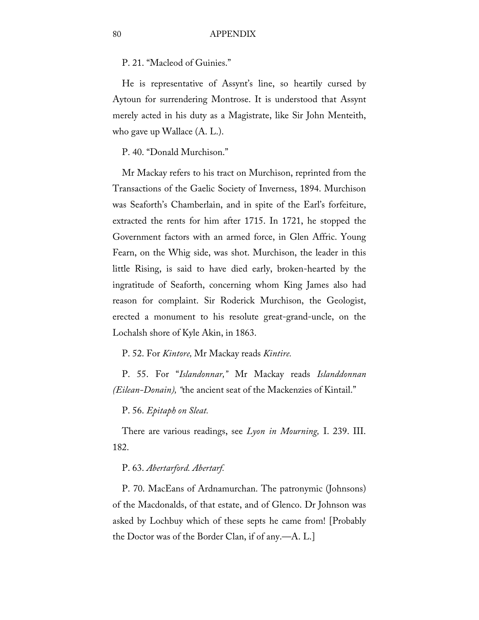P. 21. "Macleod of Guinies."

He is representative of Assynt's line, so heartily cursed by Aytoun for surrendering Montrose. It is understood that Assynt merely acted in his duty as a Magistrate, like Sir John Menteith, who gave up Wallace (A. L.).

P. 40. "Donald Murchison."

Mr Mackay refers to his tract on Murchison, reprinted from the Transactions of the Gaelic Society of Inverness, 1894. Murchison was Seaforth's Chamberlain, and in spite of the Earl's forfeiture, extracted the rents for him after 1715. In 1721, he stopped the Government factors with an armed force, in Glen Affric. Young Fearn, on the Whig side, was shot. Murchison, the leader in this little Rising, is said to have died early, broken-hearted by the ingratitude of Seaforth, concerning whom King James also had reason for complaint. Sir Roderick Murchison, the Geologist, erected a monument to his resolute great-grand-uncle, on the Lochalsh shore of Kyle Akin, in 1863.

P. 52. For *Kintore,* Mr Mackay reads *Kintire.*

P. 55. For "*Islandonnar,"* Mr Mackay reads *Islanddonnan (Eilean-Donain), "*the ancient seat of the Mackenzies of Kintail."

P. 56. *Epitaph on Sleat.*

There are various readings, see *Lyon in Mourning,* I. 239. III. 182.

#### P. 63. *Abertarford. Abertarf.*

P. 70. MacEans of Ardnamurchan. The patronymic (Johnsons) of the Macdonalds, of that estate, and of Glenco. Dr Johnson was asked by Lochbuy which of these septs he came from! [Probably the Doctor was of the Border Clan, if of any.—A. L.]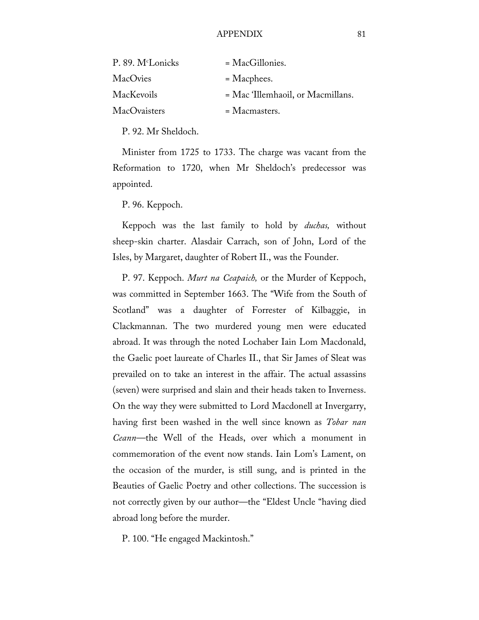| P. 89. M <sup>c</sup> Lonicks | $= MacGillonies.$                 |
|-------------------------------|-----------------------------------|
| MacOvies                      | $=$ Macphees.                     |
| MacKevoils                    | = Mac 'Illemhaoil, or Macmillans. |
| MacOvaisters                  | $=$ Macmasters.                   |

P. 92. Mr Sheldoch.

Minister from 1725 to 1733. The charge was vacant from the Reformation to 1720, when Mr Sheldoch's predecessor was appointed.

P. 96. Keppoch.

Keppoch was the last family to hold by *duchas,* without sheep-skin charter. Alasdair Carrach, son of John, Lord of the Isles, by Margaret, daughter of Robert II., was the Founder.

P. 97. Keppoch. *Murt na Ceapaich,* or the Murder of Keppoch, was committed in September 1663. The "Wife from the South of Scotland" was a daughter of Forrester of Kilbaggie, in Clackmannan. The two murdered young men were educated abroad. It was through the noted Lochaber Iain Lom Macdonald, the Gaelic poet laureate of Charles II., that Sir James of Sleat was prevailed on to take an interest in the affair. The actual assassins (seven) were surprised and slain and their heads taken to Inverness. On the way they were submitted to Lord Macdonell at Invergarry, having first been washed in the well since known as *Tobar nan Ceann*—the Well of the Heads, over which a monument in commemoration of the event now stands. Iain Lom's Lament, on the occasion of the murder, is still sung, and is printed in the Beauties of Gaelic Poetry and other collections. The succession is not correctly given by our author—the "Eldest Uncle "having died abroad long before the murder.

P. 100. "He engaged Mackintosh."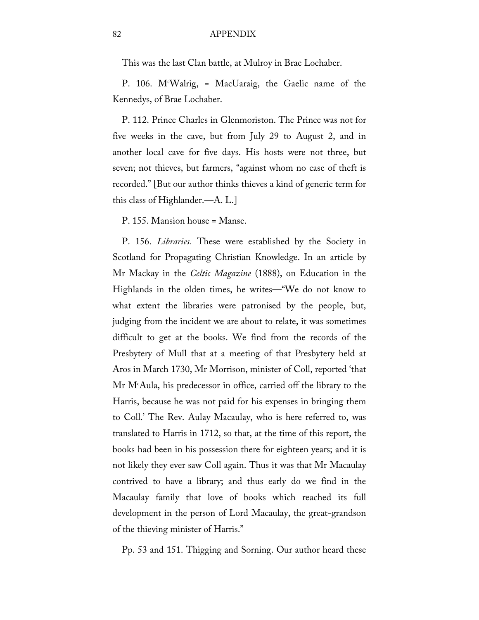### 82 APPENDIX

This was the last Clan battle, at Mulroy in Brae Lochaber.

P. 106. Mc Walrig, = MacUaraig, the Gaelic name of the Kennedys, of Brae Lochaber.

P. 112. Prince Charles in Glenmoriston. The Prince was not for five weeks in the cave, but from July 29 to August 2, and in another local cave for five days. His hosts were not three, but seven; not thieves, but farmers, "against whom no case of theft is recorded." [But our author thinks thieves a kind of generic term for this class of Highlander.—A. L.]

P. 155. Mansion house = Manse.

P. 156. *Libraries.* These were established by the Society in Scotland for Propagating Christian Knowledge. In an article by Mr Mackay in the *Celtic Magazine* (1888), on Education in the Highlands in the olden times, he writes—"We do not know to what extent the libraries were patronised by the people, but, judging from the incident we are about to relate, it was sometimes difficult to get at the books. We find from the records of the Presbytery of Mull that at a meeting of that Presbytery held at Aros in March 1730, Mr Morrison, minister of Coll, reported 'that Mr Mc Aula, his predecessor in office, carried off the library to the Harris, because he was not paid for his expenses in bringing them to Coll.' The Rev. Aulay Macaulay, who is here referred to, was translated to Harris in 1712, so that, at the time of this report, the books had been in his possession there for eighteen years; and it is not likely they ever saw Coll again. Thus it was that Mr Macaulay contrived to have a library; and thus early do we find in the Macaulay family that love of books which reached its full development in the person of Lord Macaulay, the great-grandson of the thieving minister of Harris."

Pp. 53 and 151. Thigging and Sorning. Our author heard these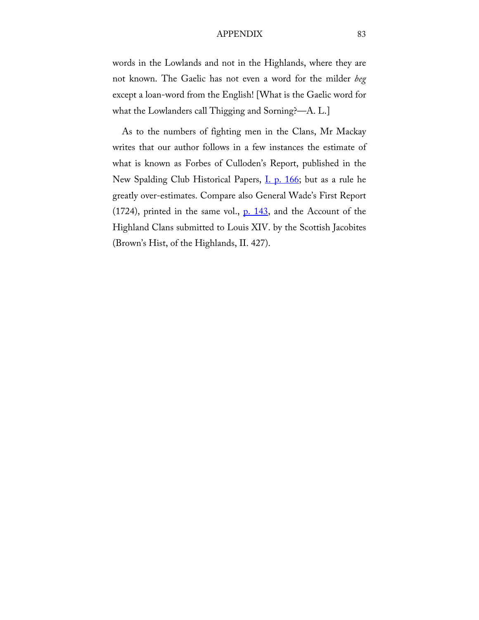#### APPENDIX 83

words in the Lowlands and not in the Highlands, where they are not known. The Gaelic has not even a word for the milder *beg*  except a loan-word from the English! [What is the Gaelic word for what the Lowlanders call Thigging and Sorning?—A. L.]

As to the numbers of fighting men in the Clans, Mr Mackay writes that our author follows in a few instances the estimate of what is known as Forbes of Culloden's Report, published in the New Spalding Club Historical Papers, *I. p. 166*; but as a rule he greatly over-estimates. Compare also General Wade's First Report  $(1724)$ , printed in the same vol.,  $p. 143$ , and the Account of the Highland Clans submitted to Louis XIV. by the Scottish Jacobites (Brown's Hist, of the Highlands, II. 427).